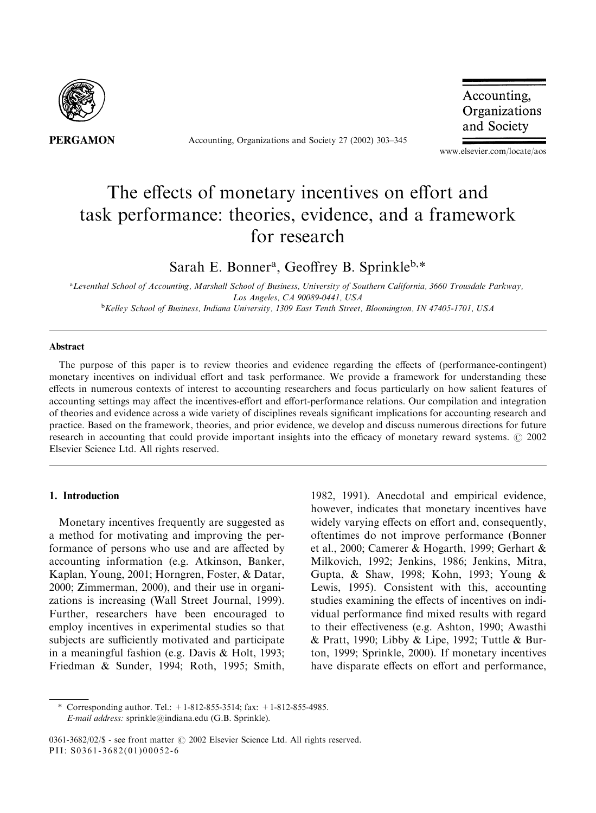

Accounting, Organizations and Society 27 (2002) 303–345

Accounting, Organizations and Society

www.elsevier.com/locate/aos

# The effects of monetary incentives on effort and task performance: theories, evidence, and a framework for research

Sarah E. Bonner<sup>a</sup>, Geoffrey B. Sprinkleb,\*

a Leventhal School of Accounting, Marshall School of Business, University of Southern California, 3660 Trousdale Parkway, Los Angeles, CA 90089-0441, USA <sup>b</sup>Kelley School of Business, Indiana University, 1309 East Tenth Street, Bloomington, IN 47405-1701, USA

#### Abstract

The purpose of this paper is to review theories and evidence regarding the effects of (performance-contingent) monetary incentives on individual effort and task performance. We provide a framework for understanding these effects in numerous contexts of interest to accountingresearchers and focus particularly on how salient features of accounting settings may affect the incentives-effort and effort-performance relations. Our compilation and integration of theories and evidence across a wide variety of disciplines reveals significant implications for accounting research and practice. Based on the framework, theories, and prior evidence, we develop and discuss numerous directions for future research in accounting that could provide important insights into the efficacy of monetary reward systems.  $\odot$  2002 Elsevier Science Ltd. All rights reserved.

#### 1. Introduction

Monetary incentives frequently are suggested as a method for motivating and improving the performance of persons who use and are affected by accounting information (e.g. Atkinson, Banker, Kaplan, Young, 2001; Horngren, Foster, & Datar, 2000; Zimmerman, 2000), and their use in organizations is increasing(Wall Street Journal, 1999). Further, researchers have been encouraged to employ incentives in experimental studies so that subjects are sufficiently motivated and participate in a meaningful fashion (e.g. Davis & Holt, 1993; Friedman & Sunder, 1994; Roth, 1995; Smith,

1982, 1991). Anecdotal and empirical evidence, however, indicates that monetary incentives have widely varying effects on effort and, consequently, oftentimes do not improve performance (Bonner et al., 2000; Camerer & Hogarth, 1999; Gerhart & Milkovich, 1992; Jenkins, 1986; Jenkins, Mitra, Gupta, & Shaw, 1998; Kohn, 1993; Young& Lewis, 1995). Consistent with this, accounting studies examining the effects of incentives on individual performance find mixed results with regard to their effectiveness (e.g. Ashton, 1990; Awasthi & Pratt, 1990; Libby & Lipe, 1992; Tuttle & Burton, 1999; Sprinkle, 2000). If monetary incentives have disparate effects on effort and performance,

\* Corresponding author. Tel.:  $+1-812-855-3514$ ; fax:  $+1-812-855-4985$ . E-mail address: sprinkle@indiana.edu (G.B. Sprinkle).

0361-3682/02/\$ - see front matter  $\odot$  2002 Elsevier Science Ltd. All rights reserved. PII: S0361-3682(01)00052-6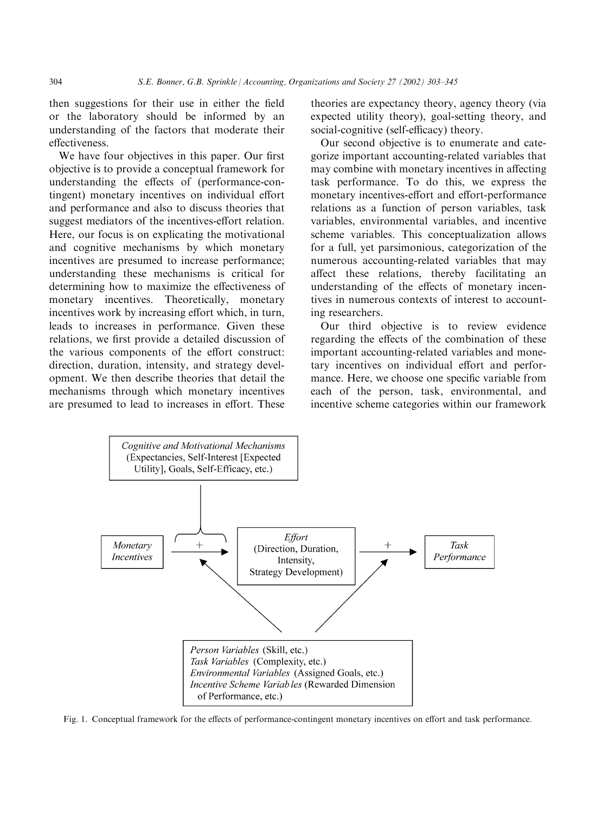then suggestions for their use in either the field or the laboratory should be informed by an understanding of the factors that moderate their effectiveness.

We have four objectives in this paper. Our first objective is to provide a conceptual framework for understanding the effects of (performance-contingent) monetary incentives on individual effort and performance and also to discuss theories that suggest mediators of the incentives-effort relation. Here, our focus is on explicating the motivational and cognitive mechanisms by which monetary incentives are presumed to increase performance; understanding these mechanisms is critical for determining how to maximize the effectiveness of monetary incentives. Theoretically, monetary incentives work by increasingeffort which, in turn, leads to increases in performance. Given these relations, we first provide a detailed discussion of the various components of the effort construct: direction, duration, intensity, and strategy development. We then describe theories that detail the mechanisms through which monetary incentives are presumed to lead to increases in effort. These

theories are expectancy theory, agency theory (via expected utility theory), goal-setting theory, and social-cognitive (self-efficacy) theory.

Our second objective is to enumerate and categorize important accounting-related variables that may combine with monetary incentives in affecting task performance. To do this, we express the monetary incentives-effort and effort-performance relations as a function of person variables, task variables, environmental variables, and incentive scheme variables. This conceptualization allows for a full, yet parsimonious, categorization of the numerous accounting-related variables that may affect these relations, thereby facilitating an understanding of the effects of monetary incentives in numerous contexts of interest to accounting researchers.

Our third objective is to review evidence regarding the effects of the combination of these important accounting-related variables and monetary incentives on individual effort and performance. Here, we choose one specific variable from each of the person, task, environmental, and incentive scheme categories within our framework



Fig. 1. Conceptual framework for the effects of performance-contingent monetary incentives on effort and task performance.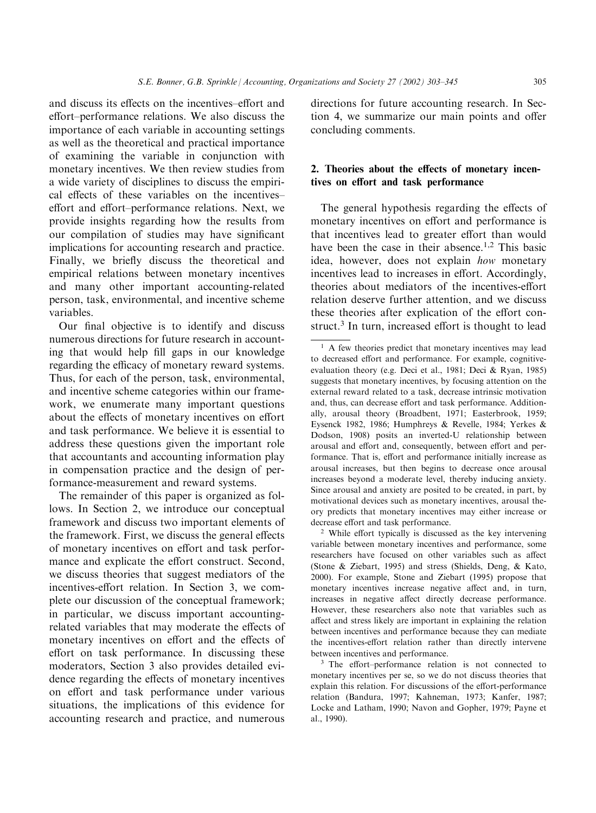and discuss its effects on the incentives–effort and effort–performance relations. We also discuss the importance of each variable in accounting settings as well as the theoretical and practical importance of examining the variable in conjunction with monetary incentives. We then review studies from a wide variety of disciplines to discuss the empirical effects of these variables on the incentives– effort and effort–performance relations. Next, we provide insights regarding how the results from our compilation of studies may have significant implications for accounting research and practice. Finally, we briefly discuss the theoretical and empirical relations between monetary incentives and many other important accounting-related person, task, environmental, and incentive scheme variables.

Our final objective is to identify and discuss numerous directions for future research in accounting that would help fill gaps in our knowledge regarding the efficacy of monetary reward systems. Thus, for each of the person, task, environmental, and incentive scheme categories within our framework, we enumerate many important questions about the effects of monetary incentives on effort and task performance. We believe it is essential to address these questions given the important role that accountants and accounting information play in compensation practice and the design of performance-measurement and reward systems.

The remainder of this paper is organized as follows. In Section 2, we introduce our conceptual framework and discuss two important elements of the framework. First, we discuss the general effects of monetary incentives on effort and task performance and explicate the effort construct. Second, we discuss theories that suggest mediators of the incentives-effort relation. In Section 3, we complete our discussion of the conceptual framework; in particular, we discuss important accountingrelated variables that may moderate the effects of monetary incentives on effort and the effects of effort on task performance. In discussing these moderators, Section 3 also provides detailed evidence regarding the effects of monetary incentives on effort and task performance under various situations, the implications of this evidence for accounting research and practice, and numerous directions for future accounting research. In Section 4, we summarize our main points and offer concluding comments.

#### 2. Theories about the effects of monetary incentives on effort and task performance

The general hypothesis regarding the effects of monetary incentives on effort and performance is that incentives lead to greater effort than would have been the case in their absence.<sup>1,2</sup> This basic idea, however, does not explain how monetary incentives lead to increases in effort. Accordingly, theories about mediators of the incentives-effort relation deserve further attention, and we discuss these theories after explication of the effort construct.<sup>3</sup> In turn, increased effort is thought to lead

<sup>2</sup> While effort typically is discussed as the key intervening variable between monetary incentives and performance, some researchers have focused on other variables such as affect (Stone & Ziebart, 1995) and stress (Shields, Deng, & Kato, 2000). For example, Stone and Ziebart (1995) propose that monetary incentives increase negative affect and, in turn, increases in negative affect directly decrease performance. However, these researchers also note that variables such as affect and stress likely are important in explaining the relation between incentives and performance because they can mediate the incentives-effort relation rather than directly intervene between incentives and performance.

<sup>3</sup> The effort–performance relation is not connected to monetary incentives per se, so we do not discuss theories that explain this relation. For discussions of the effort-performance relation (Bandura, 1997; Kahneman, 1973; Kanfer, 1987; Locke and Latham, 1990; Navon and Gopher, 1979; Payne et al., 1990).

<sup>&</sup>lt;sup>1</sup> A few theories predict that monetary incentives may lead to decreased effort and performance. For example, cognitiveevaluation theory (e.g. Deci et al., 1981; Deci & Ryan, 1985) suggests that monetary incentives, by focusing attention on the external reward related to a task, decrease intrinsic motivation and, thus, can decrease effort and task performance. Additionally, arousal theory (Broadbent, 1971; Easterbrook, 1959; Eysenck 1982, 1986; Humphreys & Revelle, 1984; Yerkes & Dodson, 1908) posits an inverted-U relationship between arousal and effort and, consequently, between effort and performance. That is, effort and performance initially increase as arousal increases, but then begins to decrease once arousal increases beyond a moderate level, thereby inducing anxiety. Since arousal and anxiety are posited to be created, in part, by motivational devices such as monetary incentives, arousal theory predicts that monetary incentives may either increase or decrease effort and task performance.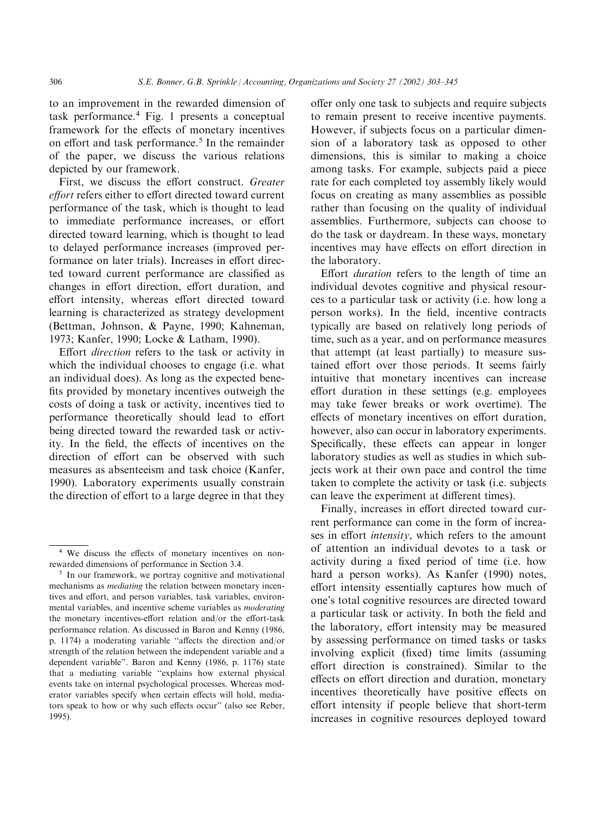to an improvement in the rewarded dimension of task performance.<sup>4</sup> Fig. 1 presents a conceptual framework for the effects of monetary incentives on effort and task performance.<sup>5</sup> In the remainder of the paper, we discuss the various relations depicted by our framework.

First, we discuss the effort construct. Greater effort refers either to effort directed toward current performance of the task, which is thought to lead to immediate performance increases, or effort directed toward learning, which is thought to lead to delayed performance increases (improved performance on later trials). Increases in effort directed toward current performance are classified as changes in effort direction, effort duration, and effort intensity, whereas effort directed toward learning is characterized as strategy development (Bettman, Johnson, & Payne, 1990; Kahneman, 1973; Kanfer, 1990; Locke & Latham, 1990).

Effort direction refers to the task or activity in which the individual chooses to engage (i.e. what an individual does). As longas the expected benefits provided by monetary incentives outweigh the costs of doinga task or activity, incentives tied to performance theoretically should lead to effort being directed toward the rewarded task or activity. In the field, the effects of incentives on the direction of effort can be observed with such measures as absenteeism and task choice (Kanfer, 1990). Laboratory experiments usually constrain the direction of effort to a large degree in that they

offer only one task to subjects and require subjects to remain present to receive incentive payments. However, if subjects focus on a particular dimension of a laboratory task as opposed to other dimensions, this is similar to making a choice among tasks. For example, subjects paid a piece rate for each completed toy assembly likely would focus on creating as many assemblies as possible rather than focusing on the quality of individual assemblies. Furthermore, subjects can choose to do the task or daydream. In these ways, monetary incentives may have effects on effort direction in the laboratory.

Effort duration refers to the length of time an individual devotes cognitive and physical resources to a particular task or activity (i.e. how longa person works). In the field, incentive contracts typically are based on relatively long periods of time, such as a year, and on performance measures that attempt (at least partially) to measure sustained effort over those periods. It seems fairly intuitive that monetary incentives can increase effort duration in these settings (e.g. employees may take fewer breaks or work overtime). The effects of monetary incentives on effort duration, however, also can occur in laboratory experiments. Specifically, these effects can appear in longer laboratory studies as well as studies in which subjects work at their own pace and control the time taken to complete the activity or task (i.e. subjects can leave the experiment at different times).

Finally, increases in effort directed toward current performance can come in the form of increases in effort intensity, which refers to the amount of attention an individual devotes to a task or activity duringa fixed period of time (i.e. how hard a person works). As Kanfer (1990) notes, effort intensity essentially captures how much of one's total cognitive resources are directed toward a particular task or activity. In both the field and the laboratory, effort intensity may be measured by assessing performance on timed tasks or tasks involvingexplicit (fixed) time limits (assuming effort direction is constrained). Similar to the effects on effort direction and duration, monetary incentives theoretically have positive effects on effort intensity if people believe that short-term increases in cognitive resources deployed toward

<sup>4</sup> We discuss the effects of monetary incentives on nonrewarded dimensions of performance in Section 3.4.

<sup>5</sup> In our framework, we portray cognitive and motivational mechanisms as mediating the relation between monetary incentives and effort, and person variables, task variables, environmental variables, and incentive scheme variables as moderating the monetary incentives-effort relation and/or the effort-task performance relation. As discussed in Baron and Kenny (1986, p. 1174) a moderating variable "affects the direction and/or strength of the relation between the independent variable and a dependent variable''. Baron and Kenny (1986, p. 1176) state that a mediating variable "explains how external physical events take on internal psychological processes. Whereas moderator variables specify when certain effects will hold, mediators speak to how or why such effects occur'' (also see Reber, 1995).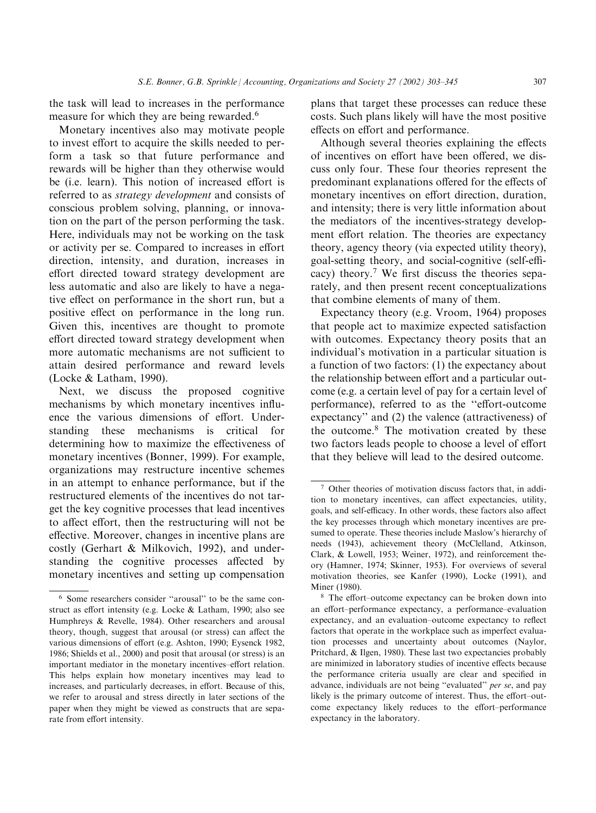the task will lead to increases in the performance measure for which they are being rewarded.<sup>6</sup>

Monetary incentives also may motivate people to invest effort to acquire the skills needed to perform a task so that future performance and rewards will be higher than they otherwise would be (i.e. learn). This notion of increased effort is referred to as strategy development and consists of conscious problem solving, planning, or innovation on the part of the person performing the task. Here, individuals may not be working on the task or activity per se. Compared to increases in effort direction, intensity, and duration, increases in effort directed toward strategy development are less automatic and also are likely to have a negative effect on performance in the short run, but a positive effect on performance in the long run. Given this, incentives are thought to promote effort directed toward strategy development when more automatic mechanisms are not sufficient to attain desired performance and reward levels (Locke & Latham, 1990).

Next, we discuss the proposed cognitive mechanisms by which monetary incentives influence the various dimensions of effort. Understanding these mechanisms is critical for determining how to maximize the effectiveness of monetary incentives (Bonner, 1999). For example, organizations may restructure incentive schemes in an attempt to enhance performance, but if the restructured elements of the incentives do not target the key cognitive processes that lead incentives to affect effort, then the restructuringwill not be effective. Moreover, changes in incentive plans are costly (Gerhart & Milkovich, 1992), and understanding the cognitive processes affected by monetary incentives and setting up compensation plans that target these processes can reduce these costs. Such plans likely will have the most positive effects on effort and performance.

Although several theories explaining the effects of incentives on effort have been offered, we discuss only four. These four theories represent the predominant explanations offered for the effects of monetary incentives on effort direction, duration, and intensity; there is very little information about the mediators of the incentives-strategy development effort relation. The theories are expectancy theory, agency theory (via expected utility theory), goal-setting theory, and social-cognitive (self-efficacy) theory.<sup>7</sup> We first discuss the theories separately, and then present recent conceptualizations that combine elements of many of them.

Expectancy theory (e.g. Vroom, 1964) proposes that people act to maximize expected satisfaction with outcomes. Expectancy theory posits that an individual's motivation in a particular situation is a function of two factors: (1) the expectancy about the relationship between effort and a particular outcome (e.g. a certain level of pay for a certain level of performance), referred to as the ''effort-outcome expectancy'' and (2) the valence (attractiveness) of the outcome.<sup>8</sup> The motivation created by these two factors leads people to choose a level of effort that they believe will lead to the desired outcome.

<sup>6</sup> Some researchers consider ''arousal'' to be the same construct as effort intensity (e.g. Locke & Latham, 1990; also see Humphreys & Revelle, 1984). Other researchers and arousal theory, though, suggest that arousal (or stress) can affect the various dimensions of effort (e.g. Ashton, 1990; Eysenck 1982, 1986; Shields et al., 2000) and posit that arousal (or stress) is an important mediator in the monetary incentives–effort relation. This helps explain how monetary incentives may lead to increases, and particularly decreases, in effort. Because of this, we refer to arousal and stress directly in later sections of the paper when they might be viewed as constructs that are separate from effort intensity.

<sup>7</sup> Other theories of motivation discuss factors that, in addition to monetary incentives, can affect expectancies, utility, goals, and self-efficacy. In other words, these factors also affect the key processes through which monetary incentives are presumed to operate. These theories include Maslow's hierarchy of needs (1943), achievement theory (McClelland, Atkinson, Clark, & Lowell, 1953; Weiner, 1972), and reinforcement theory (Hamner, 1974; Skinner, 1953). For overviews of several motivation theories, see Kanfer (1990), Locke (1991), and Miner (1980).

<sup>8</sup> The effort–outcome expectancy can be broken down into an effort–performance expectancy, a performance–evaluation expectancy, and an evaluation–outcome expectancy to reflect factors that operate in the workplace such as imperfect evaluation processes and uncertainty about outcomes (Naylor, Pritchard, & Ilgen, 1980). These last two expectancies probably are minimized in laboratory studies of incentive effects because the performance criteria usually are clear and specified in advance, individuals are not being''evaluated'' per se, and pay likely is the primary outcome of interest. Thus, the effort–outcome expectancy likely reduces to the effort–performance expectancy in the laboratory.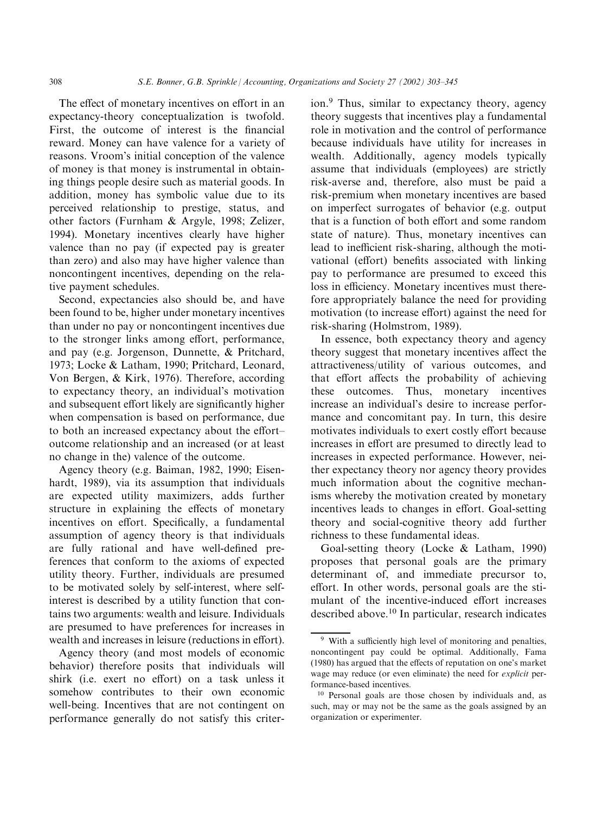The effect of monetary incentives on effort in an expectancy-theory conceptualization is twofold. First, the outcome of interest is the financial reward. Money can have valence for a variety of reasons. Vroom's initial conception of the valence of money is that money is instrumental in obtaining things people desire such as material goods. In addition, money has symbolic value due to its perceived relationship to prestige, status, and other factors (Furnham & Argyle, 1998; Zelizer, 1994). Monetary incentives clearly have higher valence than no pay (if expected pay is greater than zero) and also may have higher valence than noncontingent incentives, depending on the relative payment schedules.

Second, expectancies also should be, and have been found to be, higher under monetary incentives than under no pay or noncontingent incentives due to the stronger links among effort, performance, and pay (e.g. Jorgenson, Dunnette, & Pritchard, 1973; Locke & Latham, 1990; Pritchard, Leonard, Von Bergen, & Kirk, 1976). Therefore, according to expectancy theory, an individual's motivation and subsequent effort likely are significantly higher when compensation is based on performance, due to both an increased expectancy about the effort– outcome relationship and an increased (or at least no change in the) valence of the outcome.

Agency theory (e.g. Baiman, 1982, 1990; Eisenhardt, 1989), via its assumption that individuals are expected utility maximizers, adds further structure in explaining the effects of monetary incentives on effort. Specifically, a fundamental assumption of agency theory is that individuals are fully rational and have well-defined preferences that conform to the axioms of expected utility theory. Further, individuals are presumed to be motivated solely by self-interest, where selfinterest is described by a utility function that contains two arguments: wealth and leisure. Individuals are presumed to have preferences for increases in wealth and increases in leisure (reductions in effort).

Agency theory (and most models of economic behavior) therefore posits that individuals will shirk (i.e. exert no effort) on a task unless it somehow contributes to their own economic well-being. Incentives that are not contingent on performance generally do not satisfy this criterion.<sup>9</sup> Thus, similar to expectancy theory, agency theory suggests that incentives play a fundamental role in motivation and the control of performance because individuals have utility for increases in wealth. Additionally, agency models typically assume that individuals (employees) are strictly risk-averse and, therefore, also must be paid a risk-premium when monetary incentives are based on imperfect surrogates of behavior (e.g. output that is a function of both effort and some random state of nature). Thus, monetary incentives can lead to inefficient risk-sharing, although the motivational (effort) benefits associated with linking pay to performance are presumed to exceed this loss in efficiency. Monetary incentives must therefore appropriately balance the need for providing motivation (to increase effort) against the need for risk-sharing(Holmstrom, 1989).

In essence, both expectancy theory and agency theory suggest that monetary incentives affect the attractiveness/utility of various outcomes, and that effort affects the probability of achieving these outcomes. Thus, monetary incentives increase an individual's desire to increase performance and concomitant pay. In turn, this desire motivates individuals to exert costly effort because increases in effort are presumed to directly lead to increases in expected performance. However, neither expectancy theory nor agency theory provides much information about the cognitive mechanisms whereby the motivation created by monetary incentives leads to changes in effort. Goal-setting theory and social-cognitive theory add further richness to these fundamental ideas.

Goal-setting theory (Locke & Latham, 1990) proposes that personal goals are the primary determinant of, and immediate precursor to, effort. In other words, personal goals are the stimulant of the incentive-induced effort increases described above.10 In particular, research indicates

<sup>9</sup> With a sufficiently high level of monitoring and penalties, noncontingent pay could be optimal. Additionally, Fama (1980) has argued that the effects of reputation on one's market wage may reduce (or even eliminate) the need for explicit performance-based incentives.

<sup>10</sup> Personal goals are those chosen by individuals and, as such, may or may not be the same as the goals assigned by an organization or experimenter.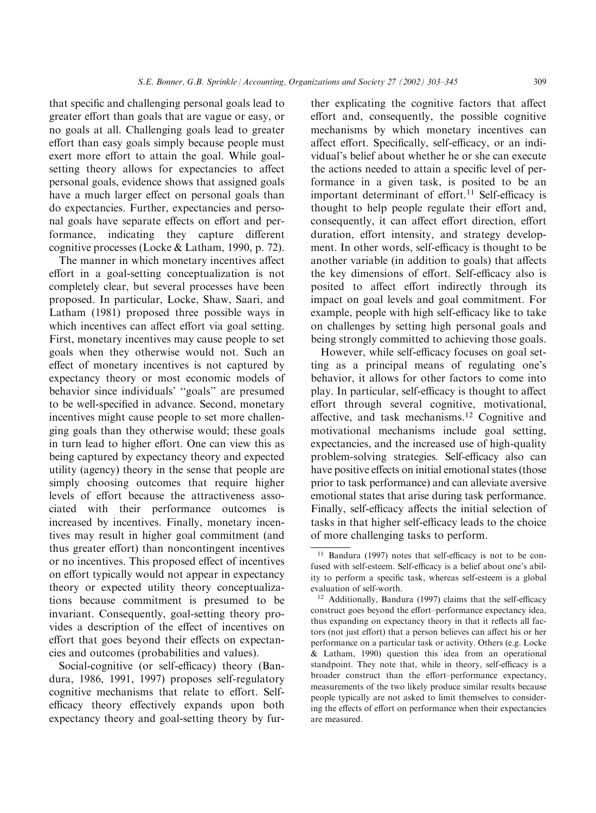that specific and challenging personal goals lead to greater effort than goals that are vague or easy, or no goals at all. Challenging goals lead to greater effort than easy goals simply because people must exert more effort to attain the goal. While goalsetting theory allows for expectancies to affect personal goals, evidence shows that assigned goals have a much larger effect on personal goals than do expectancies. Further, expectancies and personal goals have separate effects on effort and performance, indicating they capture different cognitive processes (Locke & Latham, 1990, p. 72).

The manner in which monetary incentives affect effort in a goal-setting conceptualization is not completely clear, but several processes have been proposed. In particular, Locke, Shaw, Saari, and Latham (1981) proposed three possible ways in which incentives can affect effort via goal setting. First, monetary incentives may cause people to set goals when they otherwise would not. Such an effect of monetary incentives is not captured by expectancy theory or most economic models of behavior since individuals' ''goals'' are presumed to be well-specified in advance. Second, monetary incentives might cause people to set more challenging goals than they otherwise would; these goals in turn lead to higher effort. One can view this as being captured by expectancy theory and expected utility (agency) theory in the sense that people are simply choosing outcomes that require higher levels of effort because the attractiveness associated with their performance outcomes is increased by incentives. Finally, monetary incentives may result in higher goal commitment (and thus greater effort) than noncontingent incentives or no incentives. This proposed effect of incentives on effort typically would not appear in expectancy theory or expected utility theory conceptualizations because commitment is presumed to be invariant. Consequently, goal-setting theory provides a description of the effect of incentives on effort that goes beyond their effects on expectancies and outcomes (probabilities and values).

Social-cognitive (or self-efficacy) theory (Bandura, 1986, 1991, 1997) proposes self-regulatory cognitive mechanisms that relate to effort. Selfefficacy theory effectively expands upon both expectancy theory and goal-setting theory by fur-

ther explicating the cognitive factors that affect effort and, consequently, the possible cognitive mechanisms by which monetary incentives can affect effort. Specifically, self-efficacy, or an individual's belief about whether he or she can execute the actions needed to attain a specific level of performance in a given task, is posited to be an important determinant of effort.<sup>11</sup> Self-efficacy is thought to help people regulate their effort and, consequently, it can affect effort direction, effort duration, effort intensity, and strategy development. In other words, self-efficacy is thought to be another variable (in addition to goals) that affects the key dimensions of effort. Self-efficacy also is posited to affect effort indirectly through its impact on goal levels and goal commitment. For example, people with high self-efficacy like to take on challenges by setting high personal goals and being strongly committed to achieving those goals.

However, while self-efficacy focuses on goal setting as a principal means of regulating one's behavior, it allows for other factors to come into play. In particular, self-efficacy is thought to affect effort through several cognitive, motivational, affective, and task mechanisms.<sup>12</sup> Cognitive and motivational mechanisms include goal setting, expectancies, and the increased use of high-quality problem-solving strategies. Self-efficacy also can have positive effects on initial emotional states (those prior to task performance) and can alleviate aversive emotional states that arise during task performance. Finally, self-efficacy affects the initial selection of tasks in that higher self-efficacy leads to the choice of more challenging tasks to perform.

Bandura (1997) notes that self-efficacy is not to be confused with self-esteem. Self-efficacy is a belief about one's ability to perform a specific task, whereas self-esteem is a global evaluation of self-worth.

<sup>&</sup>lt;sup>12</sup> Additionally, Bandura (1997) claims that the self-efficacy construct goes beyond the effort–performance expectancy idea, thus expanding on expectancy theory in that it reflects all factors (not just effort) that a person believes can affect his or her performance on a particular task or activity. Others (e.g. Locke & Latham, 1990) question this idea from an operational standpoint. They note that, while in theory, self-efficacy is a broader construct than the effort–performance expectancy, measurements of the two likely produce similar results because people typically are not asked to limit themselves to considering the effects of effort on performance when their expectancies are measured.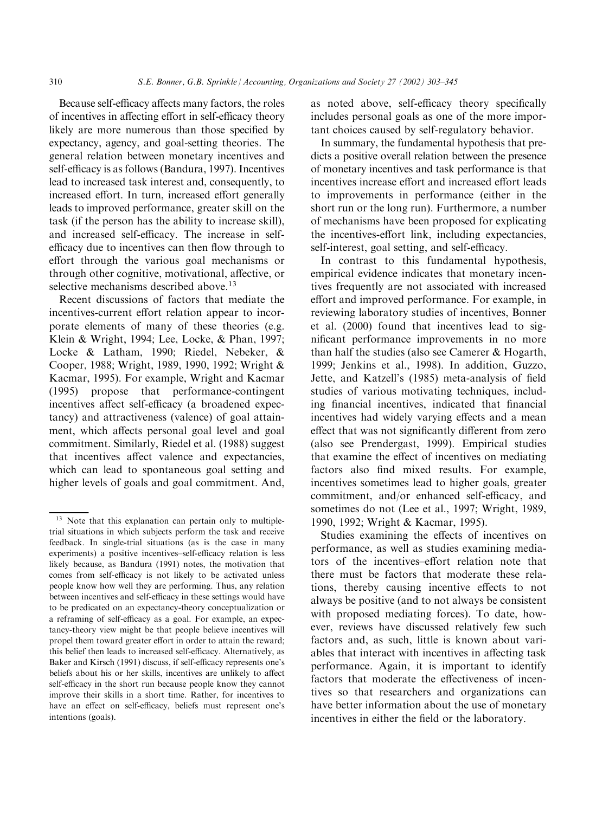Because self-efficacy affects many factors, the roles of incentives in affectingeffort in self-efficacy theory likely are more numerous than those specified by expectancy, agency, and goal-setting theories. The general relation between monetary incentives and self-efficacy is as follows (Bandura, 1997). Incentives lead to increased task interest and, consequently, to increased effort. In turn, increased effort generally leads to improved performance, greater skill on the task (if the person has the ability to increase skill), and increased self-efficacy. The increase in selfefficacy due to incentives can then flow through to effort through the various goal mechanisms or through other cognitive, motivational, affective, or selective mechanisms described above.<sup>13</sup>

Recent discussions of factors that mediate the incentives-current effort relation appear to incorporate elements of many of these theories (e.g. Klein & Wright, 1994; Lee, Locke, & Phan, 1997; Locke & Latham, 1990; Riedel, Nebeker, & Cooper, 1988; Wright, 1989, 1990, 1992; Wright & Kacmar, 1995). For example, Wright and Kacmar (1995) propose that performance-contingent incentives affect self-efficacy (a broadened expectancy) and attractiveness (valence) of goal attainment, which affects personal goal level and goal commitment. Similarly, Riedel et al. (1988) suggest that incentives affect valence and expectancies, which can lead to spontaneous goal setting and higher levels of goals and goal commitment. And, as noted above, self-efficacy theory specifically includes personal goals as one of the more important choices caused by self-regulatory behavior.

In summary, the fundamental hypothesis that predicts a positive overall relation between the presence of monetary incentives and task performance is that incentives increase effort and increased effort leads to improvements in performance (either in the short run or the long run). Furthermore, a number of mechanisms have been proposed for explicating the incentives-effort link, including expectancies, self-interest, goal setting, and self-efficacy.

In contrast to this fundamental hypothesis, empirical evidence indicates that monetary incentives frequently are not associated with increased effort and improved performance. For example, in reviewing laboratory studies of incentives, Bonner et al. (2000) found that incentives lead to significant performance improvements in no more than half the studies (also see Camerer & Hogarth, 1999; Jenkins et al., 1998). In addition, Guzzo, Jette, and Katzell's (1985) meta-analysis of field studies of various motivating techniques, including financial incentives, indicated that financial incentives had widely varying effects and a mean effect that was not significantly different from zero (also see Prendergast, 1999). Empirical studies that examine the effect of incentives on mediating factors also find mixed results. For example, incentives sometimes lead to higher goals, greater commitment, and/or enhanced self-efficacy, and sometimes do not (Lee et al., 1997; Wright, 1989, 1990, 1992; Wright & Kacmar, 1995).

Studies examining the effects of incentives on performance, as well as studies examining mediators of the incentives–effort relation note that there must be factors that moderate these relations, thereby causing incentive effects to not always be positive (and to not always be consistent with proposed mediating forces). To date, however, reviews have discussed relatively few such factors and, as such, little is known about variables that interact with incentives in affecting task performance. Again, it is important to identify factors that moderate the effectiveness of incentives so that researchers and organizations can have better information about the use of monetary incentives in either the field or the laboratory.

<sup>&</sup>lt;sup>13</sup> Note that this explanation can pertain only to multipletrial situations in which subjects perform the task and receive feedback. In single-trial situations (as is the case in many experiments) a positive incentives–self-efficacy relation is less likely because, as Bandura (1991) notes, the motivation that comes from self-efficacy is not likely to be activated unless people know how well they are performing. Thus, any relation between incentives and self-efficacy in these settings would have to be predicated on an expectancy-theory conceptualization or a reframing of self-efficacy as a goal. For example, an expectancy-theory view might be that people believe incentives will propel them toward greater effort in order to attain the reward; this belief then leads to increased self-efficacy. Alternatively, as Baker and Kirsch (1991) discuss, if self-efficacy represents one's beliefs about his or her skills, incentives are unlikely to affect self-efficacy in the short run because people know they cannot improve their skills in a short time. Rather, for incentives to have an effect on self-efficacy, beliefs must represent one's intentions (goals).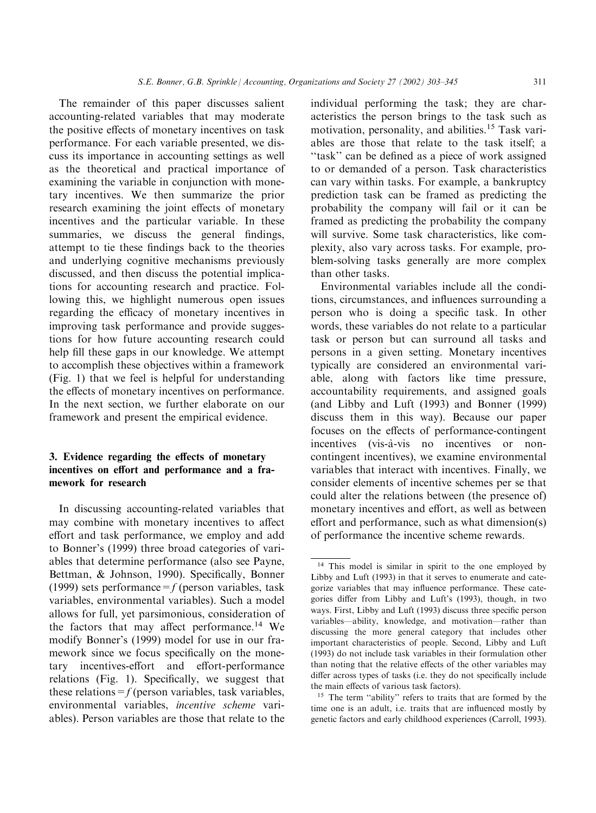The remainder of this paper discusses salient accounting-related variables that may moderate the positive effects of monetary incentives on task performance. For each variable presented, we discuss its importance in accounting settings as well as the theoretical and practical importance of examining the variable in conjunction with monetary incentives. We then summarize the prior research examining the joint effects of monetary incentives and the particular variable. In these summaries, we discuss the general findings, attempt to tie these findings back to the theories and underlying cognitive mechanisms previously discussed, and then discuss the potential implications for accounting research and practice. Following this, we highlight numerous open issues regarding the efficacy of monetary incentives in improving task performance and provide suggestions for how future accounting research could help fill these gaps in our knowledge. We attempt to accomplish these objectives within a framework (Fig. 1) that we feel is helpful for understanding the effects of monetary incentives on performance. In the next section, we further elaborate on our framework and present the empirical evidence.

## 3. Evidence regarding the effects of monetary incentives on effort and performance and a framework for research

In discussing accounting-related variables that may combine with monetary incentives to affect effort and task performance, we employ and add to Bonner's (1999) three broad categories of variables that determine performance (also see Payne, Bettman, & Johnson, 1990). Specifically, Bonner (1999) sets performance =  $f$  (person variables, task variables, environmental variables). Such a model allows for full, yet parsimonious, consideration of the factors that may affect performance.<sup>14</sup> We modify Bonner's (1999) model for use in our framework since we focus specifically on the monetary incentives-effort and effort-performance relations (Fig. 1). Specifically, we suggest that these relations  $=f$  (person variables, task variables, environmental variables, incentive scheme variables). Person variables are those that relate to the

individual performing the task; they are characteristics the person brings to the task such as motivation, personality, and abilities.15 Task variables are those that relate to the task itself; a ''task'' can be defined as a piece of work assigned to or demanded of a person. Task characteristics can vary within tasks. For example, a bankruptcy prediction task can be framed as predicting the probability the company will fail or it can be framed as predicting the probability the company will survive. Some task characteristics, like complexity, also vary across tasks. For example, problem-solving tasks generally are more complex than other tasks.

Environmental variables include all the conditions, circumstances, and influences surroundinga person who is doing a specific task. In other words, these variables do not relate to a particular task or person but can surround all tasks and persons in a given setting. Monetary incentives typically are considered an environmental variable, along with factors like time pressure, accountability requirements, and assigned goals (and Libby and Luft (1993) and Bonner (1999) discuss them in this way). Because our paper focuses on the effects of performance-contingent incentives (vis-à-vis no incentives or noncontingent incentives), we examine environmental variables that interact with incentives. Finally, we consider elements of incentive schemes per se that could alter the relations between (the presence of) monetary incentives and effort, as well as between effort and performance, such as what dimension(s) of performance the incentive scheme rewards.

<sup>15</sup> The term "ability" refers to traits that are formed by the time one is an adult, i.e. traits that are influenced mostly by genetic factors and early childhood experiences (Carroll, 1993).

<sup>14</sup> This model is similar in spirit to the one employed by Libby and Luft (1993) in that it serves to enumerate and categorize variables that may influence performance. These categories differ from Libby and Luft's (1993), though, in two ways. First, Libby and Luft (1993) discuss three specific person variables—ability, knowledge, and motivation—rather than discussing the more general category that includes other important characteristics of people. Second, Libby and Luft (1993) do not include task variables in their formulation other than noting that the relative effects of the other variables may differ across types of tasks (i.e. they do not specifically include the main effects of various task factors).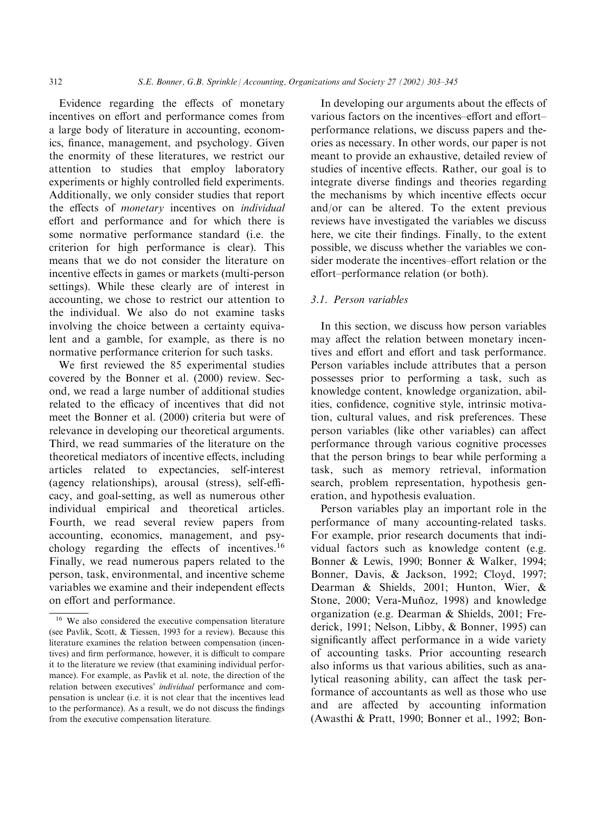Evidence regarding the effects of monetary incentives on effort and performance comes from a large body of literature in accounting, economics, finance, management, and psychology. Given the enormity of these literatures, we restrict our attention to studies that employ laboratory experiments or highly controlled field experiments. Additionally, we only consider studies that report the effects of monetary incentives on individual effort and performance and for which there is some normative performance standard (i.e. the criterion for high performance is clear). This means that we do not consider the literature on incentive effects in games or markets (multi-person settings). While these clearly are of interest in accounting, we chose to restrict our attention to the individual. We also do not examine tasks involving the choice between a certainty equivalent and a gamble, for example, as there is no normative performance criterion for such tasks.

We first reviewed the 85 experimental studies covered by the Bonner et al. (2000) review. Second, we read a large number of additional studies related to the efficacy of incentives that did not meet the Bonner et al. (2000) criteria but were of relevance in developing our theoretical arguments. Third, we read summaries of the literature on the theoretical mediators of incentive effects, including articles related to expectancies, self-interest (agency relationships), arousal (stress), self-efficacy, and goal-setting, as well as numerous other individual empirical and theoretical articles. Fourth, we read several review papers from accounting, economics, management, and psychology regarding the effects of incentives.<sup>16</sup> Finally, we read numerous papers related to the person, task, environmental, and incentive scheme variables we examine and their independent effects on effort and performance.

In developing our arguments about the effects of various factors on the incentives–effort and effort– performance relations, we discuss papers and theories as necessary. In other words, our paper is not meant to provide an exhaustive, detailed review of studies of incentive effects. Rather, our goal is to integrate diverse findings and theories regarding the mechanisms by which incentive effects occur and/or can be altered. To the extent previous reviews have investigated the variables we discuss here, we cite their findings. Finally, to the extent possible, we discuss whether the variables we consider moderate the incentives–effort relation or the effort–performance relation (or both).

#### 3.1. Person variables

In this section, we discuss how person variables may affect the relation between monetary incentives and effort and effort and task performance. Person variables include attributes that a person possesses prior to performing a task, such as knowledge content, knowledge organization, abilities, confidence, cognitive style, intrinsic motivation, cultural values, and risk preferences. These person variables (like other variables) can affect performance through various cognitive processes that the person brings to bear while performing a task, such as memory retrieval, information search, problem representation, hypothesis generation, and hypothesis evaluation.

Person variables play an important role in the performance of many accounting-related tasks. For example, prior research documents that individual factors such as knowledge content (e.g. Bonner & Lewis, 1990; Bonner & Walker, 1994; Bonner, Davis, & Jackson, 1992; Cloyd, 1997; Dearman & Shields, 2001; Hunton, Wier, & Stone, 2000; Vera-Muñoz, 1998) and knowledge organization (e.g. Dearman & Shields, 2001; Frederick, 1991; Nelson, Libby, & Bonner, 1995) can significantly affect performance in a wide variety of accounting tasks. Prior accounting research also informs us that various abilities, such as analytical reasoning ability, can affect the task performance of accountants as well as those who use and are affected by accounting information (Awasthi & Pratt, 1990; Bonner et al., 1992; Bon-

<sup>16</sup> We also considered the executive compensation literature (see Pavlik, Scott, & Tiessen, 1993 for a review). Because this literature examines the relation between compensation (incentives) and firm performance, however, it is difficult to compare it to the literature we review (that examining individual performance). For example, as Pavlik et al. note, the direction of the relation between executives' individual performance and compensation is unclear (i.e. it is not clear that the incentives lead to the performance). As a result, we do not discuss the findings from the executive compensation literature.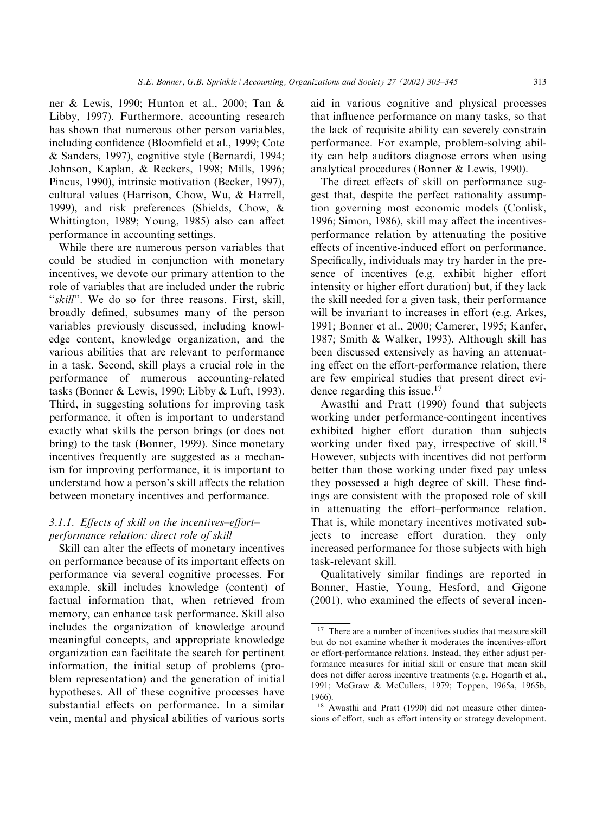ner & Lewis, 1990; Hunton et al., 2000; Tan & Libby, 1997). Furthermore, accounting research has shown that numerous other person variables, including confidence (Bloomfield et al., 1999; Cote & Sanders, 1997), cognitive style (Bernardi, 1994; Johnson, Kaplan, & Reckers, 1998; Mills, 1996; Pincus, 1990), intrinsic motivation (Becker, 1997), cultural values (Harrison, Chow, Wu, & Harrell, 1999), and risk preferences (Shields, Chow, & Whittington, 1989; Young, 1985) also can affect performance in accounting settings.

While there are numerous person variables that could be studied in conjunction with monetary incentives, we devote our primary attention to the role of variables that are included under the rubric "skill". We do so for three reasons. First, skill, broadly defined, subsumes many of the person variables previously discussed, including knowledge content, knowledge organization, and the various abilities that are relevant to performance in a task. Second, skill plays a crucial role in the performance of numerous accounting-related tasks (Bonner & Lewis, 1990; Libby & Luft, 1993). Third, in suggesting solutions for improving task performance, it often is important to understand exactly what skills the person brings (or does not bring) to the task (Bonner, 1999). Since monetary incentives frequently are suggested as a mechanism for improving performance, it is important to understand how a person's skill affects the relation between monetary incentives and performance.

# 3.1.1. Effects of skill on the incentives–effort– performance relation: direct role of skill

Skill can alter the effects of monetary incentives on performance because of its important effects on performance via several cognitive processes. For example, skill includes knowledge (content) of factual information that, when retrieved from memory, can enhance task performance. Skill also includes the organization of knowledge around meaningful concepts, and appropriate knowledge organization can facilitate the search for pertinent information, the initial setup of problems (problem representation) and the generation of initial hypotheses. All of these cognitive processes have substantial effects on performance. In a similar vein, mental and physical abilities of various sorts

aid in various cognitive and physical processes that influence performance on many tasks, so that the lack of requisite ability can severely constrain performance. For example, problem-solvingability can help auditors diagnose errors when using analytical procedures (Bonner & Lewis, 1990).

The direct effects of skill on performance suggest that, despite the perfect rationality assumption governing most economic models (Conlisk, 1996; Simon, 1986), skill may affect the incentivesperformance relation by attenuating the positive effects of incentive-induced effort on performance. Specifically, individuals may try harder in the presence of incentives (e.g. exhibit higher effort intensity or higher effort duration) but, if they lack the skill needed for a given task, their performance will be invariant to increases in effort (e.g. Arkes, 1991; Bonner et al., 2000; Camerer, 1995; Kanfer, 1987; Smith & Walker, 1993). Although skill has been discussed extensively as having an attenuatingeffect on the effort-performance relation, there are few empirical studies that present direct evidence regarding this issue.<sup>17</sup>

Awasthi and Pratt (1990) found that subjects working under performance-contingent incentives exhibited higher effort duration than subjects working under fixed pay, irrespective of skill.<sup>18</sup> However, subjects with incentives did not perform better than those working under fixed pay unless they possessed a high degree of skill. These findings are consistent with the proposed role of skill in attenuating the effort–performance relation. That is, while monetary incentives motivated subjects to increase effort duration, they only increased performance for those subjects with high task-relevant skill.

Qualitatively similar findings are reported in Bonner, Hastie, Young, Hesford, and Gigone (2001), who examined the effects of several incen-

<sup>&</sup>lt;sup>17</sup> There are a number of incentives studies that measure skill but do not examine whether it moderates the incentives-effort or effort-performance relations. Instead, they either adjust performance measures for initial skill or ensure that mean skill does not differ across incentive treatments (e.g. Hogarth et al., 1991; McGraw & McCullers, 1979; Toppen, 1965a, 1965b, 1966).

<sup>18</sup> Awasthi and Pratt (1990) did not measure other dimensions of effort, such as effort intensity or strategy development.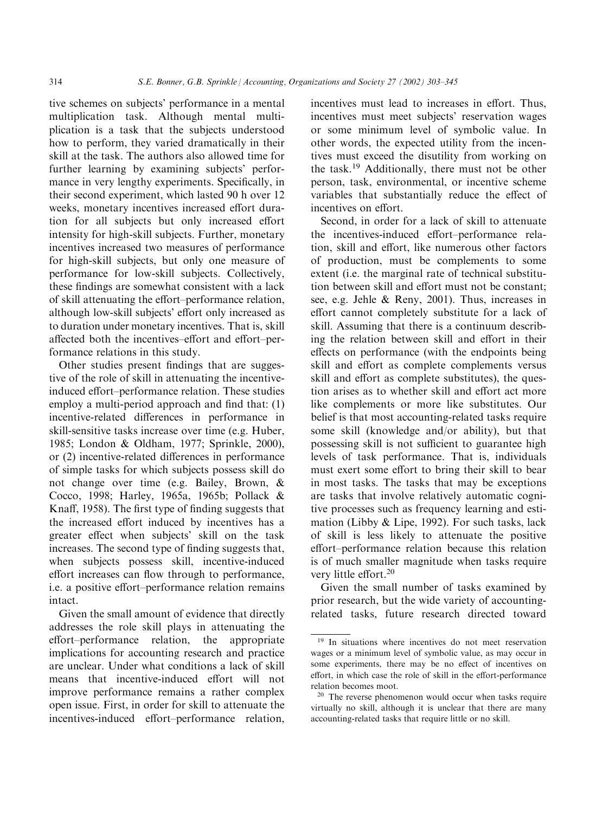tive schemes on subjects' performance in a mental multiplication task. Although mental multiplication is a task that the subjects understood how to perform, they varied dramatically in their skill at the task. The authors also allowed time for further learning by examining subjects' performance in very lengthy experiments. Specifically, in their second experiment, which lasted 90 h over 12 weeks, monetary incentives increased effort duration for all subjects but only increased effort intensity for high-skill subjects. Further, monetary incentives increased two measures of performance for high-skill subjects, but only one measure of performance for low-skill subjects. Collectively, these findings are somewhat consistent with a lack of skill attenuating the effort–performance relation, although low-skill subjects' effort only increased as to duration under monetary incentives. That is, skill affected both the incentives–effort and effort–performance relations in this study.

Other studies present findings that are suggestive of the role of skill in attenuating the incentiveinduced effort–performance relation. These studies employ a multi-period approach and find that: (1) incentive-related differences in performance in skill-sensitive tasks increase over time (e.g. Huber, 1985; London & Oldham, 1977; Sprinkle, 2000), or (2) incentive-related differences in performance of simple tasks for which subjects possess skill do not change over time (e.g. Bailey, Brown, & Cocco, 1998; Harley, 1965a, 1965b; Pollack & Knaff, 1958). The first type of finding suggests that the increased effort induced by incentives has a greater effect when subjects' skill on the task increases. The second type of finding suggests that, when subjects possess skill, incentive-induced effort increases can flow through to performance, i.e. a positive effort–performance relation remains intact.

Given the small amount of evidence that directly addresses the role skill plays in attenuating the effort–performance relation, the appropriate implications for accounting research and practice are unclear. Under what conditions a lack of skill means that incentive-induced effort will not improve performance remains a rather complex open issue. First, in order for skill to attenuate the incentives-induced effort–performance relation, incentives must lead to increases in effort. Thus, incentives must meet subjects' reservation wages or some minimum level of symbolic value. In other words, the expected utility from the incentives must exceed the disutility from working on the task.<sup>19</sup> Additionally, there must not be other person, task, environmental, or incentive scheme variables that substantially reduce the effect of incentives on effort.

Second, in order for a lack of skill to attenuate the incentives-induced effort–performance relation, skill and effort, like numerous other factors of production, must be complements to some extent (i.e. the marginal rate of technical substitution between skill and effort must not be constant; see, e.g. Jehle & Reny, 2001). Thus, increases in effort cannot completely substitute for a lack of skill. Assuming that there is a continuum describing the relation between skill and effort in their effects on performance (with the endpoints being skill and effort as complete complements versus skill and effort as complete substitutes), the question arises as to whether skill and effort act more like complements or more like substitutes. Our belief is that most accounting-related tasks require some skill (knowledge and/or ability), but that possessing skill is not sufficient to guarantee high levels of task performance. That is, individuals must exert some effort to bring their skill to bear in most tasks. The tasks that may be exceptions are tasks that involve relatively automatic cognitive processes such as frequency learningand estimation (Libby & Lipe, 1992). For such tasks, lack of skill is less likely to attenuate the positive effort–performance relation because this relation is of much smaller magnitude when tasks require very little effort.<sup>20</sup>

Given the small number of tasks examined by prior research, but the wide variety of accountingrelated tasks, future research directed toward

<sup>&</sup>lt;sup>19</sup> In situations where incentives do not meet reservation wages or a minimum level of symbolic value, as may occur in some experiments, there may be no effect of incentives on effort, in which case the role of skill in the effort-performance relation becomes moot.

<sup>20</sup> The reverse phenomenon would occur when tasks require virtually no skill, although it is unclear that there are many accounting-related tasks that require little or no skill.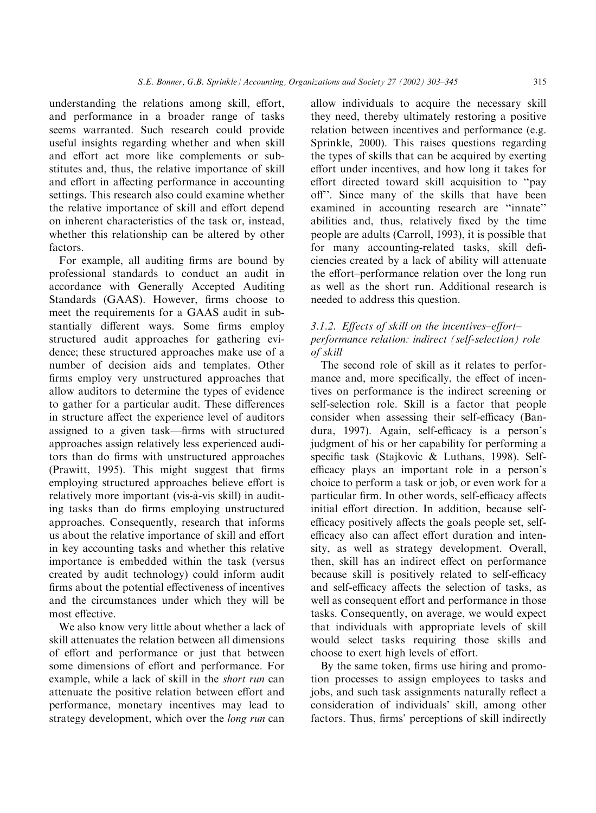understanding the relations among skill, effort, and performance in a broader range of tasks seems warranted. Such research could provide useful insights regarding whether and when skill and effort act more like complements or substitutes and, thus, the relative importance of skill and effort in affecting performance in accounting settings. This research also could examine whether the relative importance of skill and effort depend on inherent characteristics of the task or, instead, whether this relationship can be altered by other factors.

For example, all auditing firms are bound by professional standards to conduct an audit in accordance with Generally Accepted Auditing Standards (GAAS). However, firms choose to meet the requirements for a GAAS audit in substantially different ways. Some firms employ structured audit approaches for gathering evidence; these structured approaches make use of a number of decision aids and templates. Other firms employ very unstructured approaches that allow auditors to determine the types of evidence to gather for a particular audit. These differences in structure affect the experience level of auditors assigned to a given task—firms with structured approaches assign relatively less experienced auditors than do firms with unstructured approaches (Prawitt, 1995). This might suggest that firms employing structured approaches believe effort is relatively more important (vis-à-vis skill) in auditing tasks than do firms employing unstructured approaches. Consequently, research that informs us about the relative importance of skill and effort in key accounting tasks and whether this relative importance is embedded within the task (versus created by audit technology) could inform audit firms about the potential effectiveness of incentives and the circumstances under which they will be most effective.

We also know very little about whether a lack of skill attenuates the relation between all dimensions of effort and performance or just that between some dimensions of effort and performance. For example, while a lack of skill in the *short run* can attenuate the positive relation between effort and performance, monetary incentives may lead to strategy development, which over the long run can

allow individuals to acquire the necessary skill they need, thereby ultimately restoring a positive relation between incentives and performance (e.g. Sprinkle, 2000). This raises questions regarding the types of skills that can be acquired by exerting effort under incentives, and how longit takes for effort directed toward skill acquisition to ''pay off''. Since many of the skills that have been examined in accounting research are "innate" abilities and, thus, relatively fixed by the time people are adults (Carroll, 1993), it is possible that for many accounting-related tasks, skill deficiencies created by a lack of ability will attenuate the effort–performance relation over the long run as well as the short run. Additional research is needed to address this question.

# 3.1.2. Effects of skill on the incentives–effort– performance relation: indirect (self-selection) role of skill

The second role of skill as it relates to performance and, more specifically, the effect of incentives on performance is the indirect screening or self-selection role. Skill is a factor that people consider when assessing their self-efficacy (Bandura, 1997). Again, self-efficacy is a person's judgment of his or her capability for performing a specific task (Stajkovic & Luthans, 1998). Selfefficacy plays an important role in a person's choice to perform a task or job, or even work for a particular firm. In other words, self-efficacy affects initial effort direction. In addition, because selfefficacy positively affects the goals people set, selfefficacy also can affect effort duration and intensity, as well as strategy development. Overall, then, skill has an indirect effect on performance because skill is positively related to self-efficacy and self-efficacy affects the selection of tasks, as well as consequent effort and performance in those tasks. Consequently, on average, we would expect that individuals with appropriate levels of skill would select tasks requiring those skills and choose to exert high levels of effort.

By the same token, firms use hiring and promotion processes to assign employees to tasks and jobs, and such task assignments naturally reflect a consideration of individuals' skill, among other factors. Thus, firms' perceptions of skill indirectly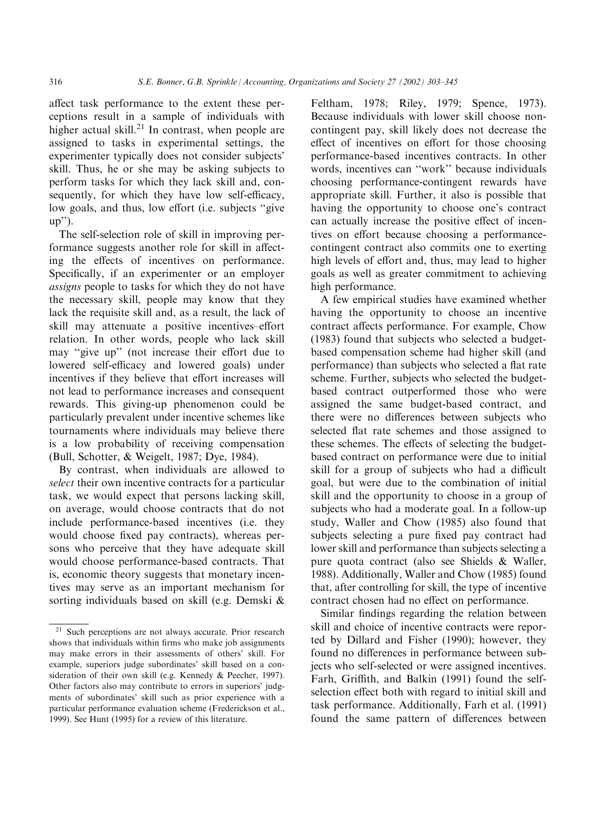affect task performance to the extent these perceptions result in a sample of individuals with higher actual skill. $21$  In contrast, when people are assigned to tasks in experimental settings, the experimenter typically does not consider subjects' skill. Thus, he or she may be asking subjects to perform tasks for which they lack skill and, consequently, for which they have low self-efficacy, low goals, and thus, low effort (i.e. subjects ''give up'').

The self-selection role of skill in improving performance suggests another role for skill in affecting the effects of incentives on performance. Specifically, if an experimenter or an employer assigns people to tasks for which they do not have the necessary skill, people may know that they lack the requisite skill and, as a result, the lack of skill may attenuate a positive incentives–effort relation. In other words, people who lack skill may ''give up'' (not increase their effort due to lowered self-efficacy and lowered goals) under incentives if they believe that effort increases will not lead to performance increases and consequent rewards. This giving-up phenomenon could be particularly prevalent under incentive schemes like tournaments where individuals may believe there is a low probability of receiving compensation (Bull, Schotter, & Weigelt, 1987; Dye, 1984).

By contrast, when individuals are allowed to select their own incentive contracts for a particular task, we would expect that persons lacking skill, on average, would choose contracts that do not include performance-based incentives (i.e. they would choose fixed pay contracts), whereas persons who perceive that they have adequate skill would choose performance-based contracts. That is, economic theory suggests that monetary incentives may serve as an important mechanism for sorting individuals based on skill (e.g. Demski  $\&$ 

Feltham, 1978; Riley, 1979; Spence, 1973). Because individuals with lower skill choose noncontingent pay, skill likely does not decrease the effect of incentives on effort for those choosing performance-based incentives contracts. In other words, incentives can ''work'' because individuals choosing performance-contingent rewards have appropriate skill. Further, it also is possible that having the opportunity to choose one's contract can actually increase the positive effect of incentives on effort because choosing a performancecontingent contract also commits one to exerting high levels of effort and, thus, may lead to higher goals as well as greater commitment to achieving high performance.

A few empirical studies have examined whether having the opportunity to choose an incentive contract affects performance. For example, Chow (1983) found that subjects who selected a budgetbased compensation scheme had higher skill (and performance) than subjects who selected a flat rate scheme. Further, subjects who selected the budgetbased contract outperformed those who were assigned the same budget-based contract, and there were no differences between subjects who selected flat rate schemes and those assigned to these schemes. The effects of selecting the budgetbased contract on performance were due to initial skill for a group of subjects who had a difficult goal, but were due to the combination of initial skill and the opportunity to choose in a group of subjects who had a moderate goal. In a follow-up study, Waller and Chow (1985) also found that subjects selecting a pure fixed pay contract had lower skill and performance than subjects selectinga pure quota contract (also see Shields & Waller, 1988). Additionally, Waller and Chow (1985) found that, after controlling for skill, the type of incentive contract chosen had no effect on performance.

Similar findings regarding the relation between skill and choice of incentive contracts were reported by Dillard and Fisher (1990); however, they found no differences in performance between subjects who self-selected or were assigned incentives. Farh, Griffith, and Balkin (1991) found the selfselection effect both with regard to initial skill and task performance. Additionally, Farh et al. (1991) found the same pattern of differences between

<sup>&</sup>lt;sup>21</sup> Such perceptions are not always accurate. Prior research shows that individuals within firms who make job assignments may make errors in their assessments of others' skill. For example, superiors judge subordinates' skill based on a consideration of their own skill (e.g. Kennedy & Peecher, 1997). Other factors also may contribute to errors in superiors' judgments of subordinates' skill such as prior experience with a particular performance evaluation scheme (Frederickson et al., 1999). See Hunt (1995) for a review of this literature.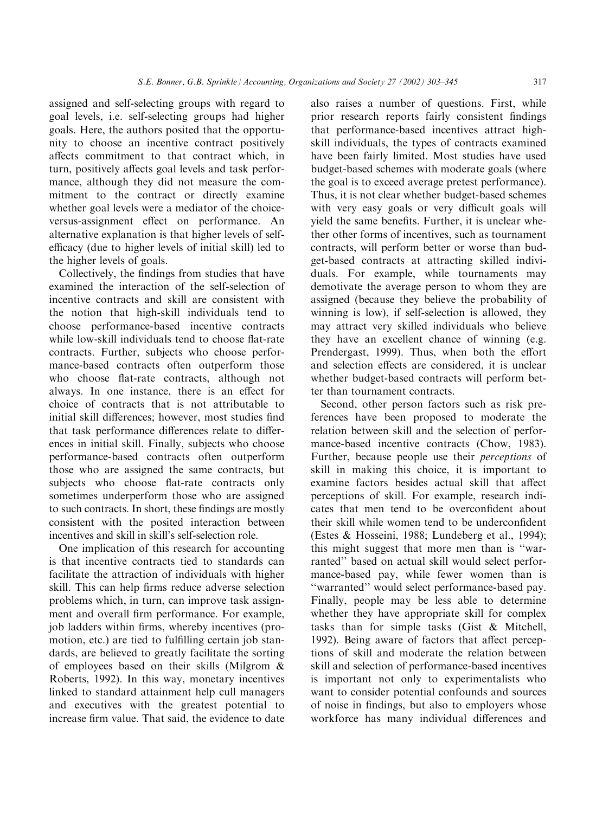assigned and self-selecting groups with regard to goal levels, i.e. self-selecting groups had higher goals. Here, the authors posited that the opportunity to choose an incentive contract positively affects commitment to that contract which, in turn, positively affects goal levels and task performance, although they did not measure the commitment to the contract or directly examine whether goal levels were a mediator of the choiceversus-assignment effect on performance. An alternative explanation is that higher levels of selfefficacy (due to higher levels of initial skill) led to the higher levels of goals.

Collectively, the findings from studies that have examined the interaction of the self-selection of incentive contracts and skill are consistent with the notion that high-skill individuals tend to choose performance-based incentive contracts while low-skill individuals tend to choose flat-rate contracts. Further, subjects who choose performance-based contracts often outperform those who choose flat-rate contracts, although not always. In one instance, there is an effect for choice of contracts that is not attributable to initial skill differences; however, most studies find that task performance differences relate to differences in initial skill. Finally, subjects who choose performance-based contracts often outperform those who are assigned the same contracts, but subjects who choose flat-rate contracts only sometimes underperform those who are assigned to such contracts. In short, these findings are mostly consistent with the posited interaction between incentives and skill in skill's self-selection role.

One implication of this research for accounting is that incentive contracts tied to standards can facilitate the attraction of individuals with higher skill. This can help firms reduce adverse selection problems which, in turn, can improve task assignment and overall firm performance. For example, job ladders within firms, whereby incentives (promotion, etc.) are tied to fulfilling certain job standards, are believed to greatly facilitate the sorting of employees based on their skills (Milgrom & Roberts, 1992). In this way, monetary incentives linked to standard attainment help cull managers and executives with the greatest potential to increase firm value. That said, the evidence to date

also raises a number of questions. First, while prior research reports fairly consistent findings that performance-based incentives attract highskill individuals, the types of contracts examined have been fairly limited. Most studies have used budget-based schemes with moderate goals (where the goal is to exceed average pretest performance). Thus, it is not clear whether budget-based schemes with very easy goals or very difficult goals will yield the same benefits. Further, it is unclear whether other forms of incentives, such as tournament contracts, will perform better or worse than budget-based contracts at attracting skilled individuals. For example, while tournaments may demotivate the average person to whom they are assigned (because they believe the probability of winning is low), if self-selection is allowed, they may attract very skilled individuals who believe they have an excellent chance of winning (e.g. Prendergast, 1999). Thus, when both the effort and selection effects are considered, it is unclear whether budget-based contracts will perform better than tournament contracts.

Second, other person factors such as risk preferences have been proposed to moderate the relation between skill and the selection of performance-based incentive contracts (Chow, 1983). Further, because people use their perceptions of skill in making this choice, it is important to examine factors besides actual skill that affect perceptions of skill. For example, research indicates that men tend to be overconfident about their skill while women tend to be underconfident (Estes & Hosseini, 1988; Lundeberget al., 1994); this might suggest that more men than is ''warranted'' based on actual skill would select performance-based pay, while fewer women than is ''warranted'' would select performance-based pay. Finally, people may be less able to determine whether they have appropriate skill for complex tasks than for simple tasks (Gist & Mitchell, 1992). Being aware of factors that affect perceptions of skill and moderate the relation between skill and selection of performance-based incentives is important not only to experimentalists who want to consider potential confounds and sources of noise in findings, but also to employers whose workforce has many individual differences and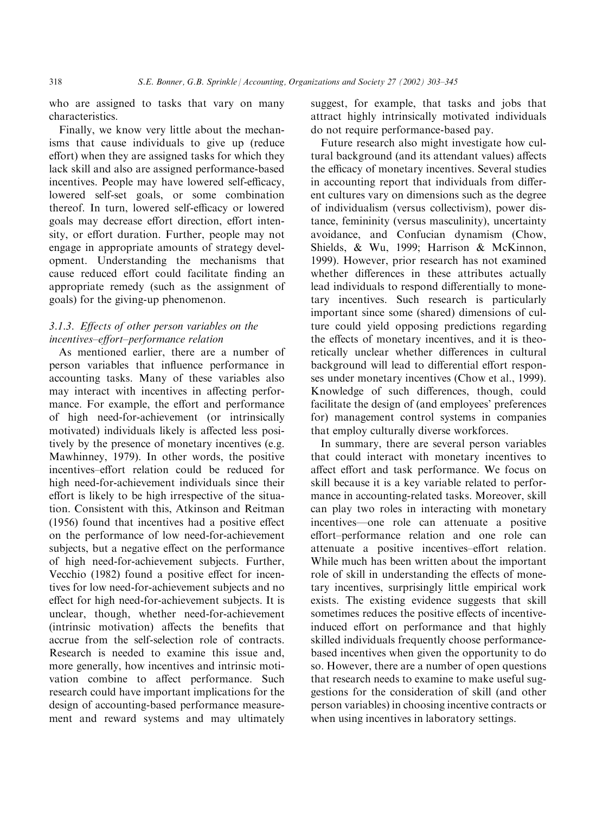who are assigned to tasks that vary on many characteristics.

Finally, we know very little about the mechanisms that cause individuals to give up (reduce effort) when they are assigned tasks for which they lack skill and also are assigned performance-based incentives. People may have lowered self-efficacy, lowered self-set goals, or some combination thereof. In turn, lowered self-efficacy or lowered goals may decrease effort direction, effort intensity, or effort duration. Further, people may not engage in appropriate amounts of strategy development. Understanding the mechanisms that cause reduced effort could facilitate finding an appropriate remedy (such as the assignment of goals) for the giving-up phenomenon.

## 3.1.3. Effects of other person variables on the incentives–effort–performance relation

As mentioned earlier, there are a number of person variables that influence performance in accounting tasks. Many of these variables also may interact with incentives in affecting performance. For example, the effort and performance of high need-for-achievement (or intrinsically motivated) individuals likely is affected less positively by the presence of monetary incentives (e.g. Mawhinney, 1979). In other words, the positive incentives–effort relation could be reduced for high need-for-achievement individuals since their effort is likely to be high irrespective of the situation. Consistent with this, Atkinson and Reitman (1956) found that incentives had a positive effect on the performance of low need-for-achievement subjects, but a negative effect on the performance of high need-for-achievement subjects. Further, Vecchio (1982) found a positive effect for incentives for low need-for-achievement subjects and no effect for high need-for-achievement subjects. It is unclear, though, whether need-for-achievement (intrinsic motivation) affects the benefits that accrue from the self-selection role of contracts. Research is needed to examine this issue and, more generally, how incentives and intrinsic motivation combine to affect performance. Such research could have important implications for the design of accounting-based performance measurement and reward systems and may ultimately suggest, for example, that tasks and jobs that attract highly intrinsically motivated individuals do not require performance-based pay.

Future research also might investigate how cultural background (and its attendant values) affects the efficacy of monetary incentives. Several studies in accounting report that individuals from different cultures vary on dimensions such as the degree of individualism (versus collectivism), power distance, femininity (versus masculinity), uncertainty avoidance, and Confucian dynamism (Chow, Shields, & Wu, 1999; Harrison & McKinnon, 1999). However, prior research has not examined whether differences in these attributes actually lead individuals to respond differentially to monetary incentives. Such research is particularly important since some (shared) dimensions of culture could yield opposing predictions regarding the effects of monetary incentives, and it is theoretically unclear whether differences in cultural background will lead to differential effort responses under monetary incentives (Chow et al., 1999). Knowledge of such differences, though, could facilitate the design of (and employees' preferences for) management control systems in companies that employ culturally diverse workforces.

In summary, there are several person variables that could interact with monetary incentives to affect effort and task performance. We focus on skill because it is a key variable related to performance in accounting-related tasks. Moreover, skill can play two roles in interacting with monetary incentives—one role can attenuate a positive effort–performance relation and one role can attenuate a positive incentives–effort relation. While much has been written about the important role of skill in understanding the effects of monetary incentives, surprisingly little empirical work exists. The existing evidence suggests that skill sometimes reduces the positive effects of incentiveinduced effort on performance and that highly skilled individuals frequently choose performancebased incentives when given the opportunity to do so. However, there are a number of open questions that research needs to examine to make useful suggestions for the consideration of skill (and other person variables) in choosing incentive contracts or when using incentives in laboratory settings.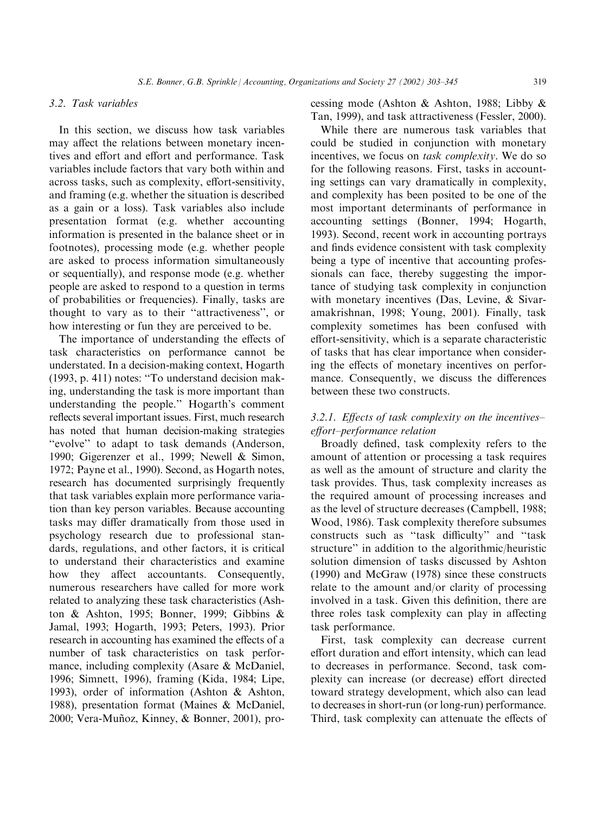In this section, we discuss how task variables may affect the relations between monetary incentives and effort and effort and performance. Task variables include factors that vary both within and across tasks, such as complexity, effort-sensitivity, and framing(e.g. whether the situation is described as a gain or a loss). Task variables also include presentation format (e.g. whether accounting information is presented in the balance sheet or in footnotes), processing mode (e.g. whether people are asked to process information simultaneously or sequentially), and response mode (e.g. whether people are asked to respond to a question in terms of probabilities or frequencies). Finally, tasks are thought to vary as to their ''attractiveness'', or how interesting or fun they are perceived to be.

The importance of understanding the effects of task characteristics on performance cannot be understated. In a decision-making context, Hogarth (1993, p. 411) notes: ''To understand decision making, understanding the task is more important than understanding the people." Hogarth's comment reflects several important issues. First, much research has noted that human decision-making strategies ''evolve'' to adapt to task demands (Anderson, 1990; Gigerenzer et al., 1999; Newell & Simon, 1972; Payne et al., 1990). Second, as Hogarth notes, research has documented surprisingly frequently that task variables explain more performance variation than key person variables. Because accounting tasks may differ dramatically from those used in psychology research due to professional standards, regulations, and other factors, it is critical to understand their characteristics and examine how they affect accountants. Consequently, numerous researchers have called for more work related to analyzing these task characteristics (Ashton & Ashton, 1995; Bonner, 1999; Gibbins & Jamal, 1993; Hogarth, 1993; Peters, 1993). Prior research in accounting has examined the effects of a number of task characteristics on task performance, including complexity (Asare & McDaniel, 1996; Simnett, 1996), framing(Kida, 1984; Lipe, 1993), order of information (Ashton & Ashton, 1988), presentation format (Maines & McDaniel, 2000; Vera-Muñoz, Kinney, & Bonner, 2001), processing mode (Ashton & Ashton, 1988; Libby & Tan, 1999), and task attractiveness (Fessler, 2000).

While there are numerous task variables that could be studied in conjunction with monetary incentives, we focus on task complexity. We do so for the following reasons. First, tasks in accounting settings can vary dramatically in complexity, and complexity has been posited to be one of the most important determinants of performance in accounting settings (Bonner, 1994; Hogarth, 1993). Second, recent work in accounting portrays and finds evidence consistent with task complexity being a type of incentive that accounting professionals can face, thereby suggesting the importance of studying task complexity in conjunction with monetary incentives (Das, Levine, & Sivaramakrishnan, 1998; Young, 2001). Finally, task complexity sometimes has been confused with effort-sensitivity, which is a separate characteristic of tasks that has clear importance when considering the effects of monetary incentives on performance. Consequently, we discuss the differences between these two constructs.

### 3.2.1. Effects of task complexity on the incentives– effort–performance relation

Broadly defined, task complexity refers to the amount of attention or processinga task requires as well as the amount of structure and clarity the task provides. Thus, task complexity increases as the required amount of processing increases and as the level of structure decreases (Campbell, 1988; Wood, 1986). Task complexity therefore subsumes constructs such as ''task difficulty'' and ''task structure'' in addition to the algorithmic/heuristic solution dimension of tasks discussed by Ashton (1990) and McGraw (1978) since these constructs relate to the amount and/or clarity of processing involved in a task. Given this definition, there are three roles task complexity can play in affecting task performance.

First, task complexity can decrease current effort duration and effort intensity, which can lead to decreases in performance. Second, task complexity can increase (or decrease) effort directed toward strategy development, which also can lead to decreases in short-run (or long-run) performance. Third, task complexity can attenuate the effects of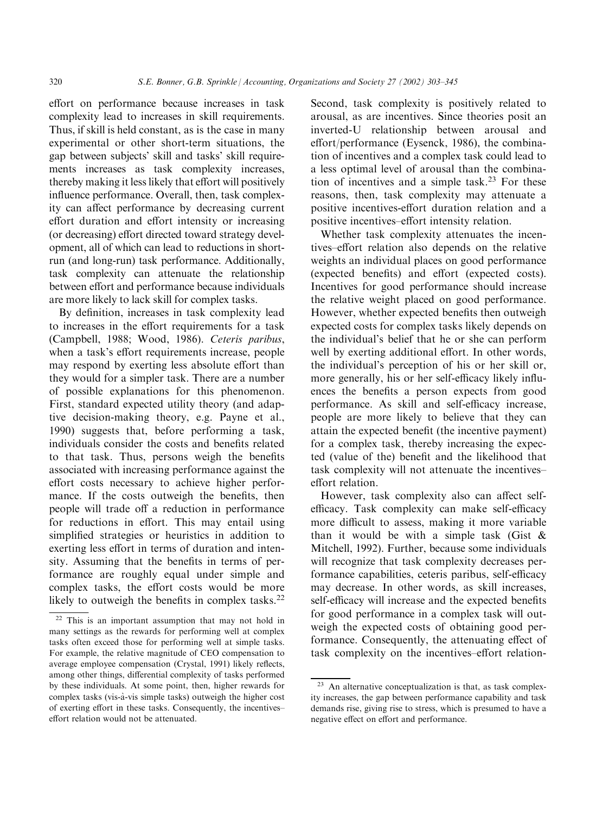effort on performance because increases in task complexity lead to increases in skill requirements. Thus, if skill is held constant, as is the case in many experimental or other short-term situations, the gap between subjects' skill and tasks' skill requirements increases as task complexity increases, thereby makingit less likely that effort will positively influence performance. Overall, then, task complexity can affect performance by decreasing current effort duration and effort intensity or increasing (or decreasing) effort directed toward strategy development, all of which can lead to reductions in shortrun (and long-run) task performance. Additionally, task complexity can attenuate the relationship between effort and performance because individuals are more likely to lack skill for complex tasks.

By definition, increases in task complexity lead to increases in the effort requirements for a task (Campbell, 1988; Wood, 1986). Ceteris paribus, when a task's effort requirements increase, people may respond by exerting less absolute effort than they would for a simpler task. There are a number of possible explanations for this phenomenon. First, standard expected utility theory (and adaptive decision-making theory, e.g. Payne et al., 1990) suggests that, before performing a task, individuals consider the costs and benefits related to that task. Thus, persons weigh the benefits associated with increasing performance against the effort costs necessary to achieve higher performance. If the costs outweigh the benefits, then people will trade off a reduction in performance for reductions in effort. This may entail using simplified strategies or heuristics in addition to exerting less effort in terms of duration and intensity. Assuming that the benefits in terms of performance are roughly equal under simple and complex tasks, the effort costs would be more likely to outweigh the benefits in complex tasks.<sup>22</sup>

Second, task complexity is positively related to arousal, as are incentives. Since theories posit an inverted-U relationship between arousal and effort/performance (Eysenck, 1986), the combination of incentives and a complex task could lead to a less optimal level of arousal than the combination of incentives and a simple task.<sup>23</sup> For these reasons, then, task complexity may attenuate a positive incentives-effort duration relation and a positive incentives–effort intensity relation.

Whether task complexity attenuates the incentives–effort relation also depends on the relative weights an individual places on good performance (expected benefits) and effort (expected costs). Incentives for good performance should increase the relative weight placed on good performance. However, whether expected benefits then outweigh expected costs for complex tasks likely depends on the individual's belief that he or she can perform well by exerting additional effort. In other words, the individual's perception of his or her skill or, more generally, his or her self-efficacy likely influences the benefits a person expects from good performance. As skill and self-efficacy increase, people are more likely to believe that they can attain the expected benefit (the incentive payment) for a complex task, thereby increasing the expected (value of the) benefit and the likelihood that task complexity will not attenuate the incentives– effort relation.

However, task complexity also can affect selfefficacy. Task complexity can make self-efficacy more difficult to assess, making it more variable than it would be with a simple task (Gist  $\&$ Mitchell, 1992). Further, because some individuals will recognize that task complexity decreases performance capabilities, ceteris paribus, self-efficacy may decrease. In other words, as skill increases, self-efficacy will increase and the expected benefits for good performance in a complex task will outweigh the expected costs of obtaining good performance. Consequently, the attenuating effect of task complexity on the incentives–effort relation-

<sup>22</sup> This is an important assumption that may not hold in many settings as the rewards for performing well at complex tasks often exceed those for performing well at simple tasks. For example, the relative magnitude of CEO compensation to average employee compensation (Crystal, 1991) likely reflects, among other things, differential complexity of tasks performed by these individuals. At some point, then, higher rewards for complex tasks (vis-à-vis simple tasks) outweigh the higher cost of exertingeffort in these tasks. Consequently, the incentives– effort relation would not be attenuated.

<sup>&</sup>lt;sup>23</sup> An alternative conceptualization is that, as task complexity increases, the gap between performance capability and task demands rise, giving rise to stress, which is presumed to have a negative effect on effort and performance.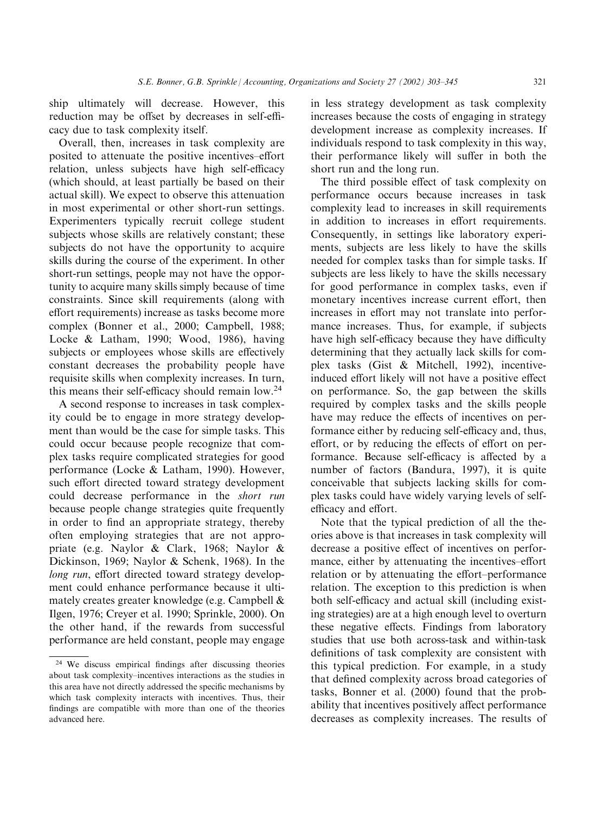ship ultimately will decrease. However, this reduction may be offset by decreases in self-efficacy due to task complexity itself.

Overall, then, increases in task complexity are posited to attenuate the positive incentives–effort relation, unless subjects have high self-efficacy (which should, at least partially be based on their actual skill). We expect to observe this attenuation in most experimental or other short-run settings. Experimenters typically recruit college student subjects whose skills are relatively constant; these subjects do not have the opportunity to acquire skills during the course of the experiment. In other short-run settings, people may not have the opportunity to acquire many skills simply because of time constraints. Since skill requirements (along with effort requirements) increase as tasks become more complex (Bonner et al., 2000; Campbell, 1988; Locke & Latham, 1990; Wood, 1986), having subjects or employees whose skills are effectively constant decreases the probability people have requisite skills when complexity increases. In turn, this means their self-efficacy should remain low.24

A second response to increases in task complexity could be to engage in more strategy development than would be the case for simple tasks. This could occur because people recognize that complex tasks require complicated strategies for good performance (Locke & Latham, 1990). However, such effort directed toward strategy development could decrease performance in the short run because people change strategies quite frequently in order to find an appropriate strategy, thereby often employing strategies that are not appropriate (e.g. Naylor & Clark, 1968; Naylor & Dickinson, 1969; Naylor & Schenk, 1968). In the long run, effort directed toward strategy development could enhance performance because it ultimately creates greater knowledge (e.g. Campbell & Ilgen, 1976; Creyer et al. 1990; Sprinkle, 2000). On the other hand, if the rewards from successful performance are held constant, people may engage in less strategy development as task complexity increases because the costs of engaging in strategy development increase as complexity increases. If individuals respond to task complexity in this way, their performance likely will suffer in both the short run and the long run.

The third possible effect of task complexity on performance occurs because increases in task complexity lead to increases in skill requirements in addition to increases in effort requirements. Consequently, in settings like laboratory experiments, subjects are less likely to have the skills needed for complex tasks than for simple tasks. If subjects are less likely to have the skills necessary for good performance in complex tasks, even if monetary incentives increase current effort, then increases in effort may not translate into performance increases. Thus, for example, if subjects have high self-efficacy because they have difficulty determining that they actually lack skills for complex tasks (Gist & Mitchell, 1992), incentiveinduced effort likely will not have a positive effect on performance. So, the gap between the skills required by complex tasks and the skills people have may reduce the effects of incentives on performance either by reducing self-efficacy and, thus, effort, or by reducing the effects of effort on performance. Because self-efficacy is affected by a number of factors (Bandura, 1997), it is quite conceivable that subjects lacking skills for complex tasks could have widely varying levels of selfefficacy and effort.

Note that the typical prediction of all the theories above is that increases in task complexity will decrease a positive effect of incentives on performance, either by attenuating the incentives–effort relation or by attenuating the effort–performance relation. The exception to this prediction is when both self-efficacy and actual skill (including existing strategies) are at a high enough level to overturn these negative effects. Findings from laboratory studies that use both across-task and within-task definitions of task complexity are consistent with this typical prediction. For example, in a study that defined complexity across broad categories of tasks, Bonner et al. (2000) found that the probability that incentives positively affect performance decreases as complexity increases. The results of

<sup>24</sup> We discuss empirical findings after discussing theories about task complexity–incentives interactions as the studies in this area have not directly addressed the specific mechanisms by which task complexity interacts with incentives. Thus, their findings are compatible with more than one of the theories advanced here.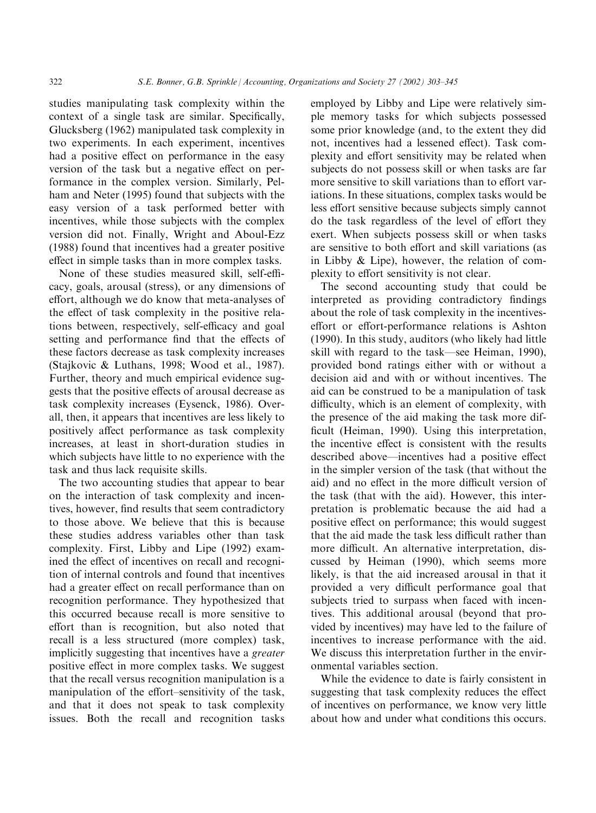studies manipulating task complexity within the context of a single task are similar. Specifically, Glucksberg(1962) manipulated task complexity in two experiments. In each experiment, incentives had a positive effect on performance in the easy version of the task but a negative effect on performance in the complex version. Similarly, Pelham and Neter (1995) found that subjects with the easy version of a task performed better with incentives, while those subjects with the complex version did not. Finally, Wright and Aboul-Ezz (1988) found that incentives had a greater positive effect in simple tasks than in more complex tasks.

None of these studies measured skill, self-efficacy, goals, arousal (stress), or any dimensions of effort, although we do know that meta-analyses of the effect of task complexity in the positive relations between, respectively, self-efficacy and goal setting and performance find that the effects of these factors decrease as task complexity increases (Stajkovic & Luthans, 1998; Wood et al., 1987). Further, theory and much empirical evidence suggests that the positive effects of arousal decrease as task complexity increases (Eysenck, 1986). Overall, then, it appears that incentives are less likely to positively affect performance as task complexity increases, at least in short-duration studies in which subjects have little to no experience with the task and thus lack requisite skills.

The two accounting studies that appear to bear on the interaction of task complexity and incentives, however, find results that seem contradictory to those above. We believe that this is because these studies address variables other than task complexity. First, Libby and Lipe (1992) examined the effect of incentives on recall and recognition of internal controls and found that incentives had a greater effect on recall performance than on recognition performance. They hypothesized that this occurred because recall is more sensitive to effort than is recognition, but also noted that recall is a less structured (more complex) task, implicitly suggesting that incentives have a greater positive effect in more complex tasks. We suggest that the recall versus recognition manipulation is a manipulation of the effort–sensitivity of the task, and that it does not speak to task complexity issues. Both the recall and recognition tasks

employed by Libby and Lipe were relatively simple memory tasks for which subjects possessed some prior knowledge (and, to the extent they did not, incentives had a lessened effect). Task complexity and effort sensitivity may be related when subjects do not possess skill or when tasks are far more sensitive to skill variations than to effort variations. In these situations, complex tasks would be less effort sensitive because subjects simply cannot do the task regardless of the level of effort they exert. When subjects possess skill or when tasks are sensitive to both effort and skill variations (as in Libby & Lipe), however, the relation of complexity to effort sensitivity is not clear.

The second accounting study that could be interpreted as providing contradictory findings about the role of task complexity in the incentiveseffort or effort-performance relations is Ashton (1990). In this study, auditors (who likely had little skill with regard to the task—see Heiman, 1990), provided bond ratings either with or without a decision aid and with or without incentives. The aid can be construed to be a manipulation of task difficulty, which is an element of complexity, with the presence of the aid making the task more difficult (Heiman, 1990). Using this interpretation, the incentive effect is consistent with the results described above—incentives had a positive effect in the simpler version of the task (that without the aid) and no effect in the more difficult version of the task (that with the aid). However, this interpretation is problematic because the aid had a positive effect on performance; this would suggest that the aid made the task less difficult rather than more difficult. An alternative interpretation, discussed by Heiman (1990), which seems more likely, is that the aid increased arousal in that it provided a very difficult performance goal that subjects tried to surpass when faced with incentives. This additional arousal (beyond that provided by incentives) may have led to the failure of incentives to increase performance with the aid. We discuss this interpretation further in the environmental variables section.

While the evidence to date is fairly consistent in suggesting that task complexity reduces the effect of incentives on performance, we know very little about how and under what conditions this occurs.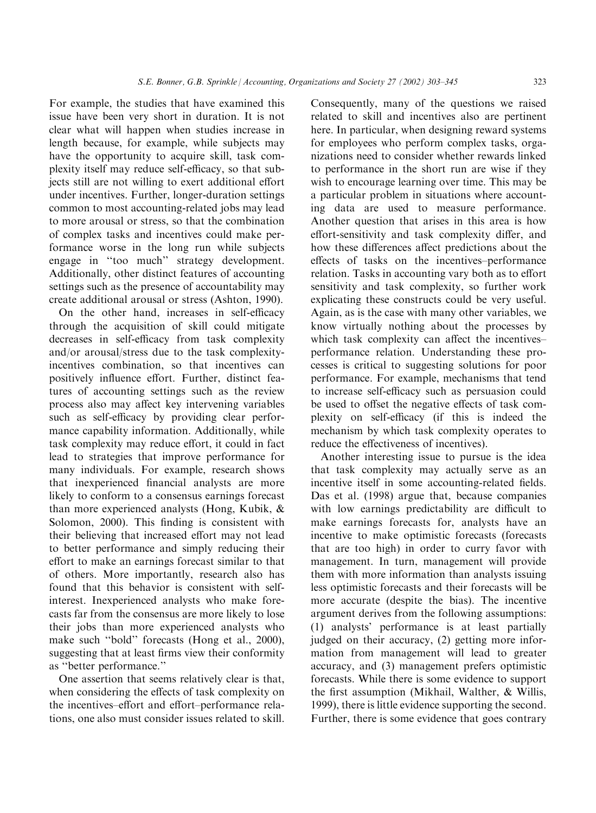For example, the studies that have examined this issue have been very short in duration. It is not clear what will happen when studies increase in length because, for example, while subjects may have the opportunity to acquire skill, task complexity itself may reduce self-efficacy, so that subjects still are not willing to exert additional effort under incentives. Further, longer-duration settings common to most accounting-related jobs may lead to more arousal or stress, so that the combination of complex tasks and incentives could make performance worse in the long run while subjects engage in ''too much'' strategy development. Additionally, other distinct features of accounting settings such as the presence of accountability may create additional arousal or stress (Ashton, 1990).

On the other hand, increases in self-efficacy through the acquisition of skill could mitigate decreases in self-efficacy from task complexity and/or arousal/stress due to the task complexityincentives combination, so that incentives can positively influence effort. Further, distinct features of accounting settings such as the review process also may affect key intervening variables such as self-efficacy by providing clear performance capability information. Additionally, while task complexity may reduce effort, it could in fact lead to strategies that improve performance for many individuals. For example, research shows that inexperienced financial analysts are more likely to conform to a consensus earnings forecast than more experienced analysts (Hong, Kubik, & Solomon, 2000). This finding is consistent with their believing that increased effort may not lead to better performance and simply reducing their effort to make an earnings forecast similar to that of others. More importantly, research also has found that this behavior is consistent with selfinterest. Inexperienced analysts who make forecasts far from the consensus are more likely to lose their jobs than more experienced analysts who make such "bold" forecasts (Hong et al., 2000), suggesting that at least firms view their conformity as ''better performance.''

One assertion that seems relatively clear is that, when considering the effects of task complexity on the incentives–effort and effort–performance relations, one also must consider issues related to skill.

Consequently, many of the questions we raised related to skill and incentives also are pertinent here. In particular, when designing reward systems for employees who perform complex tasks, organizations need to consider whether rewards linked to performance in the short run are wise if they wish to encourage learning over time. This may be a particular problem in situations where accounting data are used to measure performance. Another question that arises in this area is how effort-sensitivity and task complexity differ, and how these differences affect predictions about the effects of tasks on the incentives–performance relation. Tasks in accounting vary both as to effort sensitivity and task complexity, so further work explicating these constructs could be very useful. Again, as is the case with many other variables, we know virtually nothing about the processes by which task complexity can affect the incentives– performance relation. Understanding these processes is critical to suggesting solutions for poor performance. For example, mechanisms that tend to increase self-efficacy such as persuasion could be used to offset the negative effects of task complexity on self-efficacy (if this is indeed the mechanism by which task complexity operates to reduce the effectiveness of incentives).

Another interesting issue to pursue is the idea that task complexity may actually serve as an incentive itself in some accounting-related fields. Das et al. (1998) argue that, because companies with low earnings predictability are difficult to make earnings forecasts for, analysts have an incentive to make optimistic forecasts (forecasts that are too high) in order to curry favor with management. In turn, management will provide them with more information than analysts issuing less optimistic forecasts and their forecasts will be more accurate (despite the bias). The incentive argument derives from the following assumptions: (1) analysts' performance is at least partially judged on their accuracy, (2) getting more information from management will lead to greater accuracy, and (3) management prefers optimistic forecasts. While there is some evidence to support the first assumption (Mikhail, Walther, & Willis, 1999), there is little evidence supporting the second. Further, there is some evidence that goes contrary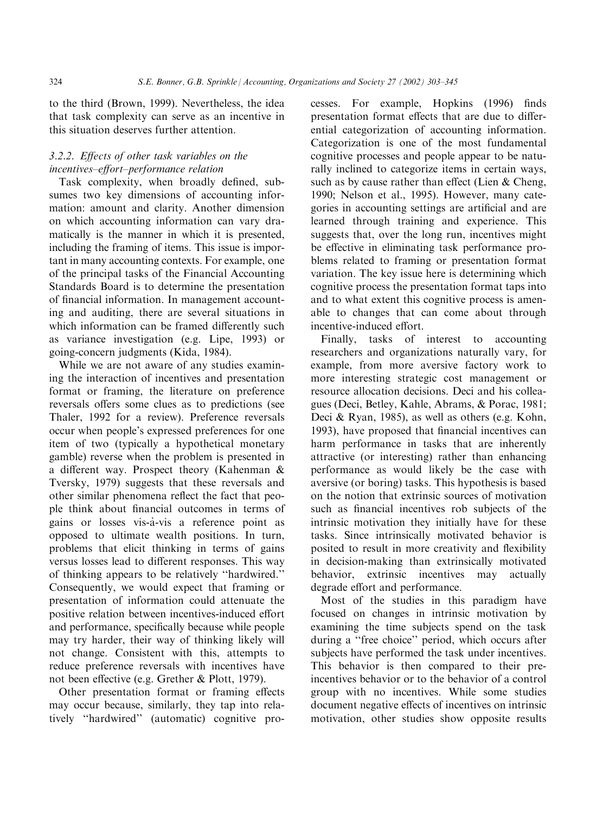to the third (Brown, 1999). Nevertheless, the idea that task complexity can serve as an incentive in this situation deserves further attention.

## 3.2.2. Effects of other task variables on the incentives–effort–performance relation

Task complexity, when broadly defined, subsumes two key dimensions of accounting information: amount and clarity. Another dimension on which accounting information can vary dramatically is the manner in which it is presented, including the framing of items. This issue is important in many accounting contexts. For example, one of the principal tasks of the Financial Accounting Standards Board is to determine the presentation of financial information. In management accountingand auditing, there are several situations in which information can be framed differently such as variance investigation (e.g. Lipe, 1993) or going-concern judgments (Kida, 1984).

While we are not aware of any studies examining the interaction of incentives and presentation format or framing, the literature on preference reversals offers some clues as to predictions (see Thaler, 1992 for a review). Preference reversals occur when people's expressed preferences for one item of two (typically a hypothetical monetary gamble) reverse when the problem is presented in a different way. Prospect theory (Kahenman & Tversky, 1979) suggests that these reversals and other similar phenomena reflect the fact that people think about financial outcomes in terms of gains or losses vis-a`-vis a reference point as opposed to ultimate wealth positions. In turn, problems that elicit thinking in terms of gains versus losses lead to different responses. This way of thinkingappears to be relatively ''hardwired.'' Consequently, we would expect that framing or presentation of information could attenuate the positive relation between incentives-induced effort and performance, specifically because while people may try harder, their way of thinking likely will not change. Consistent with this, attempts to reduce preference reversals with incentives have not been effective (e.g. Grether & Plott, 1979).

Other presentation format or framing effects may occur because, similarly, they tap into relatively ''hardwired'' (automatic) cognitive processes. For example, Hopkins (1996) finds presentation format effects that are due to differential categorization of accounting information. Categorization is one of the most fundamental cognitive processes and people appear to be naturally inclined to categorize items in certain ways, such as by cause rather than effect (Lien  $&$  Cheng, 1990; Nelson et al., 1995). However, many categories in accounting settings are artificial and are learned through training and experience. This suggests that, over the long run, incentives might be effective in eliminating task performance problems related to framing or presentation format variation. The key issue here is determining which cognitive process the presentation format taps into and to what extent this cognitive process is amenable to changes that can come about through incentive-induced effort.

Finally, tasks of interest to accounting researchers and organizations naturally vary, for example, from more aversive factory work to more interesting strategic cost management or resource allocation decisions. Deci and his colleagues (Deci, Betley, Kahle, Abrams, & Porac, 1981; Deci & Ryan, 1985), as well as others (e.g. Kohn, 1993), have proposed that financial incentives can harm performance in tasks that are inherently attractive (or interesting) rather than enhancing performance as would likely be the case with aversive (or boring) tasks. This hypothesis is based on the notion that extrinsic sources of motivation such as financial incentives rob subjects of the intrinsic motivation they initially have for these tasks. Since intrinsically motivated behavior is posited to result in more creativity and flexibility in decision-making than extrinsically motivated behavior, extrinsic incentives may actually degrade effort and performance.

Most of the studies in this paradigm have focused on changes in intrinsic motivation by examining the time subjects spend on the task duringa ''free choice'' period, which occurs after subjects have performed the task under incentives. This behavior is then compared to their preincentives behavior or to the behavior of a control group with no incentives. While some studies document negative effects of incentives on intrinsic motivation, other studies show opposite results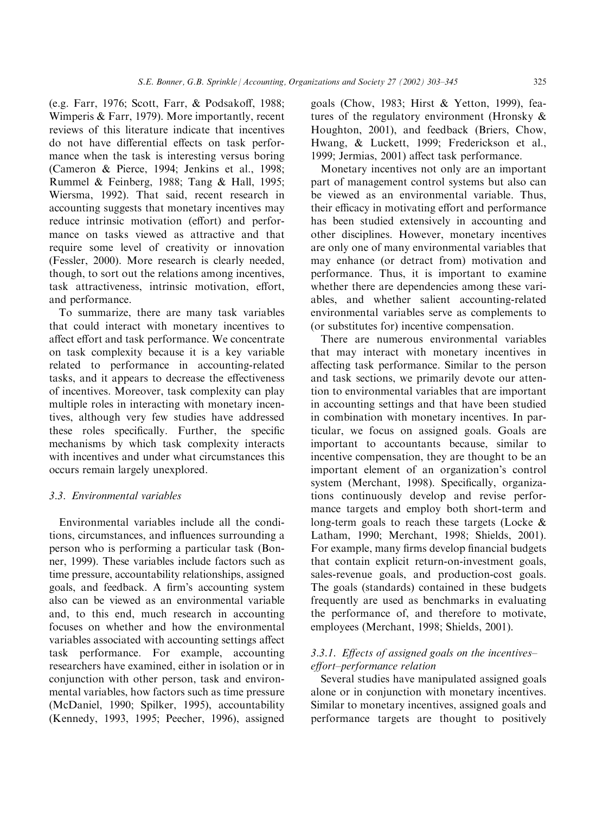(e.g. Farr, 1976; Scott, Farr, & Podsakoff, 1988; Wimperis & Farr, 1979). More importantly, recent reviews of this literature indicate that incentives do not have differential effects on task performance when the task is interesting versus boring (Cameron & Pierce, 1994; Jenkins et al., 1998; Rummel & Feinberg, 1988; Tang & Hall, 1995; Wiersma, 1992). That said, recent research in accounting suggests that monetary incentives may reduce intrinsic motivation (effort) and performance on tasks viewed as attractive and that require some level of creativity or innovation (Fessler, 2000). More research is clearly needed, though, to sort out the relations among incentives, task attractiveness, intrinsic motivation, effort, and performance.

To summarize, there are many task variables that could interact with monetary incentives to affect effort and task performance. We concentrate on task complexity because it is a key variable related to performance in accounting-related tasks, and it appears to decrease the effectiveness of incentives. Moreover, task complexity can play multiple roles in interacting with monetary incentives, although very few studies have addressed these roles specifically. Further, the specific mechanisms by which task complexity interacts with incentives and under what circumstances this occurs remain largely unexplored.

#### 3.3. Environmental variables

Environmental variables include all the conditions, circumstances, and influences surroundinga person who is performinga particular task (Bonner, 1999). These variables include factors such as time pressure, accountability relationships, assigned goals, and feedback. A firm's accounting system also can be viewed as an environmental variable and, to this end, much research in accounting focuses on whether and how the environmental variables associated with accounting settings affect task performance. For example, accounting researchers have examined, either in isolation or in conjunction with other person, task and environmental variables, how factors such as time pressure (McDaniel, 1990; Spilker, 1995), accountability (Kennedy, 1993, 1995; Peecher, 1996), assigned goals (Chow, 1983; Hirst & Yetton, 1999), features of the regulatory environment (Hronsky & Houghton, 2001), and feedback (Briers, Chow, Hwang, & Luckett, 1999; Frederickson et al., 1999; Jermias, 2001) affect task performance.

Monetary incentives not only are an important part of management control systems but also can be viewed as an environmental variable. Thus, their efficacy in motivatingeffort and performance has been studied extensively in accounting and other disciplines. However, monetary incentives are only one of many environmental variables that may enhance (or detract from) motivation and performance. Thus, it is important to examine whether there are dependencies among these variables, and whether salient accounting-related environmental variables serve as complements to (or substitutes for) incentive compensation.

There are numerous environmental variables that may interact with monetary incentives in affecting task performance. Similar to the person and task sections, we primarily devote our attention to environmental variables that are important in accounting settings and that have been studied in combination with monetary incentives. In particular, we focus on assigned goals. Goals are important to accountants because, similar to incentive compensation, they are thought to be an important element of an organization's control system (Merchant, 1998). Specifically, organizations continuously develop and revise performance targets and employ both short-term and long-term goals to reach these targets (Locke & Latham, 1990; Merchant, 1998; Shields, 2001). For example, many firms develop financial budgets that contain explicit return-on-investment goals, sales-revenue goals, and production-cost goals. The goals (standards) contained in these budgets frequently are used as benchmarks in evaluating the performance of, and therefore to motivate, employees (Merchant, 1998; Shields, 2001).

### 3.3.1. Effects of assigned goals on the incentives– effort–performance relation

Several studies have manipulated assigned goals alone or in conjunction with monetary incentives. Similar to monetary incentives, assigned goals and performance targets are thought to positively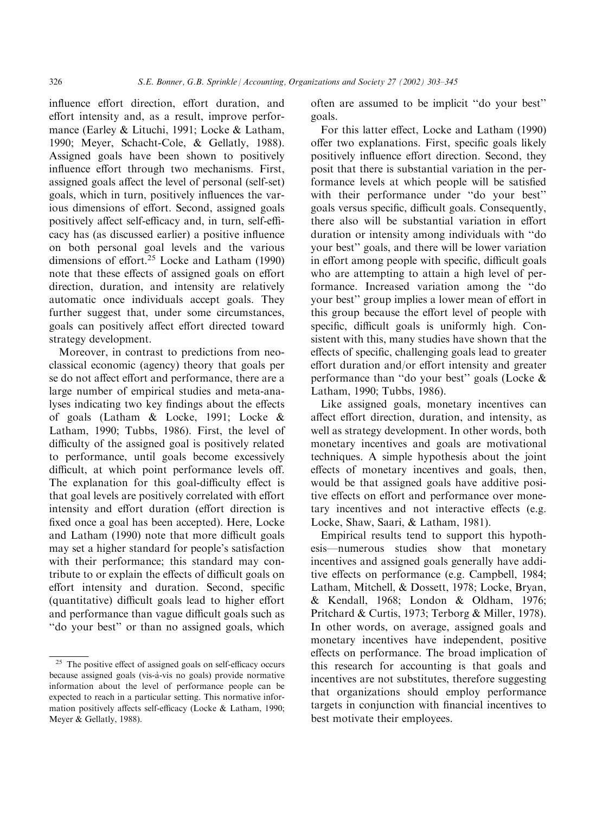influence effort direction, effort duration, and effort intensity and, as a result, improve performance (Earley & Lituchi, 1991; Locke & Latham, 1990; Meyer, Schacht-Cole, & Gellatly, 1988). Assigned goals have been shown to positively influence effort through two mechanisms. First, assigned goals affect the level of personal (self-set) goals, which in turn, positively influences the various dimensions of effort. Second, assigned goals positively affect self-efficacy and, in turn, self-efficacy has (as discussed earlier) a positive influence on both personal goal levels and the various dimensions of effort.<sup>25</sup> Locke and Latham (1990) note that these effects of assigned goals on effort direction, duration, and intensity are relatively automatic once individuals accept goals. They further suggest that, under some circumstances, goals can positively affect effort directed toward strategy development.

Moreover, in contrast to predictions from neoclassical economic (agency) theory that goals per se do not affect effort and performance, there are a large number of empirical studies and meta-analyses indicating two key findings about the effects of goals (Latham & Locke, 1991; Locke & Latham, 1990; Tubbs, 1986). First, the level of difficulty of the assigned goal is positively related to performance, until goals become excessively difficult, at which point performance levels off. The explanation for this goal-difficulty effect is that goal levels are positively correlated with effort intensity and effort duration (effort direction is fixed once a goal has been accepted). Here, Locke and Latham (1990) note that more difficult goals may set a higher standard for people's satisfaction with their performance; this standard may contribute to or explain the effects of difficult goals on effort intensity and duration. Second, specific (quantitative) difficult goals lead to higher effort and performance than vague difficult goals such as ''do your best'' or than no assigned goals, which often are assumed to be implicit ''do your best'' goals.

For this latter effect, Locke and Latham (1990) offer two explanations. First, specific goals likely positively influence effort direction. Second, they posit that there is substantial variation in the performance levels at which people will be satisfied with their performance under "do your best" goals versus specific, difficult goals. Consequently, there also will be substantial variation in effort duration or intensity amongindividuals with ''do your best'' goals, and there will be lower variation in effort among people with specific, difficult goals who are attempting to attain a high level of performance. Increased variation among the "do your best'' group implies a lower mean of effort in this group because the effort level of people with specific, difficult goals is uniformly high. Consistent with this, many studies have shown that the effects of specific, challenging goals lead to greater effort duration and/or effort intensity and greater performance than ''do your best'' goals (Locke & Latham, 1990; Tubbs, 1986).

Like assigned goals, monetary incentives can affect effort direction, duration, and intensity, as well as strategy development. In other words, both monetary incentives and goals are motivational techniques. A simple hypothesis about the joint effects of monetary incentives and goals, then, would be that assigned goals have additive positive effects on effort and performance over monetary incentives and not interactive effects (e.g. Locke, Shaw, Saari, & Latham, 1981).

Empirical results tend to support this hypothesis—numerous studies show that monetary incentives and assigned goals generally have additive effects on performance (e.g. Campbell, 1984; Latham, Mitchell, & Dossett, 1978; Locke, Bryan, & Kendall, 1968; London & Oldham, 1976; Pritchard & Curtis, 1973; Terborg& Miller, 1978). In other words, on average, assigned goals and monetary incentives have independent, positive effects on performance. The broad implication of this research for accounting is that goals and incentives are not substitutes, therefore suggesting that organizations should employ performance targets in conjunction with financial incentives to best motivate their employees.

<sup>&</sup>lt;sup>25</sup> The positive effect of assigned goals on self-efficacy occurs because assigned goals (vis-à-vis no goals) provide normative information about the level of performance people can be expected to reach in a particular setting. This normative information positively affects self-efficacy (Locke & Latham, 1990; Meyer & Gellatly, 1988).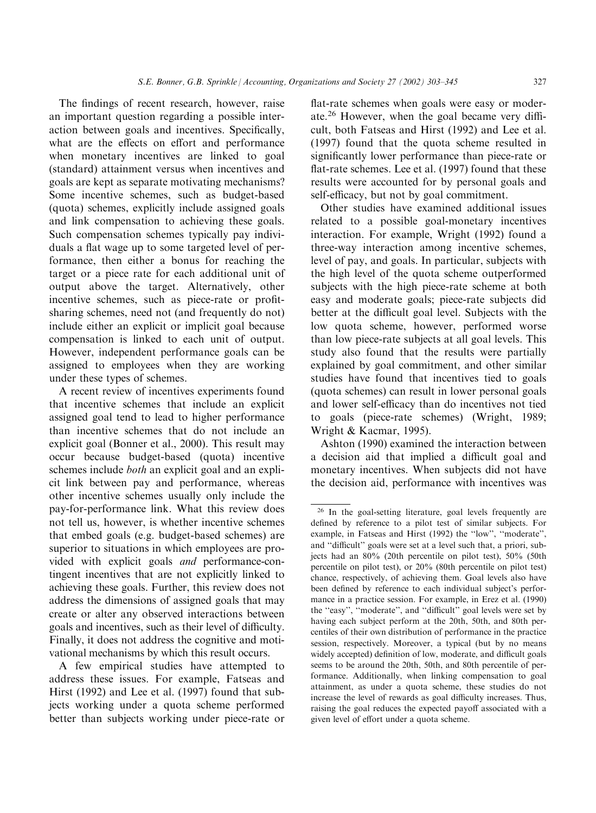The findings of recent research, however, raise an important question regarding a possible interaction between goals and incentives. Specifically, what are the effects on effort and performance when monetary incentives are linked to goal (standard) attainment versus when incentives and goals are kept as separate motivating mechanisms? Some incentive schemes, such as budget-based (quota) schemes, explicitly include assigned goals and link compensation to achieving these goals. Such compensation schemes typically pay individuals a flat wage up to some targeted level of performance, then either a bonus for reaching the target or a piece rate for each additional unit of output above the target. Alternatively, other incentive schemes, such as piece-rate or profitsharing schemes, need not (and frequently do not) include either an explicit or implicit goal because compensation is linked to each unit of output. However, independent performance goals can be assigned to employees when they are working under these types of schemes.

A recent review of incentives experiments found that incentive schemes that include an explicit assigned goal tend to lead to higher performance than incentive schemes that do not include an explicit goal (Bonner et al., 2000). This result may occur because budget-based (quota) incentive schemes include *both* an explicit goal and an explicit link between pay and performance, whereas other incentive schemes usually only include the pay-for-performance link. What this review does not tell us, however, is whether incentive schemes that embed goals (e.g. budget-based schemes) are superior to situations in which employees are provided with explicit goals and performance-contingent incentives that are not explicitly linked to achieving these goals. Further, this review does not address the dimensions of assigned goals that may create or alter any observed interactions between goals and incentives, such as their level of difficulty. Finally, it does not address the cognitive and motivational mechanisms by which this result occurs.

A few empirical studies have attempted to address these issues. For example, Fatseas and Hirst (1992) and Lee et al. (1997) found that subjects working under a quota scheme performed better than subjects working under piece-rate or flat-rate schemes when goals were easy or moderate.<sup>26</sup> However, when the goal became very difficult, both Fatseas and Hirst (1992) and Lee et al. (1997) found that the quota scheme resulted in significantly lower performance than piece-rate or flat-rate schemes. Lee et al. (1997) found that these results were accounted for by personal goals and self-efficacy, but not by goal commitment.

Other studies have examined additional issues related to a possible goal-monetary incentives interaction. For example, Wright (1992) found a three-way interaction among incentive schemes, level of pay, and goals. In particular, subjects with the high level of the quota scheme outperformed subjects with the high piece-rate scheme at both easy and moderate goals; piece-rate subjects did better at the difficult goal level. Subjects with the low quota scheme, however, performed worse than low piece-rate subjects at all goal levels. This study also found that the results were partially explained by goal commitment, and other similar studies have found that incentives tied to goals (quota schemes) can result in lower personal goals and lower self-efficacy than do incentives not tied to goals (piece-rate schemes) (Wright, 1989; Wright & Kacmar, 1995).

Ashton (1990) examined the interaction between a decision aid that implied a difficult goal and monetary incentives. When subjects did not have the decision aid, performance with incentives was

<sup>26</sup> In the goal-setting literature, goal levels frequently are defined by reference to a pilot test of similar subjects. For example, in Fatseas and Hirst (1992) the ''low'', ''moderate'', and ''difficult'' goals were set at a level such that, a priori, subjects had an 80% (20th percentile on pilot test), 50% (50th percentile on pilot test), or 20% (80th percentile on pilot test) chance, respectively, of achieving them. Goal levels also have been defined by reference to each individual subject's performance in a practice session. For example, in Erez et al. (1990) the ''easy'', ''moderate'', and ''difficult'' goal levels were set by having each subject perform at the 20th, 50th, and 80th percentiles of their own distribution of performance in the practice session, respectively. Moreover, a typical (but by no means widely accepted) definition of low, moderate, and difficult goals seems to be around the 20th, 50th, and 80th percentile of performance. Additionally, when linking compensation to goal attainment, as under a quota scheme, these studies do not increase the level of rewards as goal difficulty increases. Thus, raising the goal reduces the expected payoff associated with a given level of effort under a quota scheme.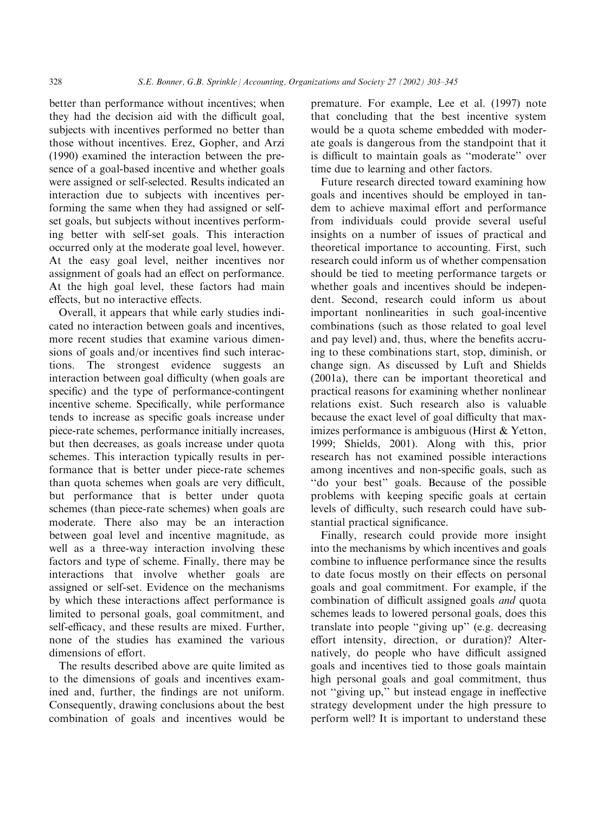better than performance without incentives; when they had the decision aid with the difficult goal, subjects with incentives performed no better than those without incentives. Erez, Gopher, and Arzi (1990) examined the interaction between the presence of a goal-based incentive and whether goals were assigned or self-selected. Results indicated an interaction due to subjects with incentives performing the same when they had assigned or selfset goals, but subjects without incentives performing better with self-set goals. This interaction occurred only at the moderate goal level, however. At the easy goal level, neither incentives nor assignment of goals had an effect on performance. At the high goal level, these factors had main effects, but no interactive effects.

Overall, it appears that while early studies indicated no interaction between goals and incentives, more recent studies that examine various dimensions of goals and/or incentives find such interactions. The strongest evidence suggests an interaction between goal difficulty (when goals are specific) and the type of performance-contingent incentive scheme. Specifically, while performance tends to increase as specific goals increase under piece-rate schemes, performance initially increases, but then decreases, as goals increase under quota schemes. This interaction typically results in performance that is better under piece-rate schemes than quota schemes when goals are very difficult, but performance that is better under quota schemes (than piece-rate schemes) when goals are moderate. There also may be an interaction between goal level and incentive magnitude, as well as a three-way interaction involving these factors and type of scheme. Finally, there may be interactions that involve whether goals are assigned or self-set. Evidence on the mechanisms by which these interactions affect performance is limited to personal goals, goal commitment, and self-efficacy, and these results are mixed. Further, none of the studies has examined the various dimensions of effort.

The results described above are quite limited as to the dimensions of goals and incentives examined and, further, the findings are not uniform. Consequently, drawing conclusions about the best combination of goals and incentives would be

premature. For example, Lee et al. (1997) note that concluding that the best incentive system would be a quota scheme embedded with moderate goals is dangerous from the standpoint that it is difficult to maintain goals as ''moderate'' over time due to learning and other factors.

Future research directed toward examining how goals and incentives should be employed in tandem to achieve maximal effort and performance from individuals could provide several useful insights on a number of issues of practical and theoretical importance to accounting. First, such research could inform us of whether compensation should be tied to meeting performance targets or whether goals and incentives should be independent. Second, research could inform us about important nonlinearities in such goal-incentive combinations (such as those related to goal level and pay level) and, thus, where the benefits accruing to these combinations start, stop, diminish, or change sign. As discussed by Luft and Shields (2001a), there can be important theoretical and practical reasons for examining whether nonlinear relations exist. Such research also is valuable because the exact level of goal difficulty that maximizes performance is ambiguous (Hirst & Yetton, 1999; Shields, 2001). Along with this, prior research has not examined possible interactions amongincentives and non-specific goals, such as ''do your best'' goals. Because of the possible problems with keeping specific goals at certain levels of difficulty, such research could have substantial practical significance.

Finally, research could provide more insight into the mechanisms by which incentives and goals combine to influence performance since the results to date focus mostly on their effects on personal goals and goal commitment. For example, if the combination of difficult assigned goals and quota schemes leads to lowered personal goals, does this translate into people ''giving up'' (e.g. decreasing effort intensity, direction, or duration)? Alternatively, do people who have difficult assigned goals and incentives tied to those goals maintain high personal goals and goal commitment, thus not ''giving up,'' but instead engage in ineffective strategy development under the high pressure to perform well? It is important to understand these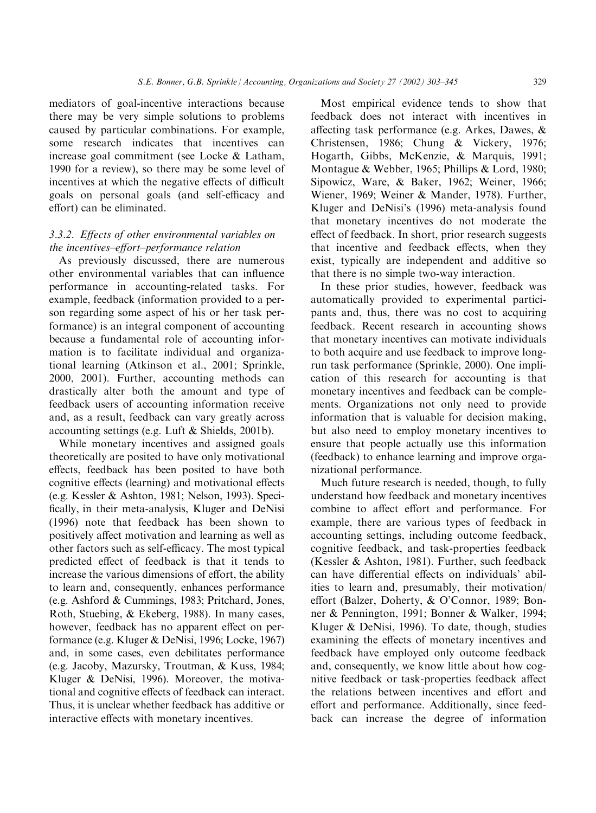mediators of goal-incentive interactions because there may be very simple solutions to problems caused by particular combinations. For example, some research indicates that incentives can increase goal commitment (see Locke & Latham, 1990 for a review), so there may be some level of incentives at which the negative effects of difficult goals on personal goals (and self-efficacy and effort) can be eliminated.

## 3.3.2. Effects of other environmental variables on the incentives–effort–performance relation

As previously discussed, there are numerous other environmental variables that can influence performance in accounting-related tasks. For example, feedback (information provided to a person regarding some aspect of his or her task performance) is an integral component of accounting because a fundamental role of accounting information is to facilitate individual and organizational learning(Atkinson et al., 2001; Sprinkle, 2000, 2001). Further, accounting methods can drastically alter both the amount and type of feedback users of accounting information receive and, as a result, feedback can vary greatly across accounting settings (e.g. Luft & Shields, 2001b).

While monetary incentives and assigned goals theoretically are posited to have only motivational effects, feedback has been posited to have both cognitive effects (learning) and motivational effects (e.g. Kessler & Ashton, 1981; Nelson, 1993). Specifically, in their meta-analysis, Kluger and DeNisi (1996) note that feedback has been shown to positively affect motivation and learning as well as other factors such as self-efficacy. The most typical predicted effect of feedback is that it tends to increase the various dimensions of effort, the ability to learn and, consequently, enhances performance (e.g. Ashford & Cummings, 1983; Pritchard, Jones, Roth, Stuebing, & Ekeberg, 1988). In many cases, however, feedback has no apparent effect on performance (e.g. Kluger & DeNisi, 1996; Locke, 1967) and, in some cases, even debilitates performance (e.g. Jacoby, Mazursky, Troutman, & Kuss, 1984; Kluger & DeNisi, 1996). Moreover, the motivational and cognitive effects of feedback can interact. Thus, it is unclear whether feedback has additive or interactive effects with monetary incentives.

Most empirical evidence tends to show that feedback does not interact with incentives in affecting task performance (e.g. Arkes, Dawes,  $\&$ Christensen, 1986; Chung& Vickery, 1976; Hogarth, Gibbs, McKenzie, & Marquis, 1991; Montague & Webber, 1965; Phillips & Lord, 1980; Sipowicz, Ware, & Baker, 1962; Weiner, 1966; Wiener, 1969; Weiner & Mander, 1978). Further, Kluger and DeNisi's (1996) meta-analysis found that monetary incentives do not moderate the effect of feedback. In short, prior research suggests that incentive and feedback effects, when they exist, typically are independent and additive so that there is no simple two-way interaction.

In these prior studies, however, feedback was automatically provided to experimental participants and, thus, there was no cost to acquiring feedback. Recent research in accounting shows that monetary incentives can motivate individuals to both acquire and use feedback to improve longrun task performance (Sprinkle, 2000). One implication of this research for accounting is that monetary incentives and feedback can be complements. Organizations not only need to provide information that is valuable for decision making, but also need to employ monetary incentives to ensure that people actually use this information (feedback) to enhance learning and improve organizational performance.

Much future research is needed, though, to fully understand how feedback and monetary incentives combine to affect effort and performance. For example, there are various types of feedback in accounting settings, including outcome feedback, cognitive feedback, and task-properties feedback (Kessler & Ashton, 1981). Further, such feedback can have differential effects on individuals' abilities to learn and, presumably, their motivation/ effort (Balzer, Doherty, & O'Connor, 1989; Bonner & Pennington, 1991; Bonner & Walker, 1994; Kluger & DeNisi, 1996). To date, though, studies examining the effects of monetary incentives and feedback have employed only outcome feedback and, consequently, we know little about how cognitive feedback or task-properties feedback affect the relations between incentives and effort and effort and performance. Additionally, since feedback can increase the degree of information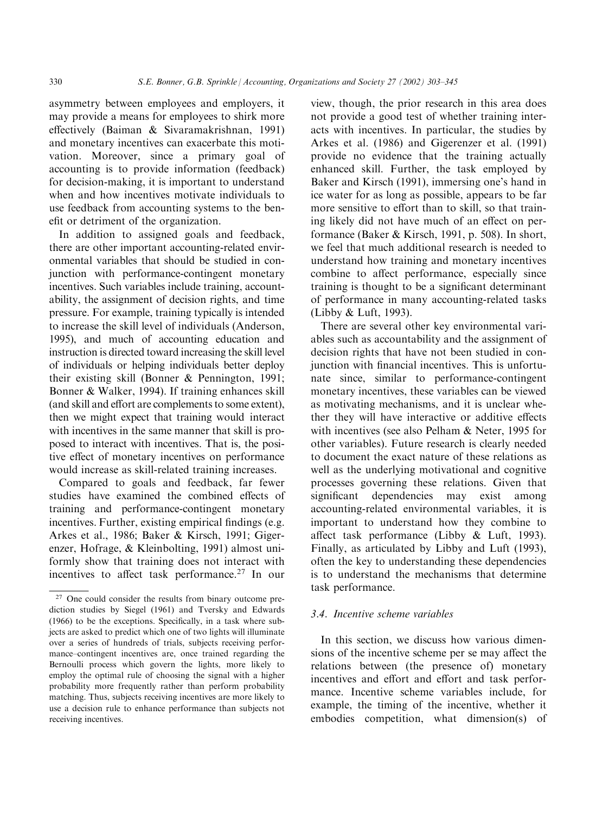asymmetry between employees and employers, it may provide a means for employees to shirk more effectively (Baiman & Sivaramakrishnan, 1991) and monetary incentives can exacerbate this motivation. Moreover, since a primary goal of accounting is to provide information (feedback) for decision-making, it is important to understand when and how incentives motivate individuals to use feedback from accounting systems to the benefit or detriment of the organization.

In addition to assigned goals and feedback, there are other important accounting-related environmental variables that should be studied in conjunction with performance-contingent monetary incentives. Such variables include training, accountability, the assignment of decision rights, and time pressure. For example, training typically is intended to increase the skill level of individuals (Anderson, 1995), and much of accounting education and instruction is directed toward increasing the skill level of individuals or helping individuals better deploy their existing skill (Bonner  $&$  Pennington, 1991; Bonner & Walker, 1994). If training enhances skill (and skill and effort are complements to some extent), then we might expect that training would interact with incentives in the same manner that skill is proposed to interact with incentives. That is, the positive effect of monetary incentives on performance would increase as skill-related training increases.

Compared to goals and feedback, far fewer studies have examined the combined effects of training and performance-contingent monetary incentives. Further, existing empirical findings (e.g. Arkes et al., 1986; Baker & Kirsch, 1991; Gigerenzer, Hofrage, & Kleinbolting, 1991) almost uniformly show that training does not interact with incentives to affect task performance.<sup>27</sup> In our view, though, the prior research in this area does not provide a good test of whether training interacts with incentives. In particular, the studies by Arkes et al. (1986) and Gigerenzer et al. (1991) provide no evidence that the training actually enhanced skill. Further, the task employed by Baker and Kirsch (1991), immersing one's hand in ice water for as long as possible, appears to be far more sensitive to effort than to skill, so that training likely did not have much of an effect on performance (Baker & Kirsch, 1991, p. 508). In short, we feel that much additional research is needed to understand how training and monetary incentives combine to affect performance, especially since training is thought to be a significant determinant of performance in many accounting-related tasks (Libby & Luft, 1993).

There are several other key environmental variables such as accountability and the assignment of decision rights that have not been studied in conjunction with financial incentives. This is unfortunate since, similar to performance-contingent monetary incentives, these variables can be viewed as motivating mechanisms, and it is unclear whether they will have interactive or additive effects with incentives (see also Pelham & Neter, 1995 for other variables). Future research is clearly needed to document the exact nature of these relations as well as the underlying motivational and cognitive processes governing these relations. Given that significant dependencies may exist among accounting-related environmental variables, it is important to understand how they combine to affect task performance (Libby & Luft, 1993). Finally, as articulated by Libby and Luft (1993), often the key to understanding these dependencies is to understand the mechanisms that determine task performance.

#### 3.4. Incentive scheme variables

In this section, we discuss how various dimensions of the incentive scheme per se may affect the relations between (the presence of) monetary incentives and effort and effort and task performance. Incentive scheme variables include, for example, the timing of the incentive, whether it embodies competition, what dimension(s) of

<sup>27</sup> One could consider the results from binary outcome prediction studies by Siegel (1961) and Tversky and Edwards (1966) to be the exceptions. Specifically, in a task where subjects are asked to predict which one of two lights will illuminate over a series of hundreds of trials, subjects receiving performance–contingent incentives are, once trained regarding the Bernoulli process which govern the lights, more likely to employ the optimal rule of choosing the signal with a higher probability more frequently rather than perform probability matching. Thus, subjects receiving incentives are more likely to use a decision rule to enhance performance than subjects not receiving incentives.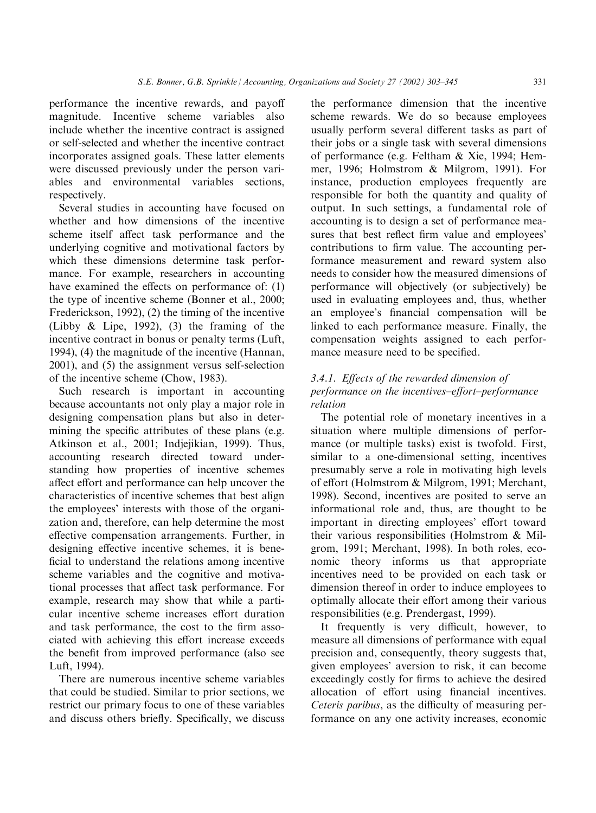performance the incentive rewards, and payoff magnitude. Incentive scheme variables also include whether the incentive contract is assigned or self-selected and whether the incentive contract incorporates assigned goals. These latter elements were discussed previously under the person variables and environmental variables sections, respectively.

Several studies in accounting have focused on whether and how dimensions of the incentive scheme itself affect task performance and the underlying cognitive and motivational factors by which these dimensions determine task performance. For example, researchers in accounting have examined the effects on performance of: (1) the type of incentive scheme (Bonner et al., 2000; Frederickson, 1992), (2) the timing of the incentive (Libby  $\&$  Lipe, 1992), (3) the framing of the incentive contract in bonus or penalty terms (Luft, 1994), (4) the magnitude of the incentive (Hannan, 2001), and (5) the assignment versus self-selection of the incentive scheme (Chow, 1983).

Such research is important in accounting because accountants not only play a major role in designing compensation plans but also in determining the specific attributes of these plans (e.g. Atkinson et al., 2001; Indjejikian, 1999). Thus, accounting research directed toward understanding how properties of incentive schemes affect effort and performance can help uncover the characteristics of incentive schemes that best align the employees' interests with those of the organization and, therefore, can help determine the most effective compensation arrangements. Further, in designing effective incentive schemes, it is beneficial to understand the relations among incentive scheme variables and the cognitive and motivational processes that affect task performance. For example, research may show that while a particular incentive scheme increases effort duration and task performance, the cost to the firm associated with achieving this effort increase exceeds the benefit from improved performance (also see Luft, 1994).

There are numerous incentive scheme variables that could be studied. Similar to prior sections, we restrict our primary focus to one of these variables and discuss others briefly. Specifically, we discuss

the performance dimension that the incentive scheme rewards. We do so because employees usually perform several different tasks as part of their jobs or a single task with several dimensions of performance (e.g. Feltham & Xie, 1994; Hemmer, 1996; Holmstrom & Milgrom, 1991). For instance, production employees frequently are responsible for both the quantity and quality of output. In such settings, a fundamental role of accounting is to design a set of performance measures that best reflect firm value and employees' contributions to firm value. The accounting performance measurement and reward system also needs to consider how the measured dimensions of performance will objectively (or subjectively) be used in evaluating employees and, thus, whether an employee's financial compensation will be linked to each performance measure. Finally, the compensation weights assigned to each performance measure need to be specified.

# 3.4.1. Effects of the rewarded dimension of performance on the incentives–effort–performance relation

The potential role of monetary incentives in a situation where multiple dimensions of performance (or multiple tasks) exist is twofold. First, similar to a one-dimensional setting, incentives presumably serve a role in motivating high levels of effort (Holmstrom & Milgrom, 1991; Merchant, 1998). Second, incentives are posited to serve an informational role and, thus, are thought to be important in directing employees' effort toward their various responsibilities (Holmstrom & Milgrom, 1991; Merchant, 1998). In both roles, economic theory informs us that appropriate incentives need to be provided on each task or dimension thereof in order to induce employees to optimally allocate their effort among their various responsibilities (e.g. Prendergast, 1999).

It frequently is very difficult, however, to measure all dimensions of performance with equal precision and, consequently, theory suggests that, given employees' aversion to risk, it can become exceedingly costly for firms to achieve the desired allocation of effort using financial incentives. Ceteris paribus, as the difficulty of measuring performance on any one activity increases, economic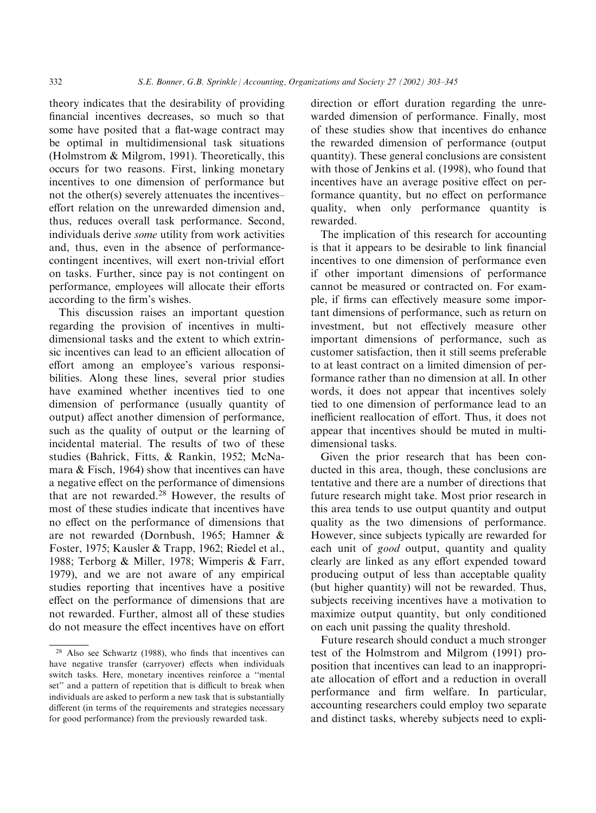theory indicates that the desirability of providing financial incentives decreases, so much so that some have posited that a flat-wage contract may be optimal in multidimensional task situations (Holmstrom & Milgrom, 1991). Theoretically, this occurs for two reasons. First, linking monetary incentives to one dimension of performance but not the other(s) severely attenuates the incentives– effort relation on the unrewarded dimension and, thus, reduces overall task performance. Second, individuals derive some utility from work activities and, thus, even in the absence of performancecontingent incentives, will exert non-trivial effort on tasks. Further, since pay is not contingent on performance, employees will allocate their efforts according to the firm's wishes.

This discussion raises an important question regarding the provision of incentives in multidimensional tasks and the extent to which extrinsic incentives can lead to an efficient allocation of effort among an employee's various responsibilities. Along these lines, several prior studies have examined whether incentives tied to one dimension of performance (usually quantity of output) affect another dimension of performance, such as the quality of output or the learning of incidental material. The results of two of these studies (Bahrick, Fitts, & Rankin, 1952; McNamara  $&$  Fisch, 1964) show that incentives can have a negative effect on the performance of dimensions that are not rewarded. $28$  However, the results of most of these studies indicate that incentives have no effect on the performance of dimensions that are not rewarded (Dornbush, 1965; Hamner & Foster, 1975; Kausler & Trapp, 1962; Riedel et al., 1988; Terborg& Miller, 1978; Wimperis & Farr, 1979), and we are not aware of any empirical studies reporting that incentives have a positive effect on the performance of dimensions that are not rewarded. Further, almost all of these studies do not measure the effect incentives have on effort

direction or effort duration regarding the unrewarded dimension of performance. Finally, most of these studies show that incentives do enhance the rewarded dimension of performance (output quantity). These general conclusions are consistent with those of Jenkins et al. (1998), who found that incentives have an average positive effect on performance quantity, but no effect on performance quality, when only performance quantity is rewarded.

The implication of this research for accounting is that it appears to be desirable to link financial incentives to one dimension of performance even if other important dimensions of performance cannot be measured or contracted on. For example, if firms can effectively measure some important dimensions of performance, such as return on investment, but not effectively measure other important dimensions of performance, such as customer satisfaction, then it still seems preferable to at least contract on a limited dimension of performance rather than no dimension at all. In other words, it does not appear that incentives solely tied to one dimension of performance lead to an inefficient reallocation of effort. Thus, it does not appear that incentives should be muted in multidimensional tasks.

Given the prior research that has been conducted in this area, though, these conclusions are tentative and there are a number of directions that future research might take. Most prior research in this area tends to use output quantity and output quality as the two dimensions of performance. However, since subjects typically are rewarded for each unit of good output, quantity and quality clearly are linked as any effort expended toward producing output of less than acceptable quality (but higher quantity) will not be rewarded. Thus, subjects receiving incentives have a motivation to maximize output quantity, but only conditioned on each unit passing the quality threshold.

Future research should conduct a much stronger test of the Holmstrom and Milgrom (1991) proposition that incentives can lead to an inappropriate allocation of effort and a reduction in overall performance and firm welfare. In particular, accounting researchers could employ two separate and distinct tasks, whereby subjects need to expli-

<sup>28</sup> Also see Schwartz (1988), who finds that incentives can have negative transfer (carryover) effects when individuals switch tasks. Here, monetary incentives reinforce a ''mental set'' and a pattern of repetition that is difficult to break when individuals are asked to perform a new task that is substantially different (in terms of the requirements and strategies necessary for good performance) from the previously rewarded task.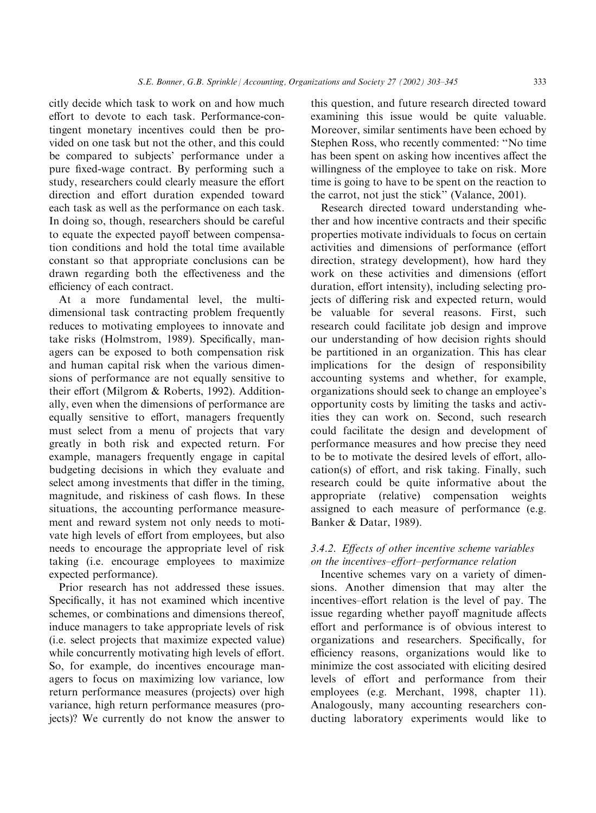citly decide which task to work on and how much effort to devote to each task. Performance-contingent monetary incentives could then be provided on one task but not the other, and this could be compared to subjects' performance under a pure fixed-wage contract. By performing such a study, researchers could clearly measure the effort direction and effort duration expended toward each task as well as the performance on each task. In doing so, though, researchers should be careful to equate the expected payoff between compensation conditions and hold the total time available constant so that appropriate conclusions can be drawn regarding both the effectiveness and the efficiency of each contract.

At a more fundamental level, the multidimensional task contracting problem frequently reduces to motivating employees to innovate and take risks (Holmstrom, 1989). Specifically, managers can be exposed to both compensation risk and human capital risk when the various dimensions of performance are not equally sensitive to their effort (Milgrom & Roberts, 1992). Additionally, even when the dimensions of performance are equally sensitive to effort, managers frequently must select from a menu of projects that vary greatly in both risk and expected return. For example, managers frequently engage in capital budgeting decisions in which they evaluate and select among investments that differ in the timing, magnitude, and riskiness of cash flows. In these situations, the accounting performance measurement and reward system not only needs to motivate high levels of effort from employees, but also needs to encourage the appropriate level of risk taking (i.e. encourage employees to maximize expected performance).

Prior research has not addressed these issues. Specifically, it has not examined which incentive schemes, or combinations and dimensions thereof, induce managers to take appropriate levels of risk (i.e. select projects that maximize expected value) while concurrently motivating high levels of effort. So, for example, do incentives encourage managers to focus on maximizing low variance, low return performance measures (projects) over high variance, high return performance measures (projects)? We currently do not know the answer to

this question, and future research directed toward examining this issue would be quite valuable. Moreover, similar sentiments have been echoed by Stephen Ross, who recently commented: ''No time has been spent on asking how incentives affect the willingness of the employee to take on risk. More time is going to have to be spent on the reaction to the carrot, not just the stick'' (Valance, 2001).

Research directed toward understanding whether and how incentive contracts and their specific properties motivate individuals to focus on certain activities and dimensions of performance (effort direction, strategy development), how hard they work on these activities and dimensions (effort duration, effort intensity), including selecting projects of differing risk and expected return, would be valuable for several reasons. First, such research could facilitate job design and improve our understanding of how decision rights should be partitioned in an organization. This has clear implications for the design of responsibility accounting systems and whether, for example, organizations should seek to change an employee's opportunity costs by limiting the tasks and activities they can work on. Second, such research could facilitate the design and development of performance measures and how precise they need to be to motivate the desired levels of effort, allocation(s) of effort, and risk taking. Finally, such research could be quite informative about the appropriate (relative) compensation weights assigned to each measure of performance (e.g. Banker & Datar, 1989).

## 3.4.2. Effects of other incentive scheme variables on the incentives–effort–performance relation

Incentive schemes vary on a variety of dimensions. Another dimension that may alter the incentives–effort relation is the level of pay. The issue regarding whether payoff magnitude affects effort and performance is of obvious interest to organizations and researchers. Specifically, for efficiency reasons, organizations would like to minimize the cost associated with eliciting desired levels of effort and performance from their employees (e.g. Merchant, 1998, chapter 11). Analogously, many accounting researchers conducting laboratory experiments would like to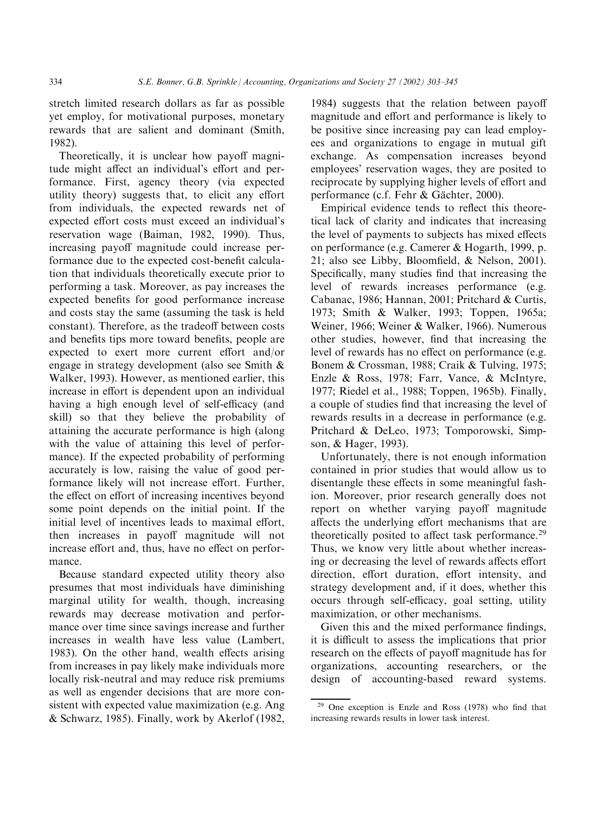stretch limited research dollars as far as possible yet employ, for motivational purposes, monetary rewards that are salient and dominant (Smith, 1982).

Theoretically, it is unclear how payoff magnitude might affect an individual's effort and performance. First, agency theory (via expected utility theory) suggests that, to elicit any effort from individuals, the expected rewards net of expected effort costs must exceed an individual's reservation wage (Baiman, 1982, 1990). Thus, increasing payoff magnitude could increase performance due to the expected cost-benefit calculation that individuals theoretically execute prior to performinga task. Moreover, as pay increases the expected benefits for good performance increase and costs stay the same (assuming the task is held constant). Therefore, as the tradeoff between costs and benefits tips more toward benefits, people are expected to exert more current effort and/or engage in strategy development (also see Smith & Walker, 1993). However, as mentioned earlier, this increase in effort is dependent upon an individual having a high enough level of self-efficacy (and skill) so that they believe the probability of attaining the accurate performance is high (along with the value of attaining this level of performance). If the expected probability of performing accurately is low, raising the value of good performance likely will not increase effort. Further, the effect on effort of increasing incentives beyond some point depends on the initial point. If the initial level of incentives leads to maximal effort, then increases in payoff magnitude will not increase effort and, thus, have no effect on performance.

Because standard expected utility theory also presumes that most individuals have diminishing marginal utility for wealth, though, increasing rewards may decrease motivation and performance over time since savings increase and further increases in wealth have less value (Lambert, 1983). On the other hand, wealth effects arising from increases in pay likely make individuals more locally risk-neutral and may reduce risk premiums as well as engender decisions that are more consistent with expected value maximization (e.g. Ang & Schwarz, 1985). Finally, work by Akerlof (1982,

1984) suggests that the relation between payoff magnitude and effort and performance is likely to be positive since increasing pay can lead employees and organizations to engage in mutual gift exchange. As compensation increases beyond employees' reservation wages, they are posited to reciprocate by supplying higher levels of effort and performance (c.f. Fehr & Gächter, 2000).

Empirical evidence tends to reflect this theoretical lack of clarity and indicates that increasing the level of payments to subjects has mixed effects on performance (e.g. Camerer & Hogarth, 1999, p. 21; also see Libby, Bloomfield, & Nelson, 2001). Specifically, many studies find that increasing the level of rewards increases performance (e.g. Cabanac, 1986; Hannan, 2001; Pritchard & Curtis, 1973; Smith & Walker, 1993; Toppen, 1965a; Weiner, 1966; Weiner & Walker, 1966). Numerous other studies, however, find that increasing the level of rewards has no effect on performance (e.g. Bonem & Crossman, 1988; Craik & Tulving, 1975; Enzle & Ross, 1978; Farr, Vance, & McIntyre, 1977; Riedel et al., 1988; Toppen, 1965b). Finally, a couple of studies find that increasing the level of rewards results in a decrease in performance (e.g. Pritchard & DeLeo, 1973; Tomporowski, Simpson, & Hager, 1993).

Unfortunately, there is not enough information contained in prior studies that would allow us to disentangle these effects in some meaningful fashion. Moreover, prior research generally does not report on whether varying payoff magnitude affects the underlyingeffort mechanisms that are theoretically posited to affect task performance.<sup>29</sup> Thus, we know very little about whether increasing or decreasing the level of rewards affects effort direction, effort duration, effort intensity, and strategy development and, if it does, whether this occurs through self-efficacy, goal setting, utility maximization, or other mechanisms.

Given this and the mixed performance findings, it is difficult to assess the implications that prior research on the effects of payoff magnitude has for organizations, accounting researchers, or the design of accounting-based reward systems.

<sup>29</sup> One exception is Enzle and Ross (1978) who find that increasing rewards results in lower task interest.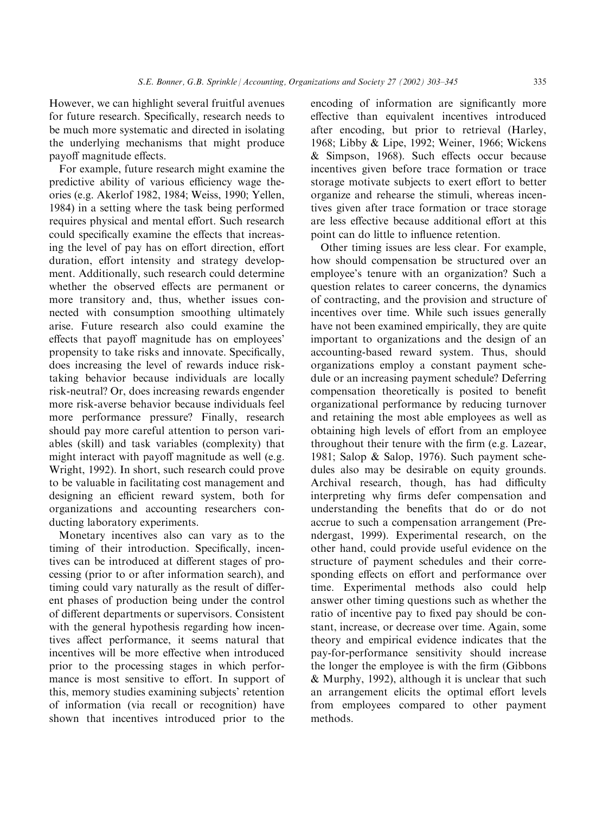However, we can highlight several fruitful avenues for future research. Specifically, research needs to be much more systematic and directed in isolating the underlying mechanisms that might produce payoff magnitude effects.

For example, future research might examine the predictive ability of various efficiency wage theories (e.g. Akerlof 1982, 1984; Weiss, 1990; Yellen, 1984) in a setting where the task being performed requires physical and mental effort. Such research could specifically examine the effects that increasing the level of pay has on effort direction, effort duration, effort intensity and strategy development. Additionally, such research could determine whether the observed effects are permanent or more transitory and, thus, whether issues connected with consumption smoothing ultimately arise. Future research also could examine the effects that payoff magnitude has on employees' propensity to take risks and innovate. Specifically, does increasing the level of rewards induce risktaking behavior because individuals are locally risk-neutral? Or, does increasing rewards engender more risk-averse behavior because individuals feel more performance pressure? Finally, research should pay more careful attention to person variables (skill) and task variables (complexity) that might interact with payoff magnitude as well (e.g. Wright, 1992). In short, such research could prove to be valuable in facilitating cost management and designing an efficient reward system, both for organizations and accounting researchers conducting laboratory experiments.

Monetary incentives also can vary as to the timing of their introduction. Specifically, incentives can be introduced at different stages of processing(prior to or after information search), and timing could vary naturally as the result of different phases of production being under the control of different departments or supervisors. Consistent with the general hypothesis regarding how incentives affect performance, it seems natural that incentives will be more effective when introduced prior to the processing stages in which performance is most sensitive to effort. In support of this, memory studies examining subjects' retention of information (via recall or recognition) have shown that incentives introduced prior to the

encoding of information are significantly more effective than equivalent incentives introduced after encoding, but prior to retrieval (Harley, 1968; Libby & Lipe, 1992; Weiner, 1966; Wickens & Simpson, 1968). Such effects occur because incentives given before trace formation or trace storage motivate subjects to exert effort to better organize and rehearse the stimuli, whereas incentives given after trace formation or trace storage are less effective because additional effort at this point can do little to influence retention.

Other timing issues are less clear. For example, how should compensation be structured over an employee's tenure with an organization? Such a question relates to career concerns, the dynamics of contracting, and the provision and structure of incentives over time. While such issues generally have not been examined empirically, they are quite important to organizations and the design of an accounting-based reward system. Thus, should organizations employ a constant payment schedule or an increasing payment schedule? Deferring compensation theoretically is posited to benefit organizational performance by reducing turnover and retaining the most able employees as well as obtaining high levels of effort from an employee throughout their tenure with the firm (e.g. Lazear, 1981; Salop & Salop, 1976). Such payment schedules also may be desirable on equity grounds. Archival research, though, has had difficulty interpreting why firms defer compensation and understanding the benefits that do or do not accrue to such a compensation arrangement (Prendergast, 1999). Experimental research, on the other hand, could provide useful evidence on the structure of payment schedules and their corresponding effects on effort and performance over time. Experimental methods also could help answer other timing questions such as whether the ratio of incentive pay to fixed pay should be constant, increase, or decrease over time. Again, some theory and empirical evidence indicates that the pay-for-performance sensitivity should increase the longer the employee is with the firm (Gibbons & Murphy, 1992), although it is unclear that such an arrangement elicits the optimal effort levels from employees compared to other payment methods.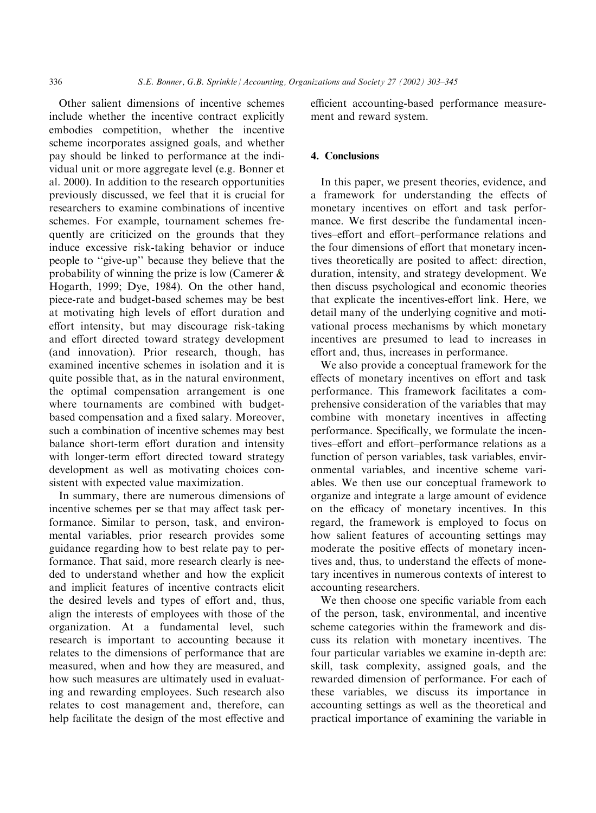Other salient dimensions of incentive schemes include whether the incentive contract explicitly embodies competition, whether the incentive scheme incorporates assigned goals, and whether pay should be linked to performance at the individual unit or more aggregate level (e.g. Bonner et al. 2000). In addition to the research opportunities previously discussed, we feel that it is crucial for researchers to examine combinations of incentive schemes. For example, tournament schemes frequently are criticized on the grounds that they induce excessive risk-taking behavior or induce people to ''give-up'' because they believe that the probability of winning the prize is low (Camerer  $\&$ Hogarth, 1999; Dye, 1984). On the other hand, piece-rate and budget-based schemes may be best at motivating high levels of effort duration and effort intensity, but may discourage risk-taking and effort directed toward strategy development (and innovation). Prior research, though, has examined incentive schemes in isolation and it is quite possible that, as in the natural environment, the optimal compensation arrangement is one where tournaments are combined with budgetbased compensation and a fixed salary. Moreover, such a combination of incentive schemes may best balance short-term effort duration and intensity with longer-term effort directed toward strategy development as well as motivating choices consistent with expected value maximization.

In summary, there are numerous dimensions of incentive schemes per se that may affect task performance. Similar to person, task, and environmental variables, prior research provides some guidance regarding how to best relate pay to performance. That said, more research clearly is needed to understand whether and how the explicit and implicit features of incentive contracts elicit the desired levels and types of effort and, thus, align the interests of employees with those of the organization. At a fundamental level, such research is important to accounting because it relates to the dimensions of performance that are measured, when and how they are measured, and how such measures are ultimately used in evaluating and rewarding employees. Such research also relates to cost management and, therefore, can help facilitate the design of the most effective and efficient accounting-based performance measurement and reward system.

#### 4. Conclusions

In this paper, we present theories, evidence, and a framework for understanding the effects of monetary incentives on effort and task performance. We first describe the fundamental incentives–effort and effort–performance relations and the four dimensions of effort that monetary incentives theoretically are posited to affect: direction, duration, intensity, and strategy development. We then discuss psychological and economic theories that explicate the incentives-effort link. Here, we detail many of the underlying cognitive and motivational process mechanisms by which monetary incentives are presumed to lead to increases in effort and, thus, increases in performance.

We also provide a conceptual framework for the effects of monetary incentives on effort and task performance. This framework facilitates a comprehensive consideration of the variables that may combine with monetary incentives in affecting performance. Specifically, we formulate the incentives–effort and effort–performance relations as a function of person variables, task variables, environmental variables, and incentive scheme variables. We then use our conceptual framework to organize and integrate a large amount of evidence on the efficacy of monetary incentives. In this regard, the framework is employed to focus on how salient features of accounting settings may moderate the positive effects of monetary incentives and, thus, to understand the effects of monetary incentives in numerous contexts of interest to accounting researchers.

We then choose one specific variable from each of the person, task, environmental, and incentive scheme categories within the framework and discuss its relation with monetary incentives. The four particular variables we examine in-depth are: skill, task complexity, assigned goals, and the rewarded dimension of performance. For each of these variables, we discuss its importance in accounting settings as well as the theoretical and practical importance of examining the variable in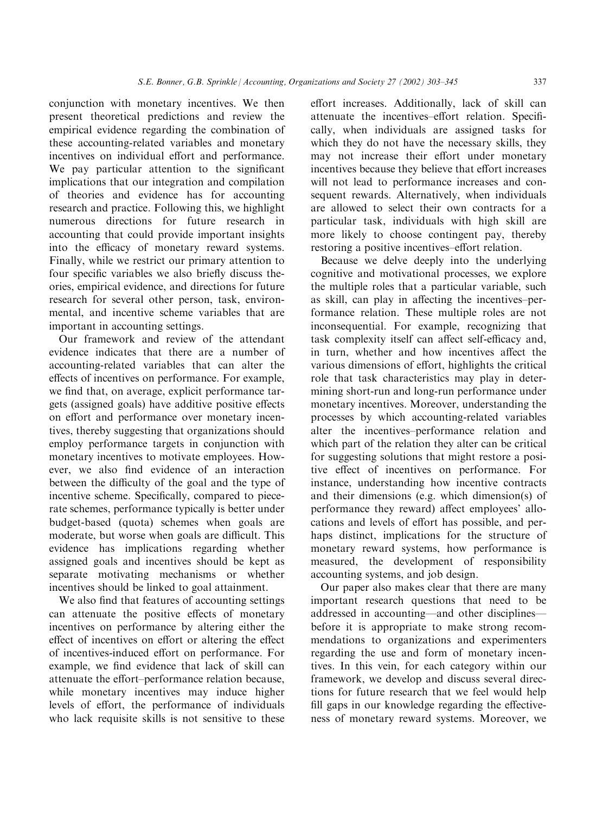conjunction with monetary incentives. We then present theoretical predictions and review the empirical evidence regarding the combination of these accounting-related variables and monetary incentives on individual effort and performance. We pay particular attention to the significant implications that our integration and compilation of theories and evidence has for accounting research and practice. Following this, we highlight numerous directions for future research in accounting that could provide important insights into the efficacy of monetary reward systems. Finally, while we restrict our primary attention to four specific variables we also briefly discuss theories, empirical evidence, and directions for future research for several other person, task, environmental, and incentive scheme variables that are important in accounting settings.

Our framework and review of the attendant evidence indicates that there are a number of accounting-related variables that can alter the effects of incentives on performance. For example, we find that, on average, explicit performance targets (assigned goals) have additive positive effects on effort and performance over monetary incentives, thereby suggesting that organizations should employ performance targets in conjunction with monetary incentives to motivate employees. However, we also find evidence of an interaction between the difficulty of the goal and the type of incentive scheme. Specifically, compared to piecerate schemes, performance typically is better under budget-based (quota) schemes when goals are moderate, but worse when goals are difficult. This evidence has implications regarding whether assigned goals and incentives should be kept as separate motivating mechanisms or whether incentives should be linked to goal attainment.

We also find that features of accounting settings can attenuate the positive effects of monetary incentives on performance by altering either the effect of incentives on effort or altering the effect of incentives-induced effort on performance. For example, we find evidence that lack of skill can attenuate the effort–performance relation because, while monetary incentives may induce higher levels of effort, the performance of individuals who lack requisite skills is not sensitive to these effort increases. Additionally, lack of skill can attenuate the incentives–effort relation. Specifically, when individuals are assigned tasks for which they do not have the necessary skills, they may not increase their effort under monetary incentives because they believe that effort increases will not lead to performance increases and consequent rewards. Alternatively, when individuals are allowed to select their own contracts for a particular task, individuals with high skill are more likely to choose contingent pay, thereby restoring a positive incentives–effort relation.

Because we delve deeply into the underlying cognitive and motivational processes, we explore the multiple roles that a particular variable, such as skill, can play in affecting the incentives–performance relation. These multiple roles are not inconsequential. For example, recognizing that task complexity itself can affect self-efficacy and, in turn, whether and how incentives affect the various dimensions of effort, highlights the critical role that task characteristics may play in determiningshort-run and long-run performance under monetary incentives. Moreover, understanding the processes by which accounting-related variables alter the incentives–performance relation and which part of the relation they alter can be critical for suggesting solutions that might restore a positive effect of incentives on performance. For instance, understanding how incentive contracts and their dimensions (e.g. which dimension(s) of performance they reward) affect employees' allocations and levels of effort has possible, and perhaps distinct, implications for the structure of monetary reward systems, how performance is measured, the development of responsibility accounting systems, and job design.

Our paper also makes clear that there are many important research questions that need to be addressed in accounting—and other disciplines before it is appropriate to make strong recommendations to organizations and experimenters regarding the use and form of monetary incentives. In this vein, for each category within our framework, we develop and discuss several directions for future research that we feel would help fill gaps in our knowledge regarding the effectiveness of monetary reward systems. Moreover, we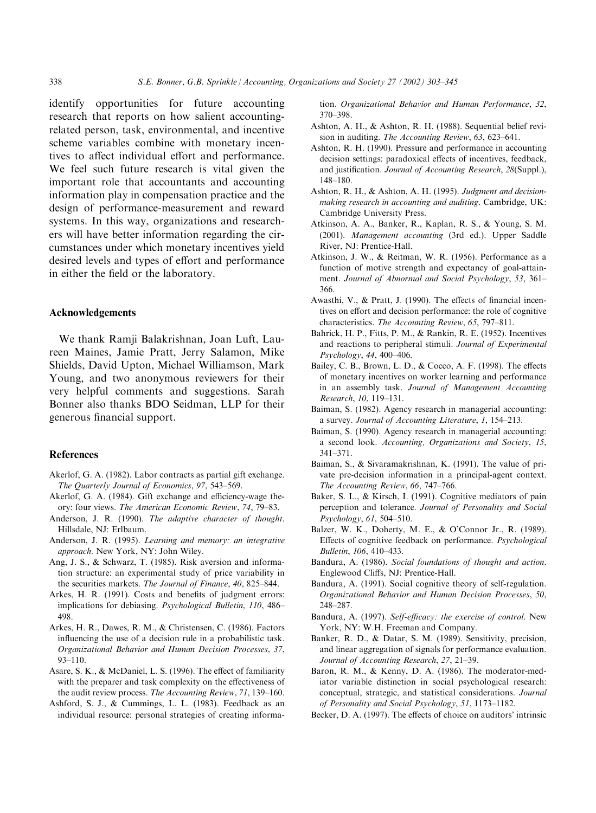identify opportunities for future accounting research that reports on how salient accountingrelated person, task, environmental, and incentive scheme variables combine with monetary incentives to affect individual effort and performance. We feel such future research is vital given the important role that accountants and accounting information play in compensation practice and the design of performance-measurement and reward systems. In this way, organizations and researchers will have better information regarding the circumstances under which monetary incentives yield desired levels and types of effort and performance in either the field or the laboratory.

#### Acknowledgements

We thank Ramji Balakrishnan, Joan Luft, Laureen Maines, Jamie Pratt, Jerry Salamon, Mike Shields, David Upton, Michael Williamson, Mark Young, and two anonymous reviewers for their very helpful comments and suggestions. Sarah Bonner also thanks BDO Seidman, LLP for their generous financial support.

#### References

- Akerlof, G. A. (1982). Labor contracts as partial gift exchange. The Quarterly Journal of Economics, 97, 543–569.
- Akerlof, G. A. (1984). Gift exchange and efficiency-wage theory: four views. The American Economic Review, 74, 79–83.
- Anderson, J. R. (1990). The adaptive character of thought. Hillsdale, NJ: Erlbaum.
- Anderson, J. R. (1995). Learning and memory: an integrative approach. New York, NY: John Wiley.
- Ang, J. S., & Schwarz, T. (1985). Risk aversion and information structure: an experimental study of price variability in the securities markets. The Journal of Finance, 40, 825–844.
- Arkes, H. R. (1991). Costs and benefits of judgment errors: implications for debiasing. Psychological Bulletin, 110, 486– 498.
- Arkes, H. R., Dawes, R. M., & Christensen, C. (1986). Factors influencing the use of a decision rule in a probabilistic task. Organizational Behavior and Human Decision Processes, 37, 93–110.
- Asare, S. K., & McDaniel, L. S. (1996). The effect of familiarity with the preparer and task complexity on the effectiveness of the audit review process. The Accounting Review, 71, 139–160.
- Ashford, S. J., & Cummings, L. L. (1983). Feedback as an individual resource: personal strategies of creating informa-

tion. Organizational Behavior and Human Performance, 32, 370–398.

- Ashton, A. H., & Ashton, R. H. (1988). Sequential belief revision in auditing. The Accounting Review, 63, 623-641.
- Ashton, R. H. (1990). Pressure and performance in accounting decision settings: paradoxical effects of incentives, feedback, and justification. Journal of Accounting Research, 28(Suppl.), 148–180.
- Ashton, R. H., & Ashton, A. H. (1995). Judgment and decisionmaking research in accounting and auditing. Cambridge, UK: Cambridge University Press.
- Atkinson, A. A., Banker, R., Kaplan, R. S., & Young, S. M. (2001). Management accounting (3rd ed.). Upper Saddle River, NJ: Prentice-Hall.
- Atkinson, J. W., & Reitman, W. R. (1956). Performance as a function of motive strength and expectancy of goal-attainment. Journal of Abnormal and Social Psychology, 53, 361-366.
- Awasthi, V., & Pratt, J. (1990). The effects of financial incentives on effort and decision performance: the role of cognitive characteristics. The Accounting Review, 65, 797–811.
- Bahrick, H. P., Fitts, P. M., & Rankin, R. E. (1952). Incentives and reactions to peripheral stimuli. Journal of Experimental Psychology, 44, 400–406.
- Bailey, C. B., Brown, L. D., & Cocco, A. F. (1998). The effects of monetary incentives on worker learningand performance in an assembly task. Journal of Management Accounting Research, 10, 119–131.
- Baiman, S. (1982). Agency research in managerial accounting: a survey. Journal of Accounting Literature, 1, 154–213.
- Baiman, S. (1990). Agency research in managerial accounting: a second look. Accounting, Organizations and Society, 15, 341–371.
- Baiman, S., & Sivaramakrishnan, K. (1991). The value of private pre-decision information in a principal-agent context. The Accounting Review, 66, 747–766.
- Baker, S. L., & Kirsch, I. (1991). Cognitive mediators of pain perception and tolerance. Journal of Personality and Social Psychology, 61, 504–510.
- Balzer, W. K., Doherty, M. E., & O'Connor Jr., R. (1989). Effects of cognitive feedback on performance. Psychological Bulletin, 106, 410–433.
- Bandura, A. (1986). Social foundations of thought and action. Englewood Cliffs, NJ: Prentice-Hall.
- Bandura, A. (1991). Social cognitive theory of self-regulation. Organizational Behavior and Human Decision Processes, 50, 248–287.
- Bandura, A. (1997). Self-efficacy: the exercise of control. New York, NY: W.H. Freeman and Company.
- Banker, R. D., & Datar, S. M. (1989). Sensitivity, precision, and linear aggregation of signals for performance evaluation. Journal of Accounting Research, 27, 21–39.
- Baron, R. M., & Kenny, D. A. (1986). The moderator-mediator variable distinction in social psychological research: conceptual, strategic, and statistical considerations. Journal of Personality and Social Psychology, 51, 1173–1182.
- Becker, D. A. (1997). The effects of choice on auditors' intrinsic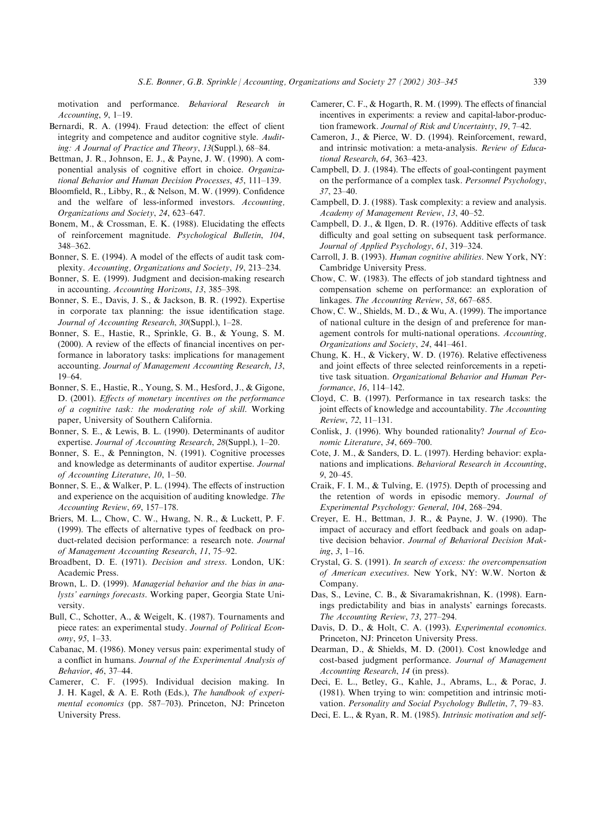motivation and performance. Behavioral Research in Accounting, 9, 1–19.

- Bernardi, R. A. (1994). Fraud detection: the effect of client integrity and competence and auditor cognitive style. Auditing: A Journal of Practice and Theory, 13(Suppl.), 68–84.
- Bettman, J. R., Johnson, E. J., & Payne, J. W. (1990). A componential analysis of cognitive effort in choice. Organizational Behavior and Human Decision Processes, 45, 111–139.
- Bloomfield, R., Libby, R., & Nelson, M. W. (1999). Confidence and the welfare of less-informed investors. Accounting, Organizations and Society, 24, 623–647.
- Bonem, M., & Crossman, E. K. (1988). Elucidating the effects of reinforcement magnitude. Psychological Bulletin, 104, 348–362.
- Bonner, S. E. (1994). A model of the effects of audit task complexity. Accounting, Organizations and Society, 19, 213–234.
- Bonner, S. E. (1999). Judgment and decision-making research in accounting. Accounting Horizons, 13, 385–398.
- Bonner, S. E., Davis, J. S., & Jackson, B. R. (1992). Expertise in corporate tax planning: the issue identification stage. Journal of Accounting Research, 30(Suppl.), 1–28.
- Bonner, S. E., Hastie, R., Sprinkle, G. B., & Young, S. M. (2000). A review of the effects of financial incentives on performance in laboratory tasks: implications for management accounting. Journal of Management Accounting Research, 13, 19–64.
- Bonner, S. E., Hastie, R., Young, S. M., Hesford, J., & Gigone, D. (2001). Effects of monetary incentives on the performance of a cognitive task: the moderating role of skill. Working paper, University of Southern California.
- Bonner, S. E., & Lewis, B. L. (1990). Determinants of auditor expertise. Journal of Accounting Research, 28(Suppl.), 1–20.
- Bonner, S. E., & Pennington, N. (1991). Cognitive processes and knowledge as determinants of auditor expertise. Journal of Accounting Literature, 10, 1–50.
- Bonner, S. E., & Walker, P. L. (1994). The effects of instruction and experience on the acquisition of auditing knowledge. The Accounting Review, 69, 157–178.
- Briers, M. L., Chow, C. W., Hwang, N. R., & Luckett, P. F. (1999). The effects of alternative types of feedback on product-related decision performance: a research note. Journal of Management Accounting Research, 11, 75–92.
- Broadbent, D. E. (1971). Decision and stress. London, UK: Academic Press.
- Brown, L. D. (1999). Managerial behavior and the bias in analysts' earnings forecasts. Working paper, Georgia State University.
- Bull, C., Schotter, A., & Weigelt, K. (1987). Tournaments and piece rates: an experimental study. Journal of Political Economy, 95, 1–33.
- Cabanac, M. (1986). Money versus pain: experimental study of a conflict in humans. Journal of the Experimental Analysis of Behavior, 46, 37–44.
- Camerer, C. F. (1995). Individual decision making. In J. H. Kagel, & A. E. Roth (Eds.), The handbook of experimental economics (pp. 587–703). Princeton, NJ: Princeton University Press.
- Camerer, C. F., & Hogarth, R. M. (1999). The effects of financial incentives in experiments: a review and capital-labor-production framework. Journal of Risk and Uncertainty, 19, 7–42.
- Cameron, J., & Pierce, W. D. (1994). Reinforcement, reward, and intrinsic motivation: a meta-analysis. Review of Educational Research, 64, 363–423.
- Campbell, D. J. (1984). The effects of goal-contingent payment on the performance of a complex task. Personnel Psychology, 37, 23–40.
- Campbell, D. J. (1988). Task complexity: a review and analysis. Academy of Management Review, 13, 40–52.
- Campbell, D. J., & Ilgen, D. R. (1976). Additive effects of task difficulty and goal setting on subsequent task performance. Journal of Applied Psychology, 61, 319–324.
- Carroll, J. B. (1993). Human cognitive abilities. New York, NY: Cambridge University Press.
- Chow, C. W. (1983). The effects of job standard tightness and compensation scheme on performance: an exploration of linkages. The Accounting Review, 58, 667–685.
- Chow, C. W., Shields, M. D., & Wu, A. (1999). The importance of national culture in the design of and preference for management controls for multi-national operations. Accounting, Organizations and Society, 24, 441–461.
- Chung, K. H., & Vickery, W. D. (1976). Relative effectiveness and joint effects of three selected reinforcements in a repetitive task situation. Organizational Behavior and Human Performance, 16, 114–142.
- Cloyd, C. B. (1997). Performance in tax research tasks: the joint effects of knowledge and accountability. The Accounting Review, 72, 11–131.
- Conlisk, J. (1996). Why bounded rationality? Journal of Economic Literature, 34, 669–700.
- Cote, J. M., & Sanders, D. L. (1997). Herding behavior: explanations and implications. Behavioral Research in Accounting, 9, 20–45.
- Craik, F. I. M., & Tulving, E. (1975). Depth of processing and the retention of words in episodic memory. Journal of Experimental Psychology: General, 104, 268–294.
- Creyer, E. H., Bettman, J. R., & Payne, J. W. (1990). The impact of accuracy and effort feedback and goals on adaptive decision behavior. Journal of Behavioral Decision Making, 3, 1–16.
- Crystal, G. S. (1991). In search of excess: the overcompensation of American executives. New York, NY: W.W. Norton & Company.
- Das, S., Levine, C. B., & Sivaramakrishnan, K. (1998). Earnings predictability and bias in analysts' earnings forecasts. The Accounting Review, 73, 277–294.
- Davis, D. D., & Holt, C. A. (1993). Experimental economics. Princeton, NJ: Princeton University Press.
- Dearman, D., & Shields, M. D. (2001). Cost knowledge and cost-based judgment performance. Journal of Management Accounting Research, 14 (in press).
- Deci, E. L., Betley, G., Kahle, J., Abrams, L., & Porac, J.  $(1981)$ . When trying to win: competition and intrinsic motivation. Personality and Social Psychology Bulletin, 7, 79–83.
- Deci, E. L., & Ryan, R. M. (1985). Intrinsic motivation and self-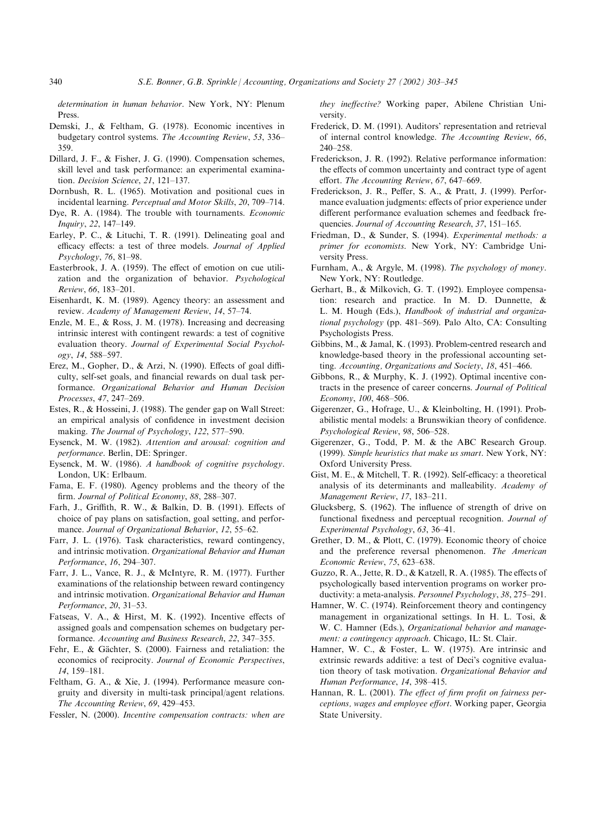determination in human behavior. New York, NY: Plenum Press.

- Demski, J., & Feltham, G. (1978). Economic incentives in budgetary control systems. The Accounting Review, 53, 336– 359.
- Dillard, J. F., & Fisher, J. G. (1990). Compensation schemes, skill level and task performance: an experimental examination. Decision Science, 21, 121-137.
- Dornbush, R. L. (1965). Motivation and positional cues in incidental learning. Perceptual and Motor Skills, 20, 709–714.
- Dye, R. A. (1984). The trouble with tournaments. Economic Inquiry, 22, 147–149.
- Earley, P. C., & Lituchi, T. R. (1991). Delineating goal and efficacy effects: a test of three models. Journal of Applied Psychology, 76, 81–98.
- Easterbrook, J. A. (1959). The effect of emotion on cue utilization and the organization of behavior. Psychological Review, 66, 183–201.
- Eisenhardt, K. M. (1989). Agency theory: an assessment and review. Academy of Management Review, 14, 57–74.
- Enzle, M. E., & Ross, J. M. (1978). Increasing and decreasing intrinsic interest with contingent rewards: a test of cognitive evaluation theory. Journal of Experimental Social Psychology, 14, 588–597.
- Erez, M., Gopher, D., & Arzi, N. (1990). Effects of goal difficulty, self-set goals, and financial rewards on dual task performance. Organizational Behavior and Human Decision Processes, 47, 247–269.
- Estes, R., & Hosseini, J. (1988). The gender gap on Wall Street: an empirical analysis of confidence in investment decision making. The Journal of Psychology, 122, 577–590.
- Eysenck, M. W. (1982). Attention and arousal: cognition and performance. Berlin, DE: Springer.
- Eysenck, M. W. (1986). A handbook of cognitive psychology. London, UK: Erlbaum.
- Fama, E. F. (1980). Agency problems and the theory of the firm. Journal of Political Economy, 88, 288–307.
- Farh, J., Griffith, R. W., & Balkin, D. B. (1991). Effects of choice of pay plans on satisfaction, goal setting, and performance. Journal of Organizational Behavior, 12, 55–62.
- Farr, J. L. (1976). Task characteristics, reward contingency, and intrinsic motivation. Organizational Behavior and Human Performance, 16, 294–307.
- Farr, J. L., Vance, R. J., & McIntyre, R. M. (1977). Further examinations of the relationship between reward contingency and intrinsic motivation. Organizational Behavior and Human Performance, 20, 31–53.
- Fatseas, V. A., & Hirst, M. K. (1992). Incentive effects of assigned goals and compensation schemes on budgetary performance. Accounting and Business Research, 22, 347–355.
- Fehr, E., & Gächter, S. (2000). Fairness and retaliation: the economics of reciprocity. Journal of Economic Perspectives, 14, 159–181.
- Feltham, G. A., & Xie, J. (1994). Performance measure congruity and diversity in multi-task principal/agent relations. The Accounting Review, 69, 429–453.
- Fessler, N. (2000). Incentive compensation contracts: when are

they ineffective? Working paper, Abilene Christian University.

- Frederick, D. M. (1991). Auditors' representation and retrieval of internal control knowledge. The Accounting Review, 66, 240–258.
- Frederickson, J. R. (1992). Relative performance information: the effects of common uncertainty and contract type of agent effort. The Accounting Review, 67, 647–669.
- Frederickson, J. R., Peffer, S. A., & Pratt, J. (1999). Performance evaluation judgments: effects of prior experience under different performance evaluation schemes and feedback frequencies. Journal of Accounting Research, 37, 151–165.
- Friedman, D., & Sunder, S. (1994). Experimental methods: a primer for economists. New York, NY: Cambridge University Press.
- Furnham, A., & Argyle, M. (1998). The psychology of money. New York, NY: Routledge.
- Gerhart, B., & Milkovich, G. T. (1992). Employee compensation: research and practice. In M. D. Dunnette, & L. M. Hough (Eds.), Handbook of industrial and organizational psychology (pp. 481–569). Palo Alto, CA: Consulting Psychologists Press.
- Gibbins, M., & Jamal, K. (1993). Problem-centred research and knowledge-based theory in the professional accounting setting. Accounting, Organizations and Society, 18, 451–466.
- Gibbons, R., & Murphy, K. J. (1992). Optimal incentive contracts in the presence of career concerns. Journal of Political Economy, 100, 468–506.
- Gigerenzer, G., Hofrage, U., & Kleinbolting, H. (1991). Probabilistic mental models: a Brunswikian theory of confidence. Psychological Review, 98, 506–528.
- Gigerenzer, G., Todd, P. M. & the ABC Research Group. (1999). Simple heuristics that make us smart. New York, NY: Oxford University Press.
- Gist, M. E., & Mitchell, T. R. (1992). Self-efficacy: a theoretical analysis of its determinants and malleability. Academy of Management Review, 17, 183–211.
- Glucksberg, S. (1962). The influence of strength of drive on functional fixedness and perceptual recognition. Journal of Experimental Psychology, 63, 36–41.
- Grether, D. M., & Plott, C. (1979). Economic theory of choice and the preference reversal phenomenon. The American Economic Review, 75, 623–638.
- Guzzo, R. A., Jette, R. D., & Katzell, R. A. (1985). The effects of psychologically based intervention programs on worker productivity: a meta-analysis. Personnel Psychology, 38, 275–291.
- Hamner, W. C. (1974). Reinforcement theory and contingency management in organizational settings. In H. L. Tosi, & W. C. Hamner (Eds.), Organizational behavior and management: a contingency approach. Chicago, IL: St. Clair.
- Hamner, W. C., & Foster, L. W. (1975). Are intrinsic and extrinsic rewards additive: a test of Deci's cognitive evaluation theory of task motivation. Organizational Behavior and Human Performance, 14, 398–415.
- Hannan, R. L. (2001). The effect of firm profit on fairness perceptions, wages and employee effort. Working paper, Georgia State University.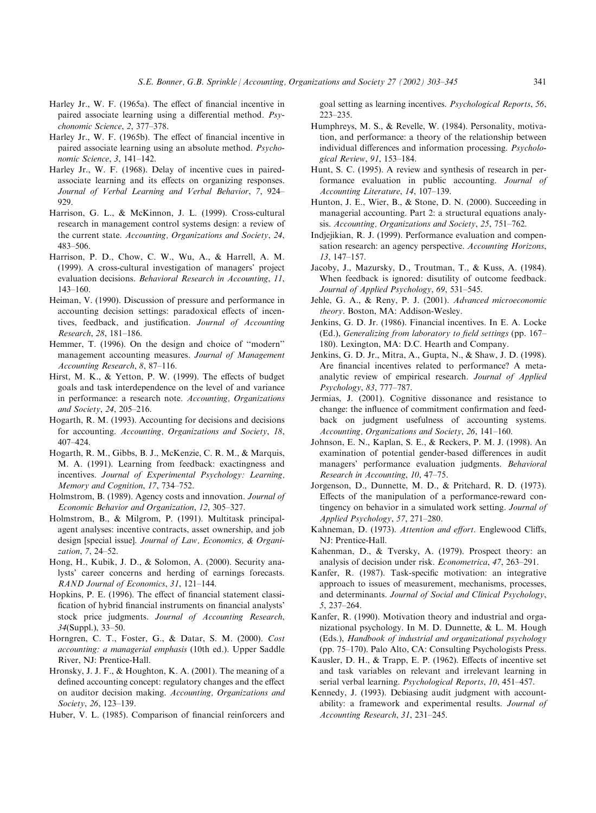- Harley Jr., W. F. (1965a). The effect of financial incentive in paired associate learning using a differential method. Psychonomic Science, 2, 377–378.
- Harley Jr., W. F. (1965b). The effect of financial incentive in paired associate learning using an absolute method. Psychonomic Science, 3, 141–142.
- Harley Jr., W. F. (1968). Delay of incentive cues in pairedassociate learning and its effects on organizing responses. Journal of Verbal Learning and Verbal Behavior, 7, 924– 929
- Harrison, G. L., & McKinnon, J. L. (1999). Cross-cultural research in management control systems design: a review of the current state. Accounting, Organizations and Society, 24, 483–506.
- Harrison, P. D., Chow, C. W., Wu, A., & Harrell, A. M. (1999). A cross-cultural investigation of managers' project evaluation decisions. Behavioral Research in Accounting, 11, 143–160.
- Heiman, V. (1990). Discussion of pressure and performance in accounting decision settings: paradoxical effects of incentives, feedback, and justification. Journal of Accounting Research, 28, 181–186.
- Hemmer, T. (1996). On the design and choice of ''modern'' management accounting measures. Journal of Management Accounting Research, 8, 87–116.
- Hirst, M. K., & Yetton, P. W. (1999). The effects of budget goals and task interdependence on the level of and variance in performance: a research note. Accounting, Organizations and Society, 24, 205–216.
- Hogarth, R. M. (1993). Accounting for decisions and decisions for accounting. Accounting, Organizations and Society, 18, 407–424.
- Hogarth, R. M., Gibbs, B. J., McKenzie, C. R. M., & Marquis, M. A. (1991). Learning from feedback: exactingness and incentives. Journal of Experimental Psychology: Learning, Memory and Cognition, 17, 734–752.
- Holmstrom, B. (1989). Agency costs and innovation. Journal of Economic Behavior and Organization, 12, 305–327.
- Holmstrom, B., & Milgrom, P. (1991). Multitask principalagent analyses: incentive contracts, asset ownership, and job design [special issue]. Journal of Law, Economics, & Organization, 7, 24–52.
- Hong, H., Kubik, J. D., & Solomon, A. (2000). Security analysts' career concerns and herding of earnings forecasts. RAND Journal of Economics, 31, 121–144.
- Hopkins, P. E. (1996). The effect of financial statement classification of hybrid financial instruments on financial analysts' stock price judgments. Journal of Accounting Research, 34(Suppl.), 33–50.
- Horngren, C. T., Foster, G., & Datar, S. M. (2000). Cost accounting: a managerial emphasis (10th ed.). Upper Saddle River, NJ: Prentice-Hall.
- Hronsky, J. J. F., & Houghton, K. A. (2001). The meaning of a defined accounting concept: regulatory changes and the effect on auditor decision making. Accounting, Organizations and Society, 26, 123–139.
- Huber, V. L. (1985). Comparison of financial reinforcers and

goal setting as learning incentives. Psychological Reports, 56, 223–235.

- Humphreys, M. S., & Revelle, W. (1984). Personality, motivation, and performance: a theory of the relationship between individual differences and information processing. Psychological Review, 91, 153–184.
- Hunt, S. C. (1995). A review and synthesis of research in performance evaluation in public accounting. Journal of Accounting Literature, 14, 107–139.
- Hunton, J. E., Wier, B., & Stone, D. N. (2000). Succeeding in managerial accounting. Part 2: a structural equations analysis. Accounting, Organizations and Society, 25, 751–762.
- Indjejikian, R. J. (1999). Performance evaluation and compensation research: an agency perspective. Accounting Horizons, 13, 147–157.
- Jacoby, J., Mazursky, D., Troutman, T., & Kuss, A. (1984). When feedback is ignored: disutility of outcome feedback. Journal of Applied Psychology, 69, 531–545.
- Jehle, G. A., & Reny, P. J. (2001). Advanced microeconomic theory. Boston, MA: Addison-Wesley.
- Jenkins, G. D. Jr. (1986). Financial incentives. In E. A. Locke (Ed.), Generalizing from laboratory to field settings (pp. 167– 180). Lexington, MA: D.C. Hearth and Company.
- Jenkins, G. D. Jr., Mitra, A., Gupta, N., & Shaw, J. D. (1998). Are financial incentives related to performance? A metaanalytic review of empirical research. Journal of Applied Psychology, 83, 777–787.
- Jermias, J. (2001). Cognitive dissonance and resistance to change: the influence of commitment confirmation and feedback on judgment usefulness of accounting systems. Accounting, Organizations and Society, 26, 141–160.
- Johnson, E. N., Kaplan, S. E., & Reckers, P. M. J. (1998). An examination of potential gender-based differences in audit managers' performance evaluation judgments. Behavioral Research in Accounting, 10, 47–75.
- Jorgenson, D., Dunnette, M. D., & Pritchard, R. D. (1973). Effects of the manipulation of a performance-reward contingency on behavior in a simulated work setting. Journal of Applied Psychology, 57, 271–280.
- Kahneman, D. (1973). Attention and effort. Englewood Cliffs, NJ: Prentice-Hall.
- Kahenman, D., & Tversky, A. (1979). Prospect theory: an analysis of decision under risk. Econometrica, 47, 263–291.
- Kanfer, R. (1987). Task-specific motivation: an integrative approach to issues of measurement, mechanisms, processes, and determinants. Journal of Social and Clinical Psychology, 5, 237–264.
- Kanfer, R. (1990). Motivation theory and industrial and organizational psychology. In M. D. Dunnette, & L. M. Hough (Eds.), Handbook of industrial and organizational psychology  $(pp. 75-170)$ . Palo Alto, CA: Consulting Psychologists Press.
- Kausler, D. H., & Trapp, E. P. (1962). Effects of incentive set and task variables on relevant and irrelevant learning in serial verbal learning. Psychological Reports, 10, 451-457.
- Kennedy, J. (1993). Debiasing audit judgment with accountability: a framework and experimental results. Journal of Accounting Research, 31, 231–245.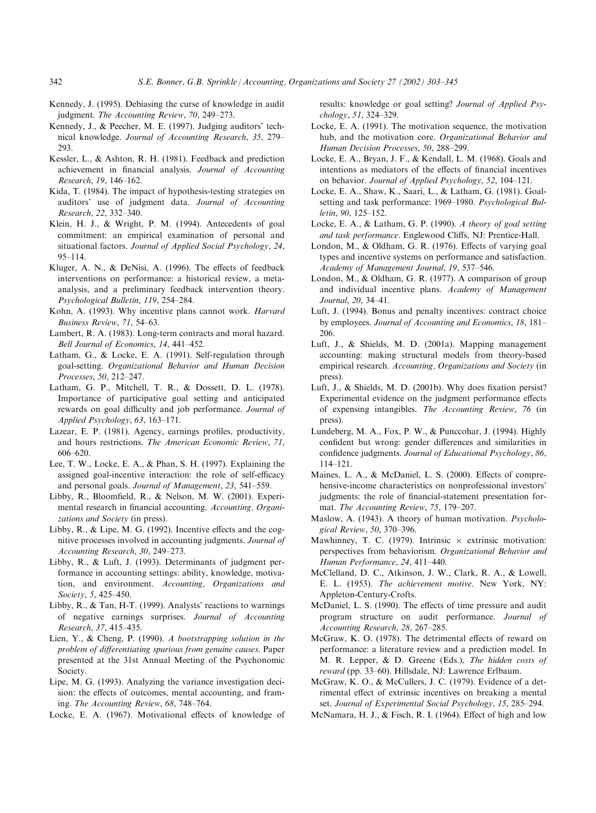- Kennedy, J. (1995). Debiasing the curse of knowledge in audit judgment. The Accounting Review, 70, 249–273.
- Kennedy, J., & Peecher, M. E. (1997). Judging auditors' technical knowledge. Journal of Accounting Research, 35, 279– 293.
- Kessler, L., & Ashton, R. H. (1981). Feedback and prediction achievement in financial analysis. Journal of Accounting Research, 19, 146–162.
- Kida, T. (1984). The impact of hypothesis-testing strategies on auditors' use of judgment data. Journal of Accounting Research, 22, 332–340.
- Klein, H. J., & Wright, P. M. (1994). Antecedents of goal commitment: an empirical examination of personal and situational factors. Journal of Applied Social Psychology, 24, 95–114.
- Kluger, A. N., & DeNisi, A. (1996). The effects of feedback interventions on performance: a historical review, a metaanalysis, and a preliminary feedback intervention theory. Psychological Bulletin, 119, 254–284.
- Kohn, A. (1993). Why incentive plans cannot work. Harvard Business Review, 71, 54–63.
- Lambert, R. A. (1983). Long-term contracts and moral hazard. Bell Journal of Economics, 14, 441–452.
- Latham, G., & Locke, E. A. (1991). Self-regulation through goal-setting. Organizational Behavior and Human Decision Processes, 50, 212–247.
- Latham, G. P., Mitchell, T. R., & Dossett, D. L. (1978). Importance of participative goal setting and anticipated rewards on goal difficulty and job performance. Journal of Applied Psychology, 63, 163–171.
- Lazear, E. P. (1981). Agency, earnings profiles, productivity, and hours restrictions. The American Economic Review, 71, 606–620.
- Lee, T. W., Locke, E. A., & Phan, S. H.  $(1997)$ . Explaining the assigned goal-incentive interaction: the role of self-efficacy and personal goals. Journal of Management, 23, 541–559.
- Libby, R., Bloomfield, R., & Nelson, M. W. (2001). Experimental research in financial accounting. Accounting, Organizations and Society (in press).
- Libby, R., & Lipe, M. G. (1992). Incentive effects and the cognitive processes involved in accounting judgments. Journal of Accounting Research, 30, 249–273.
- Libby, R., & Luft, J. (1993). Determinants of judgment performance in accounting settings: ability, knowledge, motivation, and environment. Accounting, Organizations and Society, 5, 425–450.
- Libby, R., & Tan, H-T. (1999). Analysts' reactions to warnings of negative earnings surprises. Journal of Accounting Research, 37, 415–435.
- Lien, Y., & Cheng, P. (1990). A bootstrapping solution in the problem of differentiating spurious from genuine causes. Paper presented at the 31st Annual Meeting of the Psychonomic Society.
- Lipe, M. G. (1993). Analyzing the variance investigation decision: the effects of outcomes, mental accounting, and framing. The Accounting Review, 68, 748–764.
- Locke, E. A. (1967). Motivational effects of knowledge of

results: knowledge or goal setting? Journal of Applied Psychology, 51, 324–329.

- Locke, E. A. (1991). The motivation sequence, the motivation hub, and the motivation core. Organizational Behavior and Human Decision Processes, 50, 288–299.
- Locke, E. A., Bryan, J. F., & Kendall, L. M. (1968). Goals and intentions as mediators of the effects of financial incentives on behavior. Journal of Applied Psychology, 52, 104–121.
- Locke, E. A., Shaw, K., Saari, L., & Latham, G. (1981). Goalsetting and task performance: 1969–1980. Psychological Bulletin, 90, 125–152.
- Locke, E. A., & Latham, G. P. (1990). A theory of goal setting and task performance. Englewood Cliffs, NJ: Prentice-Hall.
- London, M., & Oldham, G. R. (1976). Effects of varying goal types and incentive systems on performance and satisfaction. Academy of Management Journal, 19, 537–546.
- London, M., & Oldham, G. R. (1977). A comparison of group and individual incentive plans. Academy of Management Journal, 20, 34–41.
- Luft, J. (1994). Bonus and penalty incentives: contract choice by employees. Journal of Accounting and Economics, 18, 181– 206.
- Luft, J.,  $\&$  Shields, M. D. (2001a). Mapping management accounting: making structural models from theory-based empirical research. Accounting, Organizations and Society (in press).
- Luft, J., & Shields, M. D. (2001b). Why does fixation persist? Experimental evidence on the judgment performance effects of expensing intangibles. The Accounting Review, 76 (in press).
- Lundeberg, M. A., Fox, P. W., & Punccohar, J. (1994). Highly confident but wrong: gender differences and similarities in confidence judgments. Journal of Educational Psychology, 86, 114–121.
- Maines, L. A., & McDaniel, L. S. (2000). Effects of comprehensive-income characteristics on nonprofessional investors' judgments: the role of financial-statement presentation format. The Accounting Review, 75, 179–207.
- Maslow, A. (1943). A theory of human motivation. Psychological Review, 50, 370–396.
- Mawhinney, T. C. (1979). Intrinsic  $\times$  extrinsic motivation: perspectives from behaviorism. Organizational Behavior and Human Performance, 24, 411–440.
- McClelland, D. C., Atkinson, J. W., Clark, R. A., & Lowell, E. L. (1953). The achievement motive. New York, NY: Appleton-Century-Crofts.
- McDaniel, L. S. (1990). The effects of time pressure and audit program structure on audit performance. Journal of Accounting Research, 28, 267–285.
- McGraw, K. O. (1978). The detrimental effects of reward on performance: a literature review and a prediction model. In M. R. Lepper, & D. Greene (Eds.), The hidden costs of reward (pp. 33–60). Hillsdale, NJ: Lawrence Erlbaum.
- McGraw, K. O., & McCullers, J. C. (1979). Evidence of a detrimental effect of extrinsic incentives on breaking a mental set. Journal of Experimental Social Psychology, 15, 285–294.
- McNamara, H. J., & Fisch, R. I. (1964). Effect of high and low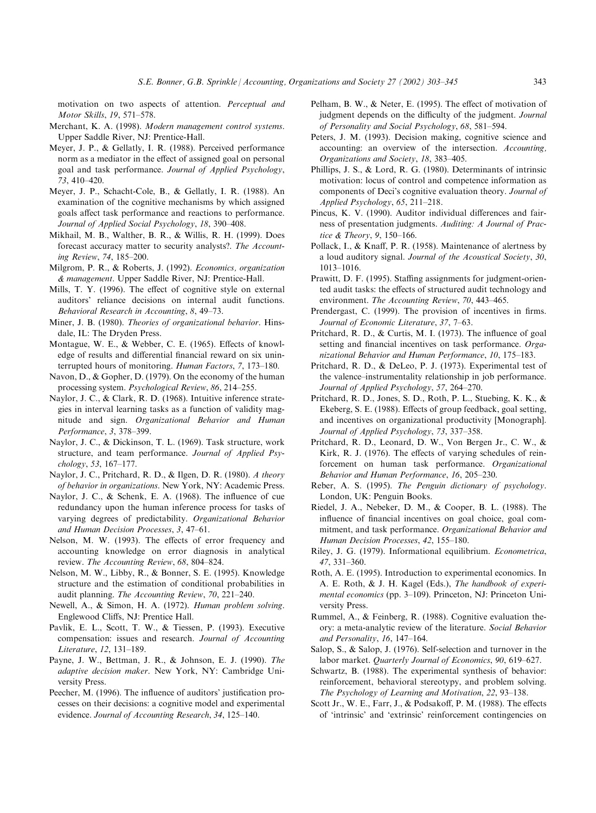motivation on two aspects of attention. Perceptual and Motor Skills, 19, 571–578.

- Merchant, K. A. (1998). Modern management control systems. Upper Saddle River, NJ: Prentice-Hall.
- Meyer, J. P., & Gellatly, I. R. (1988). Perceived performance norm as a mediator in the effect of assigned goal on personal goal and task performance. Journal of Applied Psychology, 73, 410–420.
- Meyer, J. P., Schacht-Cole, B., & Gellatly, I. R. (1988). An examination of the cognitive mechanisms by which assigned goals affect task performance and reactions to performance. Journal of Applied Social Psychology, 18, 390–408.
- Mikhail, M. B., Walther, B. R., & Willis, R. H. (1999). Does forecast accuracy matter to security analysts?. The Accounting Review, 74, 185–200.
- Milgrom, P. R., & Roberts, J. (1992). Economics, organization & management. Upper Saddle River, NJ: Prentice-Hall.
- Mills, T. Y. (1996). The effect of cognitive style on external auditors' reliance decisions on internal audit functions. Behavioral Research in Accounting, 8, 49–73.
- Miner, J. B. (1980). Theories of organizational behavior. Hinsdale, IL: The Dryden Press.
- Montague, W. E., & Webber, C. E. (1965). Effects of knowledge of results and differential financial reward on six uninterrupted hours of monitoring. Human Factors, 7, 173–180.
- Navon, D., & Gopher, D. (1979). On the economy of the human processing system. Psychological Review, 86, 214–255.
- Naylor, J. C., & Clark, R. D. (1968). Intuitive inference strategies in interval learning tasks as a function of validity magnitude and sign. Organizational Behavior and Human Performance, 3, 378–399.
- Naylor, J. C., & Dickinson, T. L. (1969). Task structure, work structure, and team performance. Journal of Applied Psychology, 53, 167–177.
- Naylor, J. C., Pritchard, R. D., & Ilgen, D. R. (1980). A theory of behavior in organizations. New York, NY: Academic Press.
- Naylor, J. C., & Schenk, E. A. (1968). The influence of cue redundancy upon the human inference process for tasks of varying degrees of predictability. Organizational Behavior and Human Decision Processes, 3, 47–61.
- Nelson, M. W. (1993). The effects of error frequency and accounting knowledge on error diagnosis in analytical review. The Accounting Review, 68, 804–824.
- Nelson, M. W., Libby, R., & Bonner, S. E. (1995). Knowledge structure and the estimation of conditional probabilities in audit planning. The Accounting Review, 70, 221–240.
- Newell, A., & Simon, H. A. (1972). Human problem solving. Englewood Cliffs, NJ: Prentice Hall.
- Pavlik, E. L., Scott, T. W., & Tiessen, P. (1993). Executive compensation: issues and research. Journal of Accounting Literature, 12, 131–189.
- Payne, J. W., Bettman, J. R., & Johnson, E. J. (1990). The adaptive decision maker. New York, NY: Cambridge University Press.
- Peecher, M. (1996). The influence of auditors' justification processes on their decisions: a cognitive model and experimental evidence. Journal of Accounting Research, 34, 125–140.
- Pelham, B. W., & Neter, E. (1995). The effect of motivation of judgment depends on the difficulty of the judgment. Journal of Personality and Social Psychology, 68, 581–594.
- Peters, J. M. (1993). Decision making, cognitive science and accounting: an overview of the intersection. Accounting, Organizations and Society, 18, 383–405.
- Phillips, J. S., & Lord, R. G. (1980). Determinants of intrinsic motivation: locus of control and competence information as components of Deci's cognitive evaluation theory. Journal of Applied Psychology, 65, 211–218.
- Pincus, K. V. (1990). Auditor individual differences and fairness of presentation judgments. Auditing: A Journal of Practice & Theory, 9, 150–166.
- Pollack, I., & Knaff, P. R. (1958). Maintenance of alertness by a loud auditory signal. Journal of the Acoustical Society, 30, 1013–1016.
- Prawitt, D. F. (1995). Staffing assignments for judgment-oriented audit tasks: the effects of structured audit technology and environment. The Accounting Review, 70, 443–465.
- Prendergast, C. (1999). The provision of incentives in firms. Journal of Economic Literature, 37, 7–63.
- Pritchard, R. D., & Curtis, M. I. (1973). The influence of goal setting and financial incentives on task performance. Organizational Behavior and Human Performance, 10, 175–183.
- Pritchard, R. D., & DeLeo, P. J. (1973). Experimental test of the valence–instrumentality relationship in job performance. Journal of Applied Psychology, 57, 264–270.
- Pritchard, R. D., Jones, S. D., Roth, P. L., Stuebing, K. K., & Ekeberg, S. E. (1988). Effects of group feedback, goal setting, and incentives on organizational productivity [Monograph]. Journal of Applied Psychology, 73, 337–358.
- Pritchard, R. D., Leonard, D. W., Von Bergen Jr., C. W., & Kirk, R. J. (1976). The effects of varying schedules of reinforcement on human task performance. Organizational Behavior and Human Performance, 16, 205–230.
- Reber, A. S. (1995). The Penguin dictionary of psychology. London, UK: Penguin Books.
- Riedel, J. A., Nebeker, D. M., & Cooper, B. L. (1988). The influence of financial incentives on goal choice, goal commitment, and task performance. Organizational Behavior and Human Decision Processes, 42, 155–180.
- Riley, J. G. (1979). Informational equilibrium. Econometrica, 47, 331–360.
- Roth, A. E. (1995). Introduction to experimental economics. In A. E. Roth, & J. H. Kagel (Eds.), The handbook of experimental economics (pp. 3–109). Princeton, NJ: Princeton University Press.
- Rummel, A., & Feinberg, R. (1988). Cognitive evaluation theory: a meta-analytic review of the literature. Social Behavior and Personality, 16, 147–164.
- Salop, S., & Salop, J. (1976). Self-selection and turnover in the labor market. Quarterly Journal of Economics, 90, 619–627.
- Schwartz, B. (1988). The experimental synthesis of behavior: reinforcement, behavioral stereotypy, and problem solving. The Psychology of Learning and Motivation, 22, 93–138.
- Scott Jr., W. E., Farr, J., & Podsakoff, P. M. (1988). The effects of 'intrinsic' and 'extrinsic' reinforcement contingencies on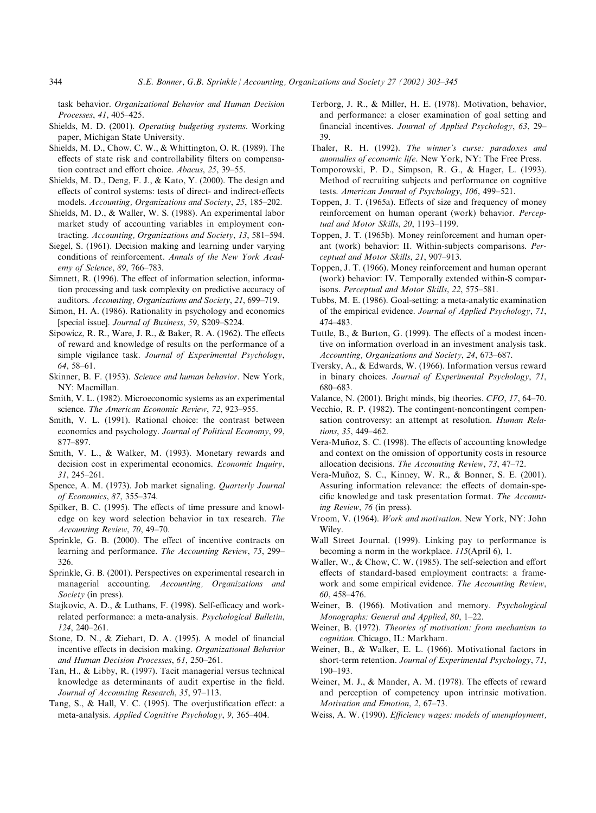task behavior. Organizational Behavior and Human Decision Processes, 41, 405–425.

- Shields, M. D. (2001). Operating budgeting systems. Working paper, Michigan State University.
- Shields, M. D., Chow, C. W., & Whittington, O. R. (1989). The effects of state risk and controllability filters on compensation contract and effort choice. Abacus, 25, 39–55.
- Shields, M. D., Deng, F. J., & Kato, Y. (2000). The design and effects of control systems: tests of direct- and indirect-effects models. Accounting, Organizations and Society, 25, 185–202.
- Shields, M. D., & Waller, W. S. (1988). An experimental labor market study of accounting variables in employment contracting. Accounting, Organizations and Society, 13, 581–594.
- Siegel, S. (1961). Decision making and learning under varying conditions of reinforcement. Annals of the New York Academy of Science, 89, 766–783.
- Simnett, R. (1996). The effect of information selection, information processingand task complexity on predictive accuracy of auditors. Accounting, Organizations and Society, 21, 699–719.
- Simon, H. A. (1986). Rationality in psychology and economics [special issue]. Journal of Business, 59, S209–S224.
- Sipowicz, R. R., Ware, J. R., & Baker, R. A. (1962). The effects of reward and knowledge of results on the performance of a simple vigilance task. Journal of Experimental Psychology, 64, 58–61.
- Skinner, B. F. (1953). Science and human behavior. New York, NY: Macmillan.
- Smith, V. L. (1982). Microeconomic systems as an experimental science. The American Economic Review, 72, 923–955.
- Smith, V. L. (1991). Rational choice: the contrast between economics and psychology. Journal of Political Economy, 99, 877–897.
- Smith, V. L., & Walker, M. (1993). Monetary rewards and decision cost in experimental economics. Economic Inquiry, 31, 245–261.
- Spence, A. M. (1973). Job market signaling. Quarterly Journal of Economics, 87, 355–374.
- Spilker, B. C. (1995). The effects of time pressure and knowledge on key word selection behavior in tax research. The Accounting Review, 70, 49–70.
- Sprinkle, G. B. (2000). The effect of incentive contracts on learning and performance. The Accounting Review, 75, 299– 326.
- Sprinkle, G. B. (2001). Perspectives on experimental research in managerial accounting. Accounting, Organizations and Society (in press).
- Stajkovic, A. D., & Luthans, F. (1998). Self-efficacy and workrelated performance: a meta-analysis. Psychological Bulletin, 124, 240–261.
- Stone, D. N., & Ziebart, D. A. (1995). A model of financial incentive effects in decision making. Organizational Behavior and Human Decision Processes, 61, 250–261.
- Tan, H., & Libby, R. (1997). Tacit managerial versus technical knowledge as determinants of audit expertise in the field. Journal of Accounting Research, 35, 97–113.
- Tang, S., & Hall, V. C. (1995). The overjustification effect: a meta-analysis. Applied Cognitive Psychology, 9, 365–404.
- Terborg, J. R., & Miller, H. E. (1978). Motivation, behavior, and performance: a closer examination of goal setting and financial incentives. Journal of Applied Psychology, 63, 29– 39.
- Thaler, R. H. (1992). The winner's curse: paradoxes and anomalies of economic life. New York, NY: The Free Press.
- Tomporowski, P. D., Simpson, R. G., & Hager, L. (1993). Method of recruiting subjects and performance on cognitive tests. American Journal of Psychology, 106, 499–521.
- Toppen, J. T. (1965a). Effects of size and frequency of money reinforcement on human operant (work) behavior. Perceptual and Motor Skills, 20, 1193–1199.
- Toppen, J. T. (1965b). Money reinforcement and human operant (work) behavior: II. Within-subjects comparisons. Perceptual and Motor Skills, 21, 907–913.
- Toppen, J. T. (1966). Money reinforcement and human operant (work) behavior: IV. Temporally extended within-S comparisons. Perceptual and Motor Skills, 22, 575–581.
- Tubbs, M. E. (1986). Goal-setting: a meta-analytic examination of the empirical evidence. Journal of Applied Psychology, 71, 474–483.
- Tuttle, B., & Burton, G. (1999). The effects of a modest incentive on information overload in an investment analysis task. Accounting, Organizations and Society, 24, 673–687.
- Tversky, A., & Edwards, W. (1966). Information versus reward in binary choices. Journal of Experimental Psychology, 71, 680–683.
- Valance, N. (2001). Bright minds, big theories. CFO, 17, 64–70.
- Vecchio, R. P. (1982). The contingent-noncontingent compensation controversy: an attempt at resolution. Human Relations, 35, 449–462.
- Vera-Muñoz, S. C. (1998). The effects of accounting knowledge and context on the omission of opportunity costs in resource allocation decisions. The Accounting Review, 73, 47–72.
- Vera-Muñoz, S. C., Kinney, W. R., & Bonner, S. E. (2001). Assuring information relevance: the effects of domain-specific knowledge and task presentation format. The Accounting Review, 76 (in press).
- Vroom, V. (1964). Work and motivation. New York, NY: John Wiley.
- Wall Street Journal. (1999). Linking pay to performance is becoming a norm in the workplace. 115(April 6), 1.
- Waller, W., & Chow, C. W. (1985). The self-selection and effort effects of standard-based employment contracts: a framework and some empirical evidence. The Accounting Review, 60, 458–476.
- Weiner, B. (1966). Motivation and memory. Psychological Monographs: General and Applied, 80, 1–22.
- Weiner, B. (1972). Theories of motivation: from mechanism to cognition. Chicago, IL: Markham.
- Weiner, B., & Walker, E. L. (1966). Motivational factors in short-term retention. Journal of Experimental Psychology, 71, 190–193.
- Weiner, M. J., & Mander, A. M. (1978). The effects of reward and perception of competency upon intrinsic motivation. Motivation and Emotion, 2, 67–73.
- Weiss, A. W. (1990). Efficiency wages: models of unemployment,